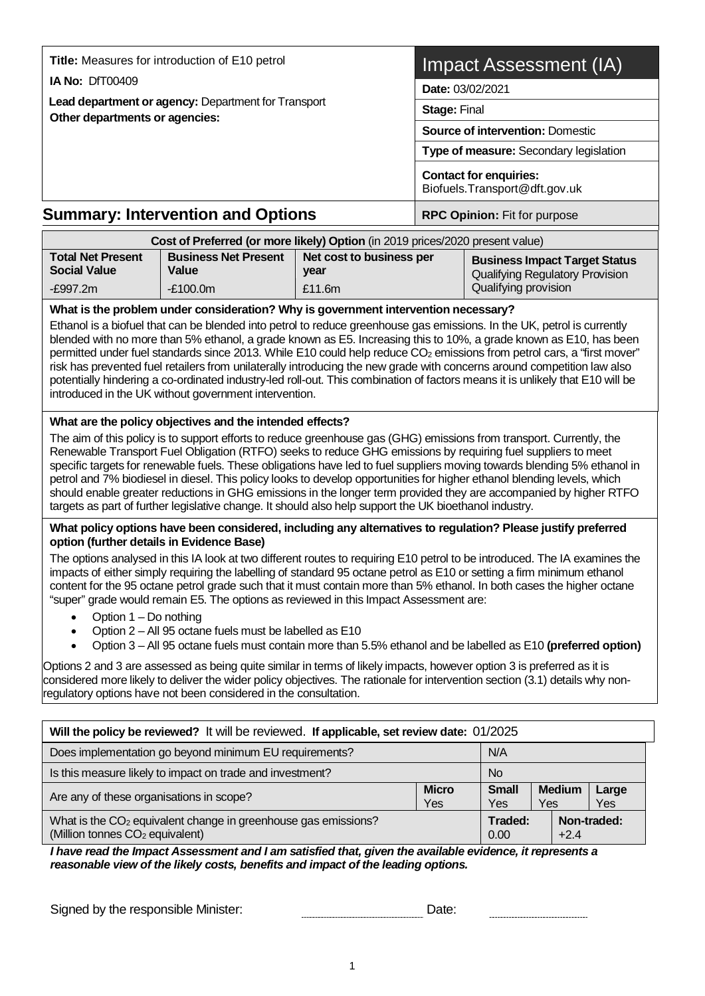| Title: Measures for introduction of E10 petrol                |                                                                                                                               |                                            | Impact Assessment (IA)       |                                                                                                                                                                                                                                                                                                                                                                                                                                                                                                               |  |  |
|---------------------------------------------------------------|-------------------------------------------------------------------------------------------------------------------------------|--------------------------------------------|------------------------------|---------------------------------------------------------------------------------------------------------------------------------------------------------------------------------------------------------------------------------------------------------------------------------------------------------------------------------------------------------------------------------------------------------------------------------------------------------------------------------------------------------------|--|--|
| <b>IA No: DfT00409</b>                                        |                                                                                                                               |                                            |                              | Date: 03/02/2021                                                                                                                                                                                                                                                                                                                                                                                                                                                                                              |  |  |
| Lead department or agency: Department for Transport           |                                                                                                                               |                                            | <b>Stage: Final</b>          |                                                                                                                                                                                                                                                                                                                                                                                                                                                                                                               |  |  |
| Other departments or agencies:                                |                                                                                                                               |                                            |                              | <b>Source of intervention: Domestic</b>                                                                                                                                                                                                                                                                                                                                                                                                                                                                       |  |  |
|                                                               |                                                                                                                               |                                            |                              | Type of measure: Secondary legislation                                                                                                                                                                                                                                                                                                                                                                                                                                                                        |  |  |
|                                                               |                                                                                                                               |                                            |                              | <b>Contact for enquiries:</b><br>Biofuels. Transport@dft.gov.uk                                                                                                                                                                                                                                                                                                                                                                                                                                               |  |  |
| <b>Summary: Intervention and Options</b>                      |                                                                                                                               |                                            | RPC Opinion: Fit for purpose |                                                                                                                                                                                                                                                                                                                                                                                                                                                                                                               |  |  |
|                                                               | Cost of Preferred (or more likely) Option (in 2019 prices/2020 present value)                                                 |                                            |                              |                                                                                                                                                                                                                                                                                                                                                                                                                                                                                                               |  |  |
| <b>Total Net Present</b><br><b>Social Value</b><br>$-E997.2m$ | <b>Business Net Present</b><br>Value<br>$-F100.0m$                                                                            | Net cost to business per<br>year<br>£11.6m |                              | <b>Business Impact Target Status</b><br><b>Qualifying Regulatory Provision</b><br>Qualifying provision                                                                                                                                                                                                                                                                                                                                                                                                        |  |  |
|                                                               | What is the problem under consideration? Why is government intervention necessary?                                            |                                            |                              |                                                                                                                                                                                                                                                                                                                                                                                                                                                                                                               |  |  |
|                                                               | potentially hindering a co-ordinated industry-led roll-out. This combination of factors means it is unlikely that E10 will be |                                            |                              | Ethanol is a biofuel that can be blended into petrol to reduce greenhouse gas emissions. In the UK, petrol is currently<br>blended with no more than 5% ethanol, a grade known as E5. Increasing this to 10%, a grade known as E10, has been<br>permitted under fuel standards since 2013. While E10 could help reduce CO <sub>2</sub> emissions from petrol cars, a "first mover"<br>risk has prevented fuel retailers from unilaterally introducing the new grade with concerns around competition law also |  |  |

The aim of this policy is to support efforts to reduce greenhouse gas (GHG) emissions from transport. Currently, the Renewable Transport Fuel Obligation (RTFO) seeks to reduce GHG emissions by requiring fuel suppliers to meet specific targets for renewable fuels. These obligations have led to fuel suppliers moving towards blending 5% ethanol in petrol and 7% biodiesel in diesel. This policy looks to develop opportunities for higher ethanol blending levels, which should enable greater reductions in GHG emissions in the longer term provided they are accompanied by higher RTFO targets as part of further legislative change. It should also help support the UK bioethanol industry.

#### **What policy options have been considered, including any alternatives to regulation? Please justify preferred option (further details in Evidence Base)**

The options analysed in this IA look at two different routes to requiring E10 petrol to be introduced. The IA examines the impacts of either simply requiring the labelling of standard 95 octane petrol as E10 or setting a firm minimum ethanol content for the 95 octane petrol grade such that it must contain more than 5% ethanol. In both cases the higher octane "super" grade would remain E5. The options as reviewed in this Impact Assessment are:

- Option 1 Do nothing
- Option 2 All 95 octane fuels must be labelled as E10
- Option 3 All 95 octane fuels must contain more than 5.5% ethanol and be labelled as E10 **(preferred option)**

Options 2 and 3 are assessed as being quite similar in terms of likely impacts, however option 3 is preferred as it is considered more likely to deliver the wider policy objectives. The rationale for intervention section (3.1) details why nonregulatory options have not been considered in the consultation.

| Will the policy be reviewed? It will be reviewed. If applicable, set review date: 01/2025                                 |                     |                     |                      |              |  |  |  |
|---------------------------------------------------------------------------------------------------------------------------|---------------------|---------------------|----------------------|--------------|--|--|--|
| Does implementation go beyond minimum EU requirements?<br>N/A                                                             |                     |                     |                      |              |  |  |  |
| Is this measure likely to impact on trade and investment?<br>No.                                                          |                     |                     |                      |              |  |  |  |
| Are any of these organisations in scope?                                                                                  | <b>Micro</b><br>Yes | <b>Small</b><br>Yes | <b>Medium</b><br>Yes | Large<br>Yes |  |  |  |
| What is the CO <sub>2</sub> equivalent change in greenhouse gas emissions?<br>(Million tonnes CO <sub>2</sub> equivalent) |                     | Traded:<br>0.00     | $+2.4$               | Non-traded:  |  |  |  |

*I have read the Impact Assessment and I am satisfied that, given the available evidence, it represents a reasonable view of the likely costs, benefits and impact of the leading options.*

Signed by the responsible Minister: Date: Date: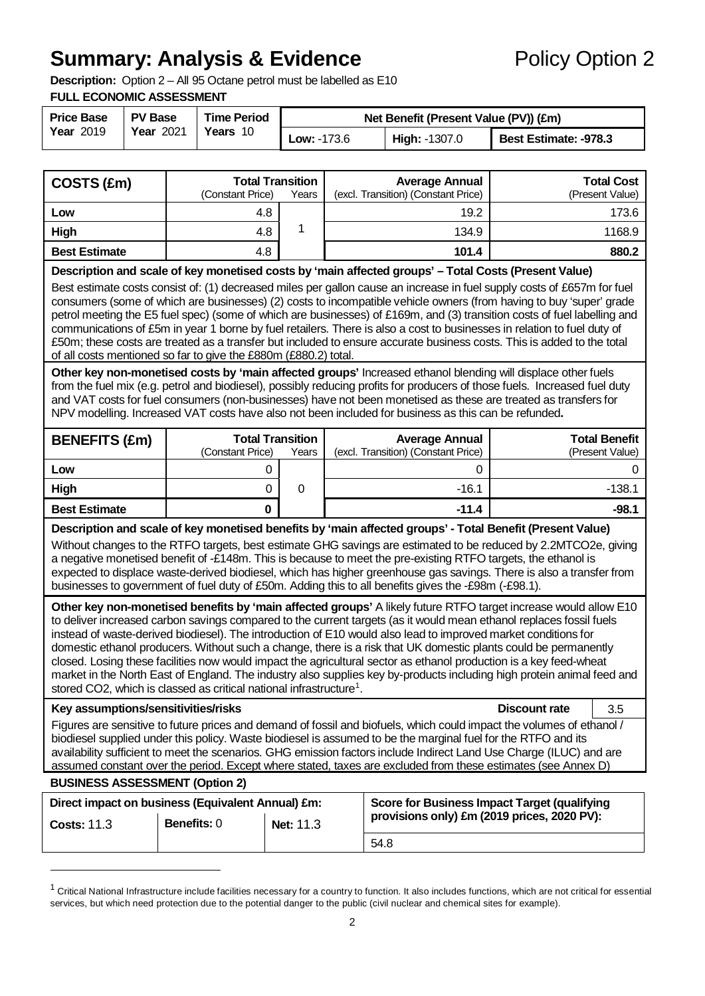# **Summary: Analysis & Evidence** Policy Option 2

**Description:** Option 2 – All 95 Octane petrol must be labelled as E10

#### **FULL ECONOMIC ASSESSMENT**

| <b>Price Base</b>                                | <b>PV Base</b> | <b>Time Period</b> | Net Benefit (Present Value (PV)) (£m) |                              |  |  |  |  |
|--------------------------------------------------|----------------|--------------------|---------------------------------------|------------------------------|--|--|--|--|
| <b>Year 2019</b><br>Years 10<br><b>Year 2021</b> |                | <b>Low: -173.6</b> | High: -1307.0                         | <b>Best Estimate: -978.3</b> |  |  |  |  |

| COSTS (£m)                                                                                                                                                                                                                                                                                                                                                                                                                                                                                                                                                                                                                                                                                                                                                                                                                                                                                                             | (Constant Price)   | <b>Total Transition</b><br>Years |  | <b>Average Annual</b><br>(excl. Transition) (Constant Price)                                                                                                                                                                                                                                                                                                                                                                                                          |                      | <b>Total Cost</b><br>(Present Value)    |  |
|------------------------------------------------------------------------------------------------------------------------------------------------------------------------------------------------------------------------------------------------------------------------------------------------------------------------------------------------------------------------------------------------------------------------------------------------------------------------------------------------------------------------------------------------------------------------------------------------------------------------------------------------------------------------------------------------------------------------------------------------------------------------------------------------------------------------------------------------------------------------------------------------------------------------|--------------------|----------------------------------|--|-----------------------------------------------------------------------------------------------------------------------------------------------------------------------------------------------------------------------------------------------------------------------------------------------------------------------------------------------------------------------------------------------------------------------------------------------------------------------|----------------------|-----------------------------------------|--|
| Low                                                                                                                                                                                                                                                                                                                                                                                                                                                                                                                                                                                                                                                                                                                                                                                                                                                                                                                    | 4.8                |                                  |  | 19.2                                                                                                                                                                                                                                                                                                                                                                                                                                                                  |                      | 173.6                                   |  |
| High                                                                                                                                                                                                                                                                                                                                                                                                                                                                                                                                                                                                                                                                                                                                                                                                                                                                                                                   | 4.8                | 1                                |  | 134.9                                                                                                                                                                                                                                                                                                                                                                                                                                                                 |                      | 1168.9                                  |  |
| <b>Best Estimate</b>                                                                                                                                                                                                                                                                                                                                                                                                                                                                                                                                                                                                                                                                                                                                                                                                                                                                                                   | 4.8                |                                  |  | 101.4                                                                                                                                                                                                                                                                                                                                                                                                                                                                 |                      | 880.2                                   |  |
|                                                                                                                                                                                                                                                                                                                                                                                                                                                                                                                                                                                                                                                                                                                                                                                                                                                                                                                        |                    |                                  |  | Description and scale of key monetised costs by 'main affected groups' - Total Costs (Present Value)                                                                                                                                                                                                                                                                                                                                                                  |                      |                                         |  |
| Best estimate costs consist of: (1) decreased miles per gallon cause an increase in fuel supply costs of £657m for fuel<br>consumers (some of which are businesses) (2) costs to incompatible vehicle owners (from having to buy 'super' grade<br>petrol meeting the E5 fuel spec) (some of which are businesses) of £169m, and (3) transition costs of fuel labelling and<br>communications of £5m in year 1 borne by fuel retailers. There is also a cost to businesses in relation to fuel duty of<br>£50m; these costs are treated as a transfer but included to ensure accurate business costs. This is added to the total<br>of all costs mentioned so far to give the £880m (£880.2) total.                                                                                                                                                                                                                     |                    |                                  |  |                                                                                                                                                                                                                                                                                                                                                                                                                                                                       |                      |                                         |  |
| Other key non-monetised costs by 'main affected groups' Increased ethanol blending will displace other fuels<br>from the fuel mix (e.g. petrol and biodiesel), possibly reducing profits for producers of those fuels. Increased fuel duty<br>and VAT costs for fuel consumers (non-businesses) have not been monetised as these are treated as transfers for<br>NPV modelling. Increased VAT costs have also not been included for business as this can be refunded.                                                                                                                                                                                                                                                                                                                                                                                                                                                  |                    |                                  |  |                                                                                                                                                                                                                                                                                                                                                                                                                                                                       |                      |                                         |  |
| <b>BENEFITS (£m)</b>                                                                                                                                                                                                                                                                                                                                                                                                                                                                                                                                                                                                                                                                                                                                                                                                                                                                                                   | (Constant Price)   | <b>Total Transition</b><br>Years |  | <b>Average Annual</b><br>(excl. Transition) (Constant Price)                                                                                                                                                                                                                                                                                                                                                                                                          |                      | <b>Total Benefit</b><br>(Present Value) |  |
| Low                                                                                                                                                                                                                                                                                                                                                                                                                                                                                                                                                                                                                                                                                                                                                                                                                                                                                                                    |                    | 0                                |  | 0                                                                                                                                                                                                                                                                                                                                                                                                                                                                     |                      | 0                                       |  |
| High                                                                                                                                                                                                                                                                                                                                                                                                                                                                                                                                                                                                                                                                                                                                                                                                                                                                                                                   |                    | 0<br>$\mathbf 0$                 |  | $-16.1$                                                                                                                                                                                                                                                                                                                                                                                                                                                               |                      | $-138.1$                                |  |
| <b>Best Estimate</b>                                                                                                                                                                                                                                                                                                                                                                                                                                                                                                                                                                                                                                                                                                                                                                                                                                                                                                   |                    | $\mathbf 0$                      |  | $-11.4$                                                                                                                                                                                                                                                                                                                                                                                                                                                               |                      | $-98.1$                                 |  |
|                                                                                                                                                                                                                                                                                                                                                                                                                                                                                                                                                                                                                                                                                                                                                                                                                                                                                                                        |                    |                                  |  | Description and scale of key monetised benefits by 'main affected groups' - Total Benefit (Present Value)<br>Without changes to the RTFO targets, best estimate GHG savings are estimated to be reduced by 2.2MTCO2e, giving<br>a negative monetised benefit of -£148m. This is because to meet the pre-existing RTFO targets, the ethanol is<br>expected to displace waste-derived biodiesel, which has higher greenhouse gas savings. There is also a transfer from |                      |                                         |  |
| businesses to government of fuel duty of £50m. Adding this to all benefits gives the -£98m (-£98.1).<br>Other key non-monetised benefits by 'main affected groups' A likely future RTFO target increase would allow E10<br>to deliver increased carbon savings compared to the current targets (as it would mean ethanol replaces fossil fuels<br>instead of waste-derived biodiesel). The introduction of E10 would also lead to improved market conditions for<br>domestic ethanol producers. Without such a change, there is a risk that UK domestic plants could be permanently<br>closed. Losing these facilities now would impact the agricultural sector as ethanol production is a key feed-wheat<br>market in the North East of England. The industry also supplies key by-products including high protein animal feed and<br>stored CO2, which is classed as critical national infrastructure <sup>1</sup> . |                    |                                  |  |                                                                                                                                                                                                                                                                                                                                                                                                                                                                       |                      |                                         |  |
| Key assumptions/sensitivities/risks                                                                                                                                                                                                                                                                                                                                                                                                                                                                                                                                                                                                                                                                                                                                                                                                                                                                                    |                    |                                  |  |                                                                                                                                                                                                                                                                                                                                                                                                                                                                       | <b>Discount rate</b> | 3.5                                     |  |
| Figures are sensitive to future prices and demand of fossil and biofuels, which could impact the volumes of ethanol /<br>biodiesel supplied under this policy. Waste biodiesel is assumed to be the marginal fuel for the RTFO and its<br>availability sufficient to meet the scenarios. GHG emission factors include Indirect Land Use Charge (ILUC) and are<br>assumed constant over the period. Except where stated, taxes are excluded from these estimates (see Annex D)                                                                                                                                                                                                                                                                                                                                                                                                                                          |                    |                                  |  |                                                                                                                                                                                                                                                                                                                                                                                                                                                                       |                      |                                         |  |
| <b>BUSINESS ASSESSMENT (Option 2)</b>                                                                                                                                                                                                                                                                                                                                                                                                                                                                                                                                                                                                                                                                                                                                                                                                                                                                                  |                    |                                  |  |                                                                                                                                                                                                                                                                                                                                                                                                                                                                       |                      |                                         |  |
| Direct impact on business (Equivalent Annual) £m:<br><b>Costs: 11.3</b>                                                                                                                                                                                                                                                                                                                                                                                                                                                                                                                                                                                                                                                                                                                                                                                                                                                | <b>Benefits: 0</b> | Net: 11.3                        |  | Score for Business Impact Target (qualifying<br>provisions only) £m (2019 prices, 2020 PV):                                                                                                                                                                                                                                                                                                                                                                           |                      |                                         |  |
|                                                                                                                                                                                                                                                                                                                                                                                                                                                                                                                                                                                                                                                                                                                                                                                                                                                                                                                        |                    |                                  |  | 54.8                                                                                                                                                                                                                                                                                                                                                                                                                                                                  |                      |                                         |  |
|                                                                                                                                                                                                                                                                                                                                                                                                                                                                                                                                                                                                                                                                                                                                                                                                                                                                                                                        |                    |                                  |  |                                                                                                                                                                                                                                                                                                                                                                                                                                                                       |                      |                                         |  |

<span id="page-1-0"></span> $1$  Critical National Infrastructure include facilities necessary for a country to function. It also includes functions, which are not critical for essential services, but which need protection due to the potential danger to the public (civil nuclear and chemical sites for example).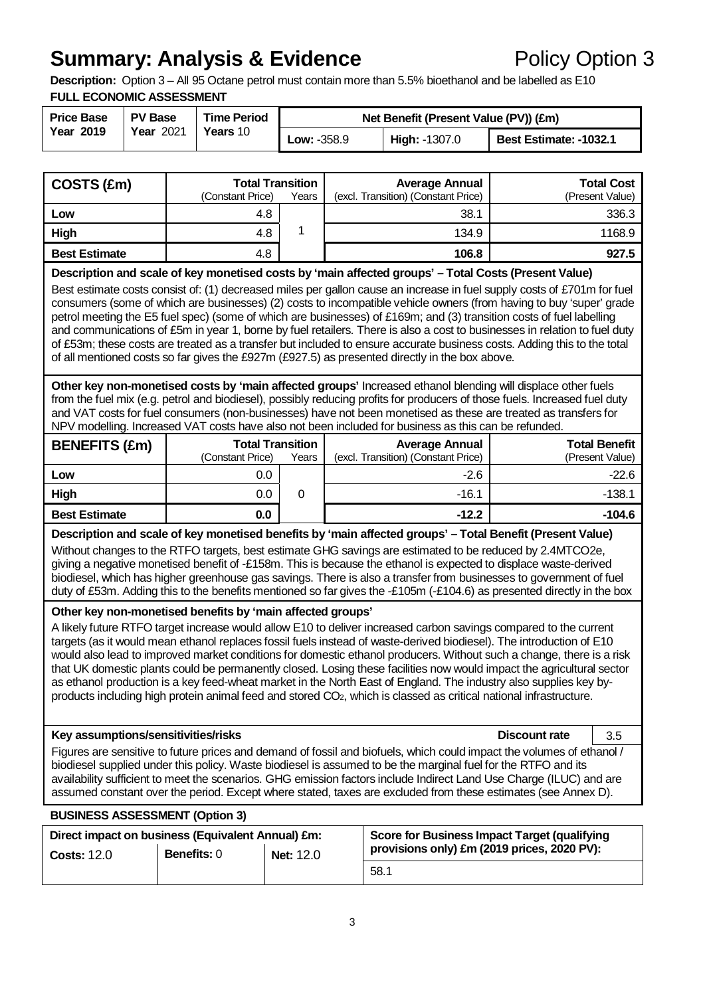# **Summary: Analysis & Evidence** Policy Option 3

**Description:** Option 3 – All 95 Octane petrol must contain more than 5.5% bioethanol and be labelled as E10 **FULL ECONOMIC ASSESSMENT**

| <b>Price Base</b><br><b>Year 2019</b> | <b>PV Base</b><br><b>Year 2021</b> | <b>Time Period</b><br>Years 10 | Net Benefit (Present Value (PV)) (£m) |                      |                        |  |  |  |
|---------------------------------------|------------------------------------|--------------------------------|---------------------------------------|----------------------|------------------------|--|--|--|
|                                       |                                    |                                | <b>Low: -358.9</b>                    | <b>High: -1307.0</b> | Best Estimate: -1032.1 |  |  |  |

| COSTS (£m)           | <b>Total Transition</b><br>(Constant Price) | Years | <b>Average Annual</b><br>(excl. Transition) (Constant Price) | <b>Total Cost</b><br>(Present Value) |
|----------------------|---------------------------------------------|-------|--------------------------------------------------------------|--------------------------------------|
| Low                  | 4.8                                         |       | 38.1                                                         | 336.3                                |
| High                 | 4.8                                         |       | 134.9                                                        | 1168.9                               |
| <b>Best Estimate</b> | 4.8                                         |       | 106.8                                                        | 927.5                                |

**Description and scale of key monetised costs by 'main affected groups' – Total Costs (Present Value)**

Best estimate costs consist of: (1) decreased miles per gallon cause an increase in fuel supply costs of £701m for fuel consumers (some of which are businesses) (2) costs to incompatible vehicle owners (from having to buy 'super' grade petrol meeting the E5 fuel spec) (some of which are businesses) of £169m; and (3) transition costs of fuel labelling and communications of £5m in year 1, borne by fuel retailers. There is also a cost to businesses in relation to fuel duty of £53m; these costs are treated as a transfer but included to ensure accurate business costs. Adding this to the total of all mentioned costs so far gives the £927m (£927.5) as presented directly in the box above.

**Other key non-monetised costs by 'main affected groups'** Increased ethanol blending will displace other fuels from the fuel mix (e.g. petrol and biodiesel), possibly reducing profits for producers of those fuels. Increased fuel duty and VAT costs for fuel consumers (non-businesses) have not been monetised as these are treated as transfers for NPV modelling. Increased VAT costs have also not been included for business as this can be refunded.

| <b>BENEFITS (£m)</b> | <b>Total Transition</b> |       | <b>Average Annual</b>               | <b>Total Benefit</b> |  |
|----------------------|-------------------------|-------|-------------------------------------|----------------------|--|
|                      | (Constant Price)        | Years | (excl. Transition) (Constant Price) | (Present Value)      |  |
| Low                  | 0.0                     |       | $-2.6$                              | $-22.6$              |  |
| High                 | 0.0                     |       | $-16.1$                             | $-138.1$             |  |
| <b>Best Estimate</b> | 0.0                     |       | $-12.2$                             | $-104.6$             |  |

**Description and scale of key monetised benefits by 'main affected groups' – Total Benefit (Present Value)**

Without changes to the RTFO targets, best estimate GHG savings are estimated to be reduced by 2.4MTCO2e, giving a negative monetised benefit of -£158m. This is because the ethanol is expected to displace waste-derived biodiesel, which has higher greenhouse gas savings. There is also a transfer from businesses to government of fuel duty of £53m. Adding this to the benefits mentioned so far gives the -£105m (-£104.6) as presented directly in the box

#### <sup>b</sup>**Other key non-monetised benefits by 'main affected groups'**

A likely future RTFO target increase would allow E10 to deliver increased carbon savings compared to the current targets (as it would mean ethanol replaces fossil fuels instead of waste-derived biodiesel). The introduction of E10 would also lead to improved market conditions for domestic ethanol producers. Without such a change, there is a risk that UK domestic plants could be permanently closed. Losing these facilities now would impact the agricultural sector as ethanol production is a key feed-wheat market in the North East of England. The industry also supplies key byproducts including high protein animal feed and stored CO<sub>2</sub>, which is classed as critical national infrastructure.

#### **Key assumptions/sensitivities/risks Discount rate** 3.5

Figures are sensitive to future prices and demand of fossil and biofuels, which could impact the volumes of ethanol / biodiesel supplied under this policy. Waste biodiesel is assumed to be the marginal fuel for the RTFO and its availability sufficient to meet the scenarios. GHG emission factors include Indirect Land Use Charge (ILUC) and are assumed constant over the period. Except where stated, taxes are excluded from these estimates (see Annex D).

#### **BUSINESS ASSESSMENT (Option 3)**

| Direct impact on business (Equivalent Annual) £m: |                    |                  | <b>Score for Business Impact Target (qualifying</b> |  |  |
|---------------------------------------------------|--------------------|------------------|-----------------------------------------------------|--|--|
| <b>Costs: 12.0</b>                                | <b>Benefits: 0</b> | <b>Net: 12.0</b> | provisions only) £m (2019 prices, 2020 PV):         |  |  |
|                                                   |                    |                  | 58.1                                                |  |  |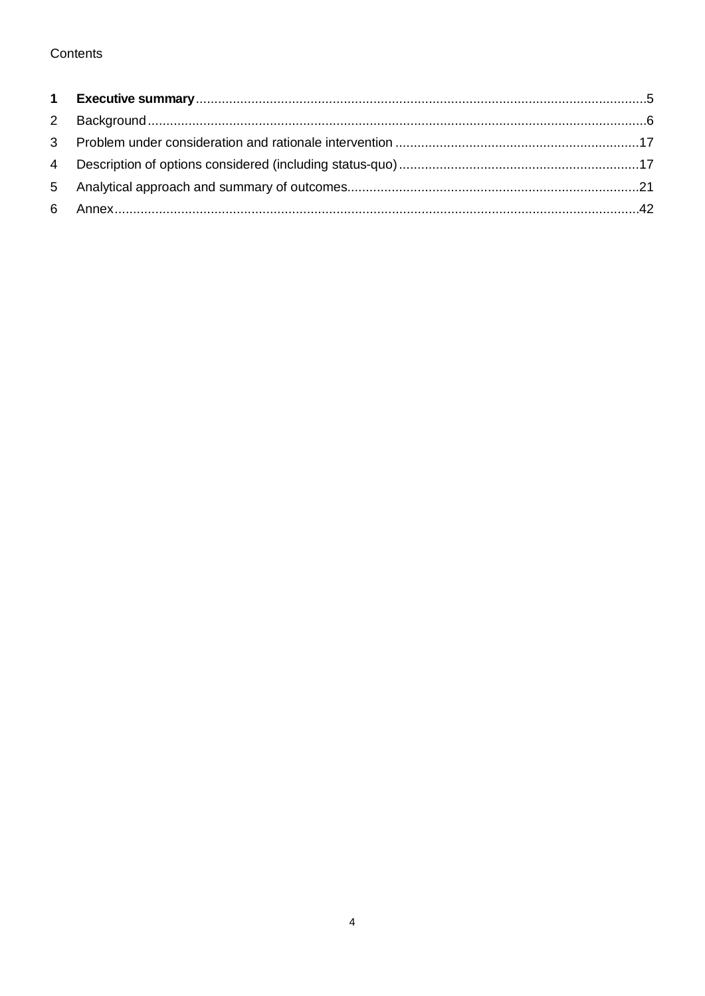# Contents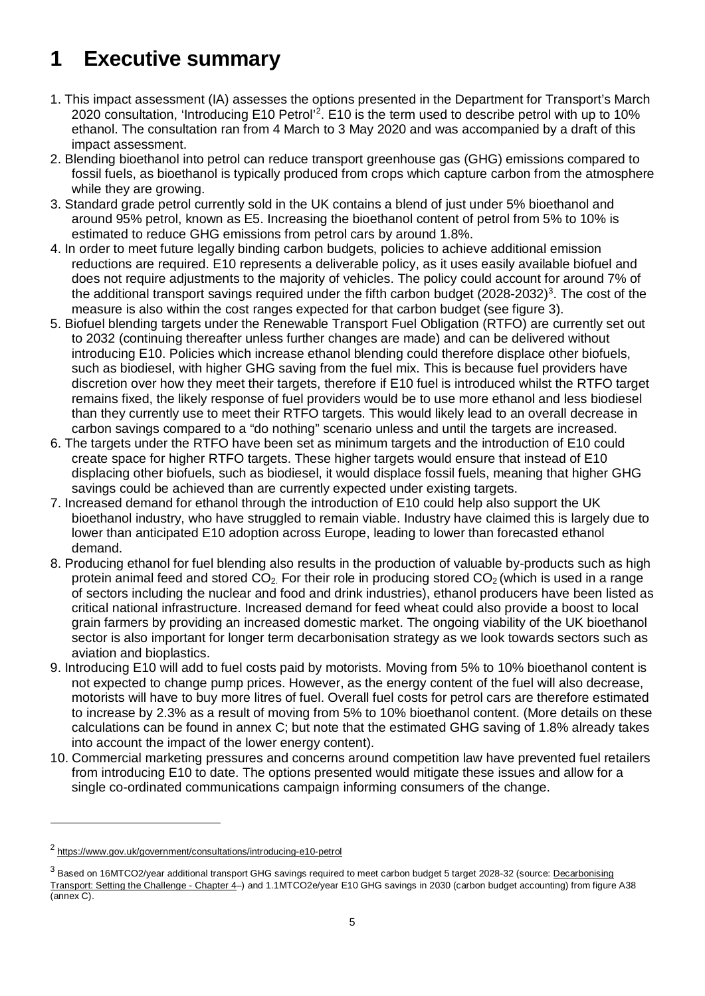# <span id="page-4-0"></span>**1 Executive summary**

- 1. This impact assessment (IA) assesses the options presented in the Department for Transport's March [2](#page-4-1)020 consultation, 'Introducing E10 Petrol'<sup>2</sup>. E10 is the term used to describe petrol with up to 10% ethanol. The consultation ran from 4 March to 3 May 2020 and was accompanied by a draft of this impact assessment.
- 2. Blending bioethanol into petrol can reduce transport greenhouse gas (GHG) emissions compared to fossil fuels, as bioethanol is typically produced from crops which capture carbon from the atmosphere while they are growing.
- 3. Standard grade petrol currently sold in the UK contains a blend of just under 5% bioethanol and around 95% petrol, known as E5. Increasing the bioethanol content of petrol from 5% to 10% is estimated to reduce GHG emissions from petrol cars by around 1.8%.
- 4. In order to meet future legally binding carbon budgets, policies to achieve additional emission reductions are required. E10 represents a deliverable policy, as it uses easily available biofuel and does not require adjustments to the majority of vehicles. The policy could account for around 7% of the additional transport savings required under the fifth carbon budget (2028-2032) [3](#page-4-2) . The cost of the measure is also within the cost ranges expected for that carbon budget (see figure 3).
- 5. Biofuel blending targets under the Renewable Transport Fuel Obligation (RTFO) are currently set out to 2032 (continuing thereafter unless further changes are made) and can be delivered without introducing E10. Policies which increase ethanol blending could therefore displace other biofuels, such as biodiesel, with higher GHG saving from the fuel mix. This is because fuel providers have discretion over how they meet their targets, therefore if E10 fuel is introduced whilst the RTFO target remains fixed, the likely response of fuel providers would be to use more ethanol and less biodiesel than they currently use to meet their RTFO targets. This would likely lead to an overall decrease in carbon savings compared to a "do nothing" scenario unless and until the targets are increased.
- 6. The targets under the RTFO have been set as minimum targets and the introduction of E10 could create space for higher RTFO targets. These higher targets would ensure that instead of E10 displacing other biofuels, such as biodiesel, it would displace fossil fuels, meaning that higher GHG savings could be achieved than are currently expected under existing targets.
- 7. Increased demand for ethanol through the introduction of E10 could help also support the UK bioethanol industry, who have struggled to remain viable. Industry have claimed this is largely due to lower than anticipated E10 adoption across Europe, leading to lower than forecasted ethanol demand.
- 8. Producing ethanol for fuel blending also results in the production of valuable by-products such as high protein animal feed and stored  $CO<sub>2</sub>$ . For their role in producing stored  $CO<sub>2</sub>$  (which is used in a range of sectors including the nuclear and food and drink industries), ethanol producers have been listed as critical national infrastructure. Increased demand for feed wheat could also provide a boost to local grain farmers by providing an increased domestic market. The ongoing viability of the UK bioethanol sector is also important for longer term decarbonisation strategy as we look towards sectors such as aviation and bioplastics.
- 9. Introducing E10 will add to fuel costs paid by motorists. Moving from 5% to 10% bioethanol content is not expected to change pump prices. However, as the energy content of the fuel will also decrease, motorists will have to buy more litres of fuel. Overall fuel costs for petrol cars are therefore estimated to increase by 2.3% as a result of moving from 5% to 10% bioethanol content. (More details on these calculations can be found in annex C; but note that the estimated GHG saving of 1.8% already takes into account the impact of the lower energy content).
- 10. Commercial marketing pressures and concerns around competition law have prevented fuel retailers from introducing E10 to date. The options presented would mitigate these issues and allow for a single co-ordinated communications campaign informing consumers of the change.

-

<span id="page-4-1"></span><sup>2</sup> <https://www.gov.uk/government/consultations/introducing-e10-petrol>

<span id="page-4-2"></span><sup>&</sup>lt;sup>3</sup> Based on 16MTCO2/year additional transport GHG savings required to meet carbon budget 5 target 2028-32 (source: Decarbonising [Transport: Setting the Challenge -](https://assets.publishing.service.gov.uk/government/uploads/system/uploads/attachment_data/file/932122/decarbonising-transport-setting-the-challenge.pdf) Chapter 4–) and 1.1MTCO2e/year E10 GHG savings in 2030 (carbon budget accounting) from figure A38 (annex C).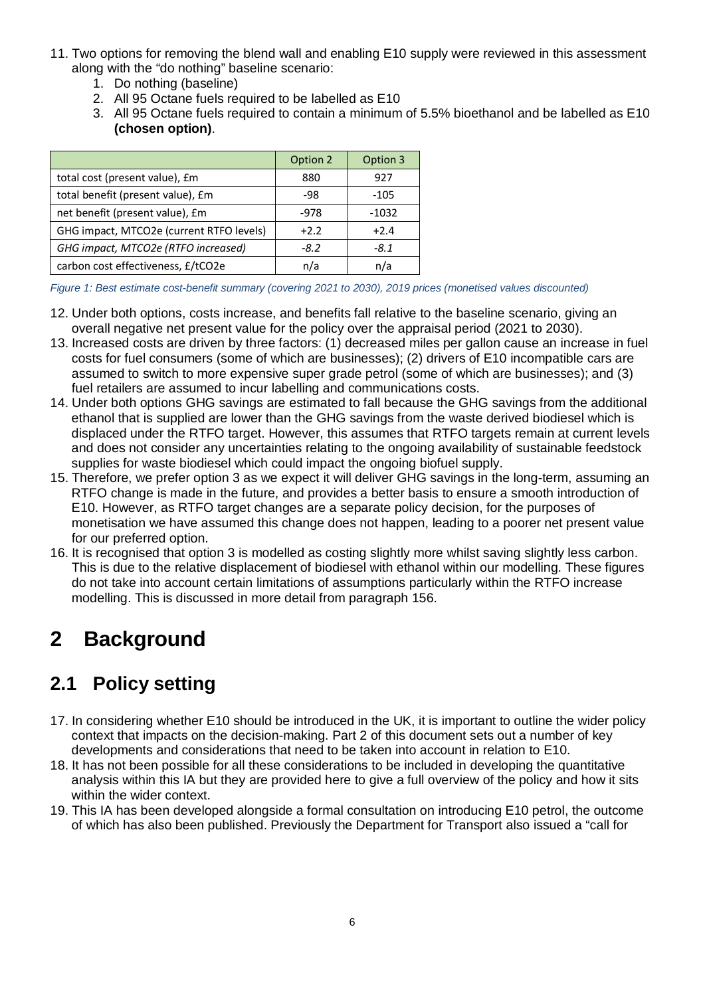- 11. Two options for removing the blend wall and enabling E10 supply were reviewed in this assessment along with the "do nothing" baseline scenario:
	- 1. Do nothing (baseline)
	- 2. All 95 Octane fuels required to be labelled as E10
	- 3. All 95 Octane fuels required to contain a minimum of 5.5% bioethanol and be labelled as E10 **(chosen option)**.

|                                          | Option 2 | Option 3 |
|------------------------------------------|----------|----------|
| total cost (present value), £m           | 880      | 927      |
| total benefit (present value), £m        | -98      | $-105$   |
| net benefit (present value), £m          | $-978$   | $-1032$  |
| GHG impact, MTCO2e (current RTFO levels) | $+2.2$   | $+2.4$   |
| GHG impact, MTCO2e (RTFO increased)      | $-8.2$   | -8.1     |
| carbon cost effectiveness, £/tCO2e       | n/a      | n/a      |

*Figure 1: Best estimate cost-benefit summary (covering 2021 to 2030), 2019 prices (monetised values discounted)*

- 12. Under both options, costs increase, and benefits fall relative to the baseline scenario, giving an overall negative net present value for the policy over the appraisal period (2021 to 2030).
- 13. Increased costs are driven by three factors: (1) decreased miles per gallon cause an increase in fuel costs for fuel consumers (some of which are businesses); (2) drivers of E10 incompatible cars are assumed to switch to more expensive super grade petrol (some of which are businesses); and (3) fuel retailers are assumed to incur labelling and communications costs.
- 14. Under both options GHG savings are estimated to fall because the GHG savings from the additional ethanol that is supplied are lower than the GHG savings from the waste derived biodiesel which is displaced under the RTFO target. However, this assumes that RTFO targets remain at current levels and does not consider any uncertainties relating to the ongoing availability of sustainable feedstock supplies for waste biodiesel which could impact the ongoing biofuel supply.
- 15. Therefore, we prefer option 3 as we expect it will deliver GHG savings in the long-term, assuming an RTFO change is made in the future, and provides a better basis to ensure a smooth introduction of E10. However, as RTFO target changes are a separate policy decision, for the purposes of monetisation we have assumed this change does not happen, leading to a poorer net present value for our preferred option.
- 16. It is recognised that option 3 is modelled as costing slightly more whilst saving slightly less carbon. This is due to the relative displacement of biodiesel with ethanol within our modelling. These figures do not take into account certain limitations of assumptions particularly within the RTFO increase modelling. This is discussed in more detail from paragraph 156.

# <span id="page-5-0"></span>**2 Background**

# **2.1 Policy setting**

- 17. In considering whether E10 should be introduced in the UK, it is important to outline the wider policy context that impacts on the decision-making. Part 2 of this document sets out a number of key developments and considerations that need to be taken into account in relation to E10.
- 18. It has not been possible for all these considerations to be included in developing the quantitative analysis within this IA but they are provided here to give a full overview of the policy and how it sits within the wider context.
- 19. This IA has been developed alongside a formal consultation on introducing E10 petrol, the outcome of which has also been published. Previously the Department for Transport also issued a "call for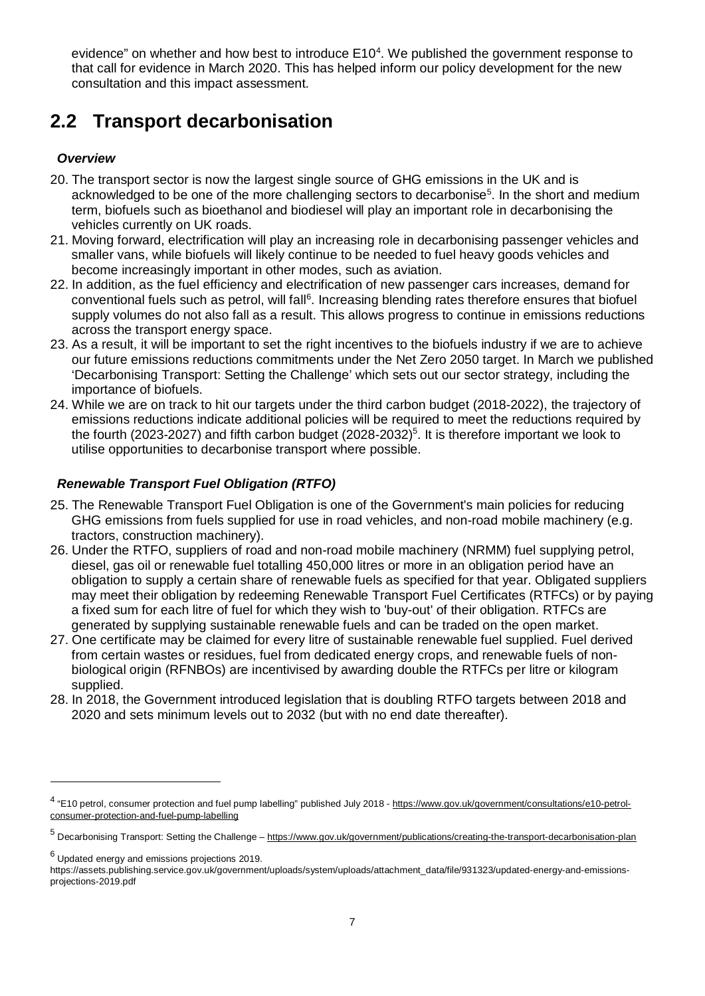evidence" on whether and how best to introduce E10<sup>[4](#page-6-1)</sup>. We published the government response to that call for evidence in March 2020. This has helped inform our policy development for the new consultation and this impact assessment.

# **2.2 Transport decarbonisation**

# <span id="page-6-0"></span>*Overview*

- 20. The transport sector is now the largest single source of GHG emissions in the UK and is acknowledged to be one of the more challenging sectors to decarbonise<sup>[5](#page-6-2)</sup>. In the short and medium term, biofuels such as bioethanol and biodiesel will play an important role in decarbonising the vehicles currently on UK roads.
- 21. Moving forward, electrification will play an increasing role in decarbonising passenger vehicles and smaller vans, while biofuels will likely continue to be needed to fuel heavy goods vehicles and become increasingly important in other modes, such as aviation.
- 22. In addition, as the fuel efficiency and electrification of new passenger cars increases, demand for conventional fuels such as petrol, will fall<sup>[6](#page-6-3)</sup>. Increasing blending rates therefore ensures that biofuel supply volumes do not also fall as a result. This allows progress to continue in emissions reductions across the transport energy space.
- 23. As a result, it will be important to set the right incentives to the biofuels industry if we are to achieve our future emissions reductions commitments under the Net Zero 2050 target. In March we published 'Decarbonising Transport: Setting the Challenge' which sets out our sector strategy, including the importance of biofuels.
- 24. While we are on track to hit our targets under the third carbon budget (2018-2022), the trajectory of emissions reductions indicate additional policies will be required to meet the reductions required by the fourth (2023-2027) and fifth carbon budget (2028-2032)<sup>5</sup>. It is therefore important we look to utilise opportunities to decarbonise transport where possible.

# *Renewable Transport Fuel Obligation (RTFO)*

- 25. The Renewable Transport Fuel Obligation is one of the Government's main policies for reducing GHG emissions from fuels supplied for use in road vehicles, and non-road mobile machinery (e.g. tractors, construction machinery).
- 26. Under the RTFO, suppliers of road and non-road mobile machinery (NRMM) fuel supplying petrol, diesel, gas oil or renewable fuel totalling 450,000 litres or more in an obligation period have an obligation to supply a certain share of renewable fuels as specified for that year. Obligated suppliers may meet their obligation by redeeming Renewable Transport Fuel Certificates (RTFCs) or by paying a fixed sum for each litre of fuel for which they wish to 'buy-out' of their obligation. RTFCs are generated by supplying sustainable renewable fuels and can be traded on the open market.
- 27. One certificate may be claimed for every litre of sustainable renewable fuel supplied. Fuel derived from certain wastes or residues, fuel from dedicated energy crops, and renewable fuels of nonbiological origin (RFNBOs) are incentivised by awarding double the RTFCs per litre or kilogram supplied.
- 28. In 2018, the Government introduced legislation that is doubling RTFO targets between 2018 and 2020 and sets minimum levels out to 2032 (but with no end date thereafter).

<span id="page-6-1"></span><sup>4</sup> "E10 petrol, consumer protection and fuel pump labelling" published July 2018 - [https://www.gov.uk/government/consultations/e10-petrol](https://www.gov.uk/government/consultations/e10-petrol-consumer-protection-and-fuel-pump-labelling)[consumer-protection-and-fuel-pump-labelling](https://www.gov.uk/government/consultations/e10-petrol-consumer-protection-and-fuel-pump-labelling)

<span id="page-6-2"></span><sup>5</sup> Decarbonising Transport: Setting the Challenge – <https://www.gov.uk/government/publications/creating-the-transport-decarbonisation-plan>

<span id="page-6-3"></span><sup>6</sup> Updated energy and emissions projections 2019.

https://assets.publishing.service.gov.uk/government/uploads/system/uploads/attachment\_data/file/931323/updated-energy-and-emissionsprojections-2019.pdf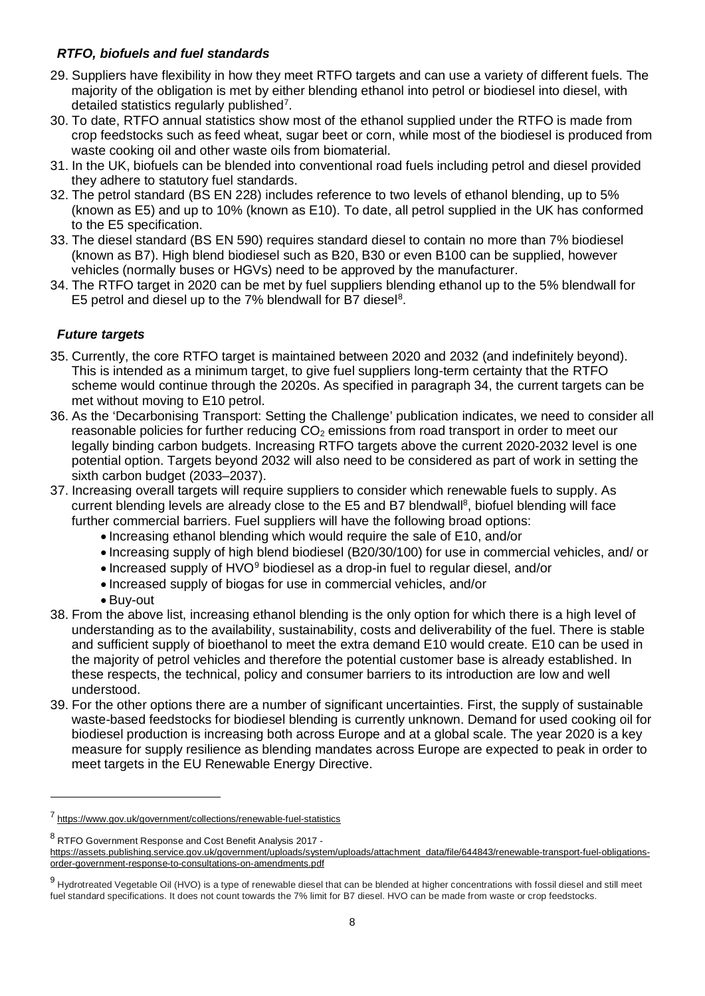# *RTFO, biofuels and fuel standards*

- 29. Suppliers have flexibility in how they meet RTFO targets and can use a variety of different fuels. The majority of the obligation is met by either blending ethanol into petrol or biodiesel into diesel, with detailed statistics regularly published<sup>[7](#page-7-1)</sup>.
- 30. To date, RTFO annual statistics show most of the ethanol supplied under the RTFO is made from crop feedstocks such as feed wheat, sugar beet or corn, while most of the biodiesel is produced from waste cooking oil and other waste oils from biomaterial.
- 31. In the UK, biofuels can be blended into conventional road fuels including petrol and diesel provided they adhere to statutory fuel standards.
- 32. The petrol standard (BS EN 228) includes reference to two levels of ethanol blending, up to 5% (known as E5) and up to 10% (known as E10). To date, all petrol supplied in the UK has conformed to the E5 specification.
- 33. The diesel standard (BS EN 590) requires standard diesel to contain no more than 7% biodiesel (known as B7). High blend biodiesel such as B20, B30 or even B100 can be supplied, however vehicles (normally buses or HGVs) need to be approved by the manufacturer.
- 34. The RTFO target in 2020 can be met by fuel suppliers blending ethanol up to the 5% blendwall for E5 petrol and diesel up to the 7% blendwall for B7 diesel $8$ .

# <span id="page-7-0"></span>*Future targets*

- 35. Currently, the core RTFO target is maintained between 2020 and 2032 (and indefinitely beyond). This is intended as a minimum target, to give fuel suppliers long-term certainty that the RTFO scheme would continue through the 2020s. As specified in paragraph 34, the current targets can be met without moving to E10 petrol.
- 36. As the 'Decarbonising Transport: Setting the Challenge' publication indicates, we need to consider all reasonable policies for further reducing  $CO<sub>2</sub>$  emissions from road transport in order to meet our legally binding carbon budgets. Increasing RTFO targets above the current 2020-2032 level is one potential option. Targets beyond 2032 will also need to be considered as part of work in setting the sixth carbon budget (2033–2037).
- 37. Increasing overall targets will require suppliers to consider which renewable fuels to supply. As current blending levels are already close to the E5 and B7 blendwall<sup>8</sup>, biofuel blending will face further commercial barriers. Fuel suppliers will have the following broad options:
	- Increasing ethanol blending which would require the sale of E10, and/or
	- Increasing supply of high blend biodiesel (B20/30/100) for use in commercial vehicles, and/ or
	- Increased supply of HVO[9](#page-7-3) biodiesel as a drop-in fuel to regular diesel, and/or
	- Increased supply of biogas for use in commercial vehicles, and/or
	- Buy-out

- 38. From the above list, increasing ethanol blending is the only option for which there is a high level of understanding as to the availability, sustainability, costs and deliverability of the fuel. There is stable and sufficient supply of bioethanol to meet the extra demand E10 would create. E10 can be used in the majority of petrol vehicles and therefore the potential customer base is already established. In these respects, the technical, policy and consumer barriers to its introduction are low and well understood.
- 39. For the other options there are a number of significant uncertainties. First, the supply of sustainable waste-based feedstocks for biodiesel blending is currently unknown. Demand for used cooking oil for biodiesel production is increasing both across Europe and at a global scale. The year 2020 is a key measure for supply resilience as blending mandates across Europe are expected to peak in order to meet targets in the EU Renewable Energy Directive.

<span id="page-7-1"></span><sup>7</sup> <https://www.gov.uk/government/collections/renewable-fuel-statistics>

<span id="page-7-2"></span><sup>8</sup> RTFO Government Response and Cost Benefit Analysis 2017 -

[https://assets.publishing.service.gov.uk/government/uploads/system/uploads/attachment\\_data/file/644843/renewable-transport-fuel-obligations](https://assets.publishing.service.gov.uk/government/uploads/system/uploads/attachment_data/file/644843/renewable-transport-fuel-obligations-order-government-response-to-consultations-on-amendments.pdf)[order-government-response-to-consultations-on-amendments.pdf](https://assets.publishing.service.gov.uk/government/uploads/system/uploads/attachment_data/file/644843/renewable-transport-fuel-obligations-order-government-response-to-consultations-on-amendments.pdf)

<span id="page-7-3"></span><sup>&</sup>lt;sup>9</sup> Hydrotreated Vegetable Oil (HVO) is a type of renewable diesel that can be blended at higher concentrations with fossil diesel and still meet fuel standard specifications. It does not count towards the 7% limit for B7 diesel. HVO can be made from waste or crop feedstocks.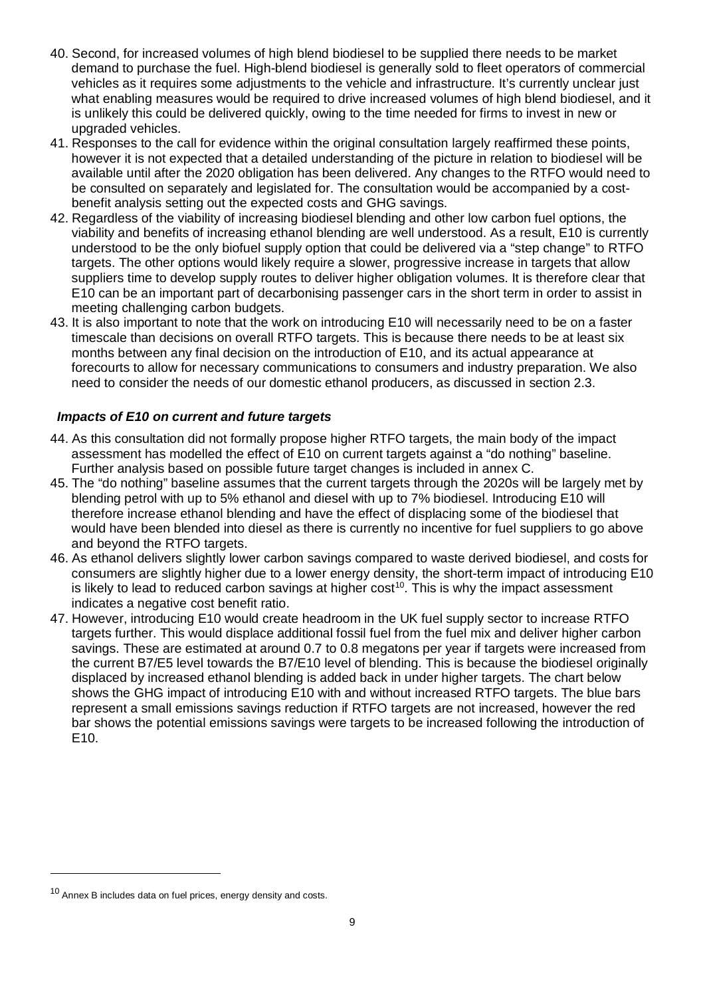- 40. Second, for increased volumes of high blend biodiesel to be supplied there needs to be market demand to purchase the fuel. High-blend biodiesel is generally sold to fleet operators of commercial vehicles as it requires some adjustments to the vehicle and infrastructure. It's currently unclear just what enabling measures would be required to drive increased volumes of high blend biodiesel, and it is unlikely this could be delivered quickly, owing to the time needed for firms to invest in new or upgraded vehicles.
- 41. Responses to the call for evidence within the original consultation largely reaffirmed these points, however it is not expected that a detailed understanding of the picture in relation to biodiesel will be available until after the 2020 obligation has been delivered. Any changes to the RTFO would need to be consulted on separately and legislated for. The consultation would be accompanied by a costbenefit analysis setting out the expected costs and GHG savings.
- 42. Regardless of the viability of increasing biodiesel blending and other low carbon fuel options, the viability and benefits of increasing ethanol blending are well understood. As a result, E10 is currently understood to be the only biofuel supply option that could be delivered via a "step change" to RTFO targets. The other options would likely require a slower, progressive increase in targets that allow suppliers time to develop supply routes to deliver higher obligation volumes. It is therefore clear that E10 can be an important part of decarbonising passenger cars in the short term in order to assist in meeting challenging carbon budgets.
- 43. It is also important to note that the work on introducing E10 will necessarily need to be on a faster timescale than decisions on overall RTFO targets. This is because there needs to be at least six months between any final decision on the introduction of E10, and its actual appearance at forecourts to allow for necessary communications to consumers and industry preparation. We also need to consider the needs of our domestic ethanol producers, as discussed in section 2.3.

# *Impacts of E10 on current and future targets*

- 44. As this consultation did not formally propose higher RTFO targets, the main body of the impact assessment has modelled the effect of E10 on current targets against a "do nothing" baseline. Further analysis based on possible future target changes is included in annex C.
- 45. The "do nothing" baseline assumes that the current targets through the 2020s will be largely met by blending petrol with up to 5% ethanol and diesel with up to 7% biodiesel. Introducing E10 will therefore increase ethanol blending and have the effect of displacing some of the biodiesel that would have been blended into diesel as there is currently no incentive for fuel suppliers to go above and beyond the RTFO targets.
- 46. As ethanol delivers slightly lower carbon savings compared to waste derived biodiesel, and costs for consumers are slightly higher due to a lower energy density, the short-term impact of introducing E10 is likely to lead to reduced carbon savings at higher  $cost<sup>10</sup>$ . This is why the impact assessment indicates a negative cost benefit ratio.
- 47. However, introducing E10 would create headroom in the UK fuel supply sector to increase RTFO targets further. This would displace additional fossil fuel from the fuel mix and deliver higher carbon savings. These are estimated at around 0.7 to 0.8 megatons per year if targets were increased from the current B7/E5 level towards the B7/E10 level of blending. This is because the biodiesel originally displaced by increased ethanol blending is added back in under higher targets. The chart below shows the GHG impact of introducing E10 with and without increased RTFO targets. The blue bars represent a small emissions savings reduction if RTFO targets are not increased, however the red bar shows the potential emissions savings were targets to be increased following the introduction of E10.

<span id="page-8-0"></span><sup>&</sup>lt;sup>10</sup> Annex B includes data on fuel prices, energy density and costs.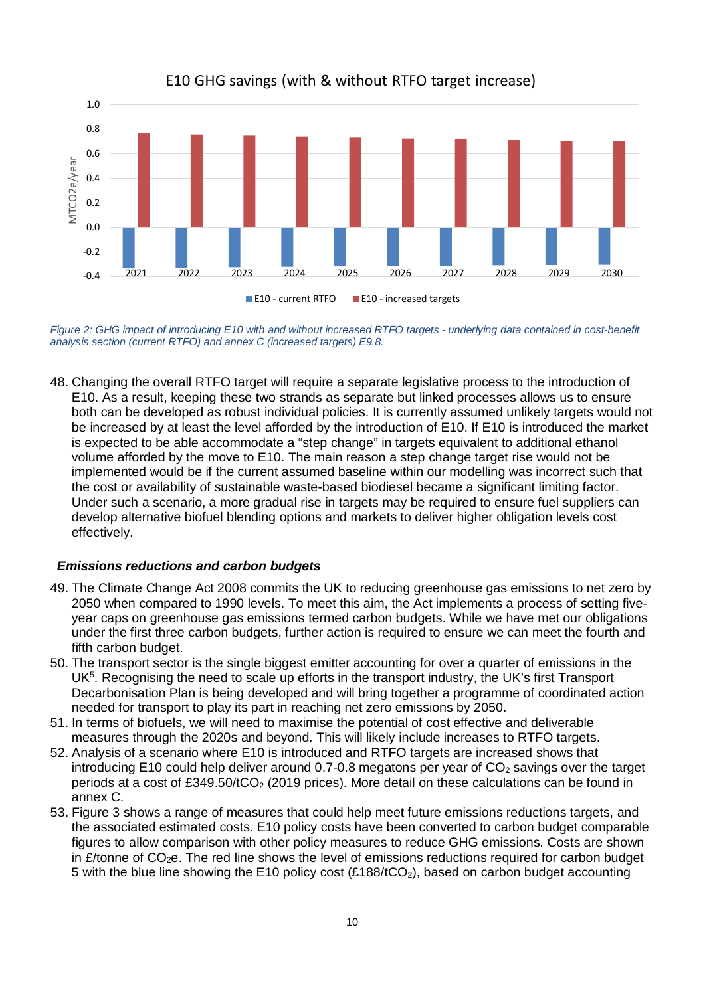

E10 GHG savings (with & without RTFO target increase)

*Figure 2: GHG impact of introducing E10 with and without increased RTFO targets - underlying data contained in cost-benefit analysis section (current RTFO) and annex C (increased targets) E9.8.*

48. Changing the overall RTFO target will require a separate legislative process to the introduction of E10. As a result, keeping these two strands as separate but linked processes allows us to ensure both can be developed as robust individual policies. It is currently assumed unlikely targets would not be increased by at least the level afforded by the introduction of E10. If E10 is introduced the market is expected to be able accommodate a "step change" in targets equivalent to additional ethanol volume afforded by the move to E10. The main reason a step change target rise would not be implemented would be if the current assumed baseline within our modelling was incorrect such that the cost or availability of sustainable waste-based biodiesel became a significant limiting factor. Under such a scenario, a more gradual rise in targets may be required to ensure fuel suppliers can develop alternative biofuel blending options and markets to deliver higher obligation levels cost effectively.

#### *Emissions reductions and carbon budgets*

- 49. The Climate Change Act 2008 commits the UK to reducing greenhouse gas emissions to net zero by 2050 when compared to 1990 levels. To meet this aim, the Act implements a process of setting fiveyear caps on greenhouse gas emissions termed carbon budgets. While we have met our obligations under the first three carbon budgets, further action is required to ensure we can meet the fourth and fifth carbon budget.
- 50. The transport sector is the single biggest emitter accounting for over a quarter of emissions in the UK<sup>5</sup>. Recognising the need to scale up efforts in the transport industry, the UK's first Transport Decarbonisation Plan is being developed and will bring together a programme of coordinated action needed for transport to play its part in reaching net zero emissions by 2050.
- 51. In terms of biofuels, we will need to maximise the potential of cost effective and deliverable measures through the 2020s and beyond. This will likely include increases to RTFO targets.
- 52. Analysis of a scenario where E10 is introduced and RTFO targets are increased shows that introducing E10 could help deliver around 0.7-0.8 megatons per year of  $CO<sub>2</sub>$  savings over the target periods at a cost of £349.50/tCO<sub>2</sub> (2019 prices). More detail on these calculations can be found in annex C.
- 53. Figure 3 shows a range of measures that could help meet future emissions reductions targets, and the associated estimated costs. E10 policy costs have been converted to carbon budget comparable figures to allow comparison with other policy measures to reduce GHG emissions. Costs are shown in  $E$ /tonne of CO<sub>2</sub>e. The red line shows the level of emissions reductions required for carbon budget 5 with the blue line showing the E10 policy cost (£188/tCO<sub>2</sub>), based on carbon budget accounting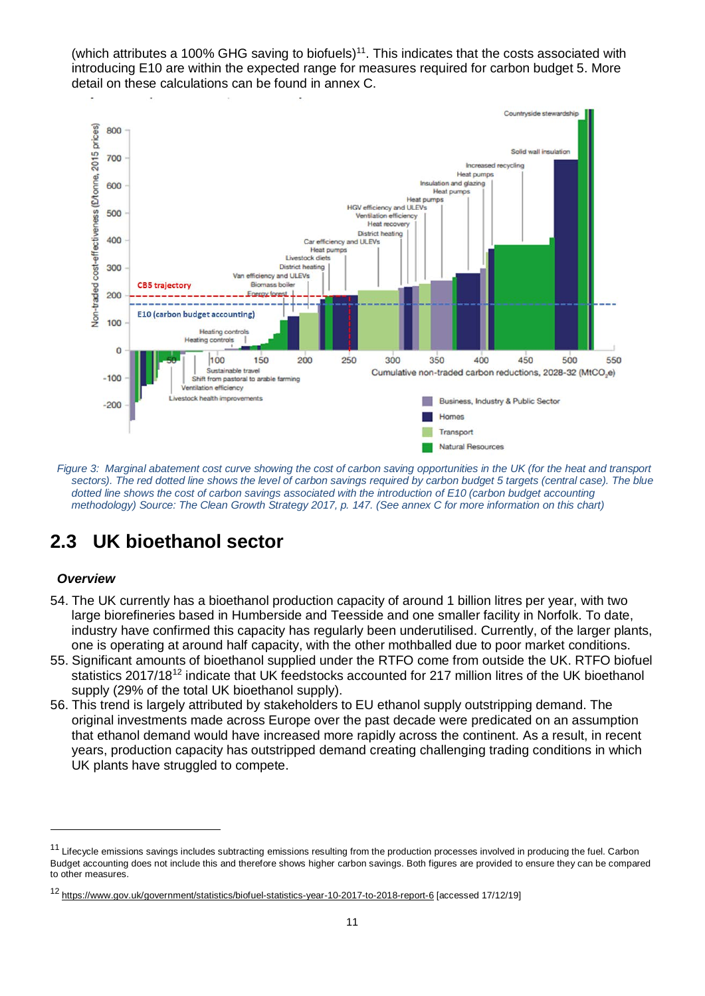(which attributes a 100% GHG saving to biofuels)<sup>11</sup>. This indicates that the costs associated with introducing E10 are within the expected range for measures required for carbon budget 5. More detail on these calculations can be found in annex C.



*Figure 3: Marginal abatement cost curve showing the cost of carbon saving opportunities in the UK (for the heat and transport sectors). The red dotted line shows the level of carbon savings required by carbon budget 5 targets (central case). The blue dotted line shows the cost of carbon savings associated with the introduction of E10 (carbon budget accounting methodology) Source: [The Clean Growth Strategy 2017,](https://assets.publishing.service.gov.uk/government/uploads/system/uploads/attachment_data/file/700496/clean-growth-strategy-correction-april-2018.pdf) p. 147. (See annex C for more information on this chart)*

# **2.3 UK bioethanol sector**

# *Overview*

-

- 54. The UK currently has a bioethanol production capacity of around 1 billion litres per year, with two large biorefineries based in Humberside and Teesside and one smaller facility in Norfolk. To date, industry have confirmed this capacity has regularly been underutilised. Currently, of the larger plants, one is operating at around half capacity, with the other mothballed due to poor market conditions.
- 55. Significant amounts of bioethanol supplied under the RTFO come from outside the UK. RTFO biofuel statistics 2017/18[12](#page-10-1) indicate that UK feedstocks accounted for 217 million litres of the UK bioethanol supply (29% of the total UK bioethanol supply).
- 56. This trend is largely attributed by stakeholders to EU ethanol supply outstripping demand. The original investments made across Europe over the past decade were predicated on an assumption that ethanol demand would have increased more rapidly across the continent. As a result, in recent years, production capacity has outstripped demand creating challenging trading conditions in which UK plants have struggled to compete.

<span id="page-10-0"></span><sup>&</sup>lt;sup>11</sup> Lifecycle emissions savings includes subtracting emissions resulting from the production processes involved in producing the fuel. Carbon Budget accounting does not include this and therefore shows higher carbon savings. Both figures are provided to ensure they can be compared to other measures.

<span id="page-10-1"></span><sup>12</sup> <https://www.gov.uk/government/statistics/biofuel-statistics-year-10-2017-to-2018-report-6> [accessed 17/12/19]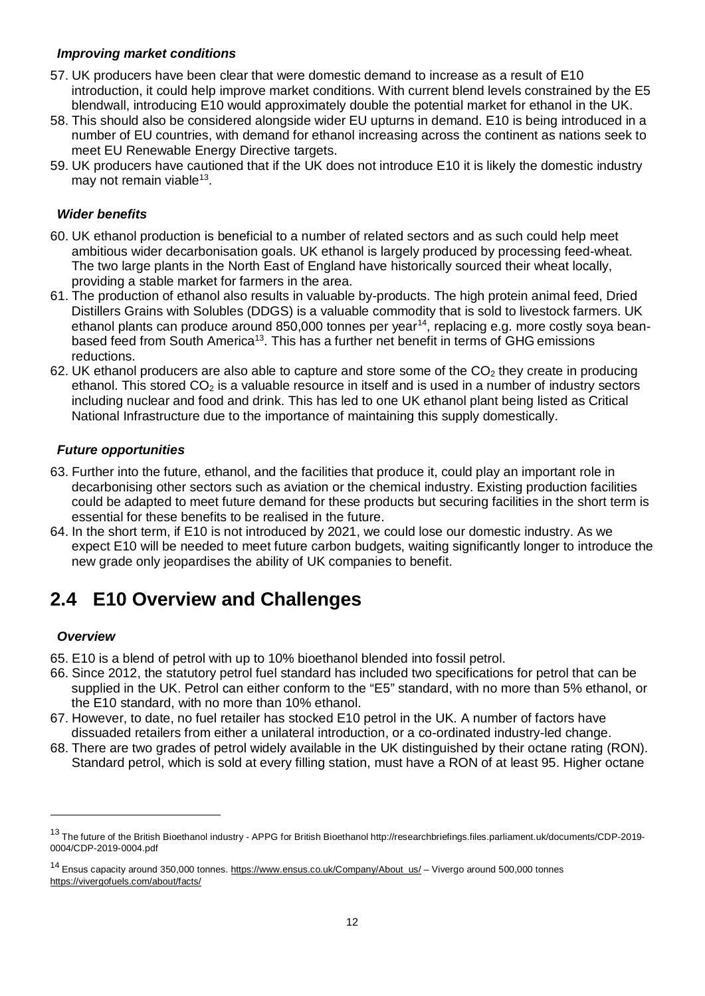## *Improving market conditions*

- 57. UK producers have been clear that were domestic demand to increase as a result of E10 introduction, it could help improve market conditions. With current blend levels constrained by the E5 blendwall, introducing E10 would approximately double the potential market for ethanol in the UK.
- 58. This should also be considered alongside wider EU upturns in demand. E10 is being introduced in a number of EU countries, with demand for ethanol increasing across the continent as nations seek to meet EU Renewable Energy Directive targets.
- 59. UK producers have cautioned that if the UK does not introduce E10 it is likely the domestic industry may not remain viable<sup>13</sup>.

## <span id="page-11-0"></span>*Wider benefits*

- 60. UK ethanol production is beneficial to a number of related sectors and as such could help meet ambitious wider decarbonisation goals. UK ethanol is largely produced by processing feed-wheat. The two large plants in the North East of England have historically sourced their wheat locally, providing a stable market for farmers in the area.
- 61. The production of ethanol also results in valuable by-products. The high protein animal feed, Dried Distillers Grains with Solubles (DDGS) is a valuable commodity that is sold to livestock farmers. UK ethanol plants can produce around 850,000 tonnes per year<sup>[14](#page-11-2)</sup>, replacing e.g. more costly soya beanbased feed from South America<sup>13</sup>. This has a further net benefit in terms of GHG emissions reductions.
- 62. UK ethanol producers are also able to capture and store some of the  $CO<sub>2</sub>$  they create in producing ethanol. This stored  $CO<sub>2</sub>$  is a valuable resource in itself and is used in a number of industry sectors including nuclear and food and drink. This has led to one UK ethanol plant being listed as Critical National Infrastructure due to the importance of maintaining this supply domestically.

## *Future opportunities*

- 63. Further into the future, ethanol, and the facilities that produce it, could play an important role in decarbonising other sectors such as aviation or the chemical industry. Existing production facilities could be adapted to meet future demand for these products but securing facilities in the short term is essential for these benefits to be realised in the future.
- 64. In the short term, if E10 is not introduced by 2021, we could lose our domestic industry. As we expect E10 will be needed to meet future carbon budgets, waiting significantly longer to introduce the new grade only jeopardises the ability of UK companies to benefit.

# **2.4 E10 Overview and Challenges**

### *Overview*

- 65. E10 is a blend of petrol with up to 10% bioethanol blended into fossil petrol.
- 66. Since 2012, the statutory petrol fuel standard has included two specifications for petrol that can be supplied in the UK. Petrol can either conform to the "E5" standard, with no more than 5% ethanol, or the E10 standard, with no more than 10% ethanol.
- 67. However, to date, no fuel retailer has stocked E10 petrol in the UK. A number of factors have dissuaded retailers from either a unilateral introduction, or a co-ordinated industry-led change.
- 68. There are two grades of petrol widely available in the UK distinguished by their octane rating (RON). Standard petrol, which is sold at every filling station, must have a RON of at least 95. Higher octane

<span id="page-11-1"></span><sup>13</sup> The future of the British Bioethanol industry - APPG for British Bioethanol http://researchbriefings.files.parliament.uk/documents/CDP-2019-0004/CDP-2019-0004.pdf

<span id="page-11-2"></span><sup>&</sup>lt;sup>14</sup> Ensus capacity around 350,000 tonnes. [https://www.ensus.co.uk/Company/About\\_us/](https://www.ensus.co.uk/Company/About_us/) – Vivergo around 500,000 tonnes <https://vivergofuels.com/about/facts/>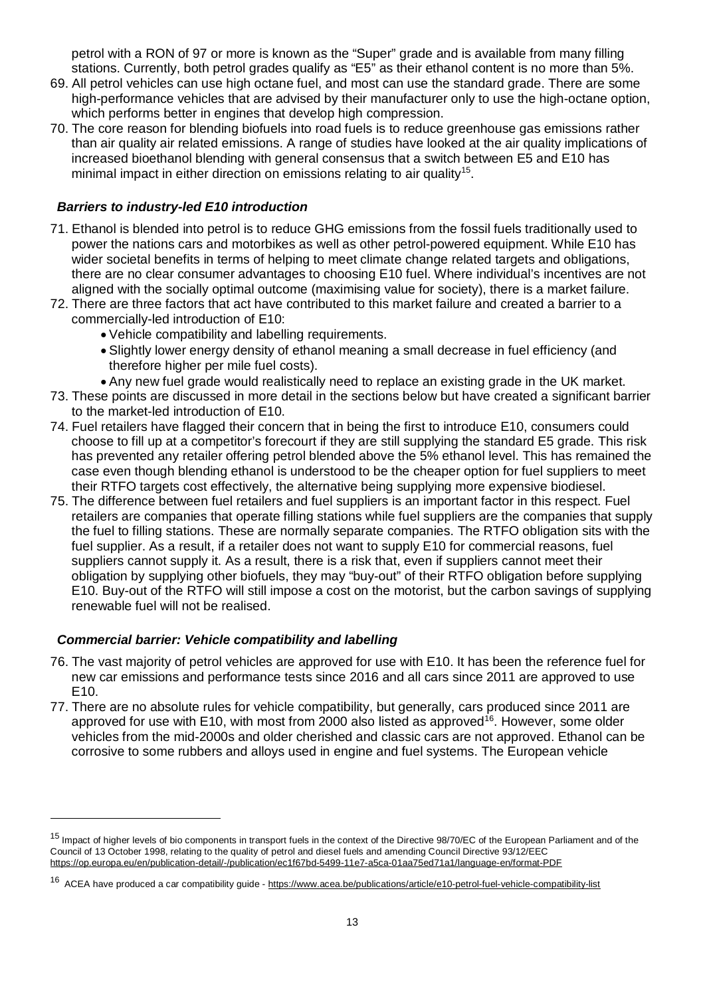petrol with a RON of 97 or more is known as the "Super" grade and is available from many filling stations. Currently, both petrol grades qualify as "E5" as their ethanol content is no more than 5%.

- 69. All petrol vehicles can use high octane fuel, and most can use the standard grade. There are some high-performance vehicles that are advised by their manufacturer only to use the high-octane option, which performs better in engines that develop high compression.
- 70. The core reason for blending biofuels into road fuels is to reduce greenhouse gas emissions rather than air quality air related emissions. A range of studies have looked at the air quality implications of increased bioethanol blending with general consensus that a switch between E5 and E10 has minimal impact in either direction on emissions relating to air quality<sup>[15](#page-12-0)</sup>.

## *Barriers to industry-led E10 introduction*

- 71. Ethanol is blended into petrol is to reduce GHG emissions from the fossil fuels traditionally used to power the nations cars and motorbikes as well as other petrol-powered equipment. While E10 has wider societal benefits in terms of helping to meet climate change related targets and obligations, there are no clear consumer advantages to choosing E10 fuel. Where individual's incentives are not aligned with the socially optimal outcome (maximising value for society), there is a market failure.
- 72. There are three factors that act have contributed to this market failure and created a barrier to a commercially-led introduction of E10:
	- Vehicle compatibility and labelling requirements.
	- Slightly lower energy density of ethanol meaning a small decrease in fuel efficiency (and therefore higher per mile fuel costs).
	- Any new fuel grade would realistically need to replace an existing grade in the UK market.
- 73. These points are discussed in more detail in the sections below but have created a significant barrier to the market-led introduction of E10.
- 74. Fuel retailers have flagged their concern that in being the first to introduce E10, consumers could choose to fill up at a competitor's forecourt if they are still supplying the standard E5 grade. This risk has prevented any retailer offering petrol blended above the 5% ethanol level. This has remained the case even though blending ethanol is understood to be the cheaper option for fuel suppliers to meet their RTFO targets cost effectively, the alternative being supplying more expensive biodiesel.
- 75. The difference between fuel retailers and fuel suppliers is an important factor in this respect. Fuel retailers are companies that operate filling stations while fuel suppliers are the companies that supply the fuel to filling stations. These are normally separate companies. The RTFO obligation sits with the fuel supplier. As a result, if a retailer does not want to supply E10 for commercial reasons, fuel suppliers cannot supply it. As a result, there is a risk that, even if suppliers cannot meet their obligation by supplying other biofuels, they may "buy-out" of their RTFO obligation before supplying E10. Buy-out of the RTFO will still impose a cost on the motorist, but the carbon savings of supplying renewable fuel will not be realised.

### *Commercial barrier: Vehicle compatibility and labelling*

- 76. The vast majority of petrol vehicles are approved for use with E10. It has been the reference fuel for new car emissions and performance tests since 2016 and all cars since 2011 are approved to use E10.
- 77. There are no absolute rules for vehicle compatibility, but generally, cars produced since 2011 are approved for use with E10, with most from 2000 also listed as approved<sup>16</sup>. However, some older vehicles from the mid-2000s and older cherished and classic cars are not approved. Ethanol can be corrosive to some rubbers and alloys used in engine and fuel systems. The European vehicle

<span id="page-12-0"></span><sup>&</sup>lt;sup>15</sup> Impact of higher levels of bio components in transport fuels in the context of the Directive 98/70/EC of the European Parliament and of the Council of 13 October 1998, relating to the quality of petrol and diesel fuels and amending Council Directive 93/12/EEC <https://op.europa.eu/en/publication-detail/-/publication/ec1f67bd-5499-11e7-a5ca-01aa75ed71a1/language-en/format-PDF>

<span id="page-12-1"></span><sup>16</sup> ACEA have produced a car compatibility guide - <https://www.acea.be/publications/article/e10-petrol-fuel-vehicle-compatibility-list>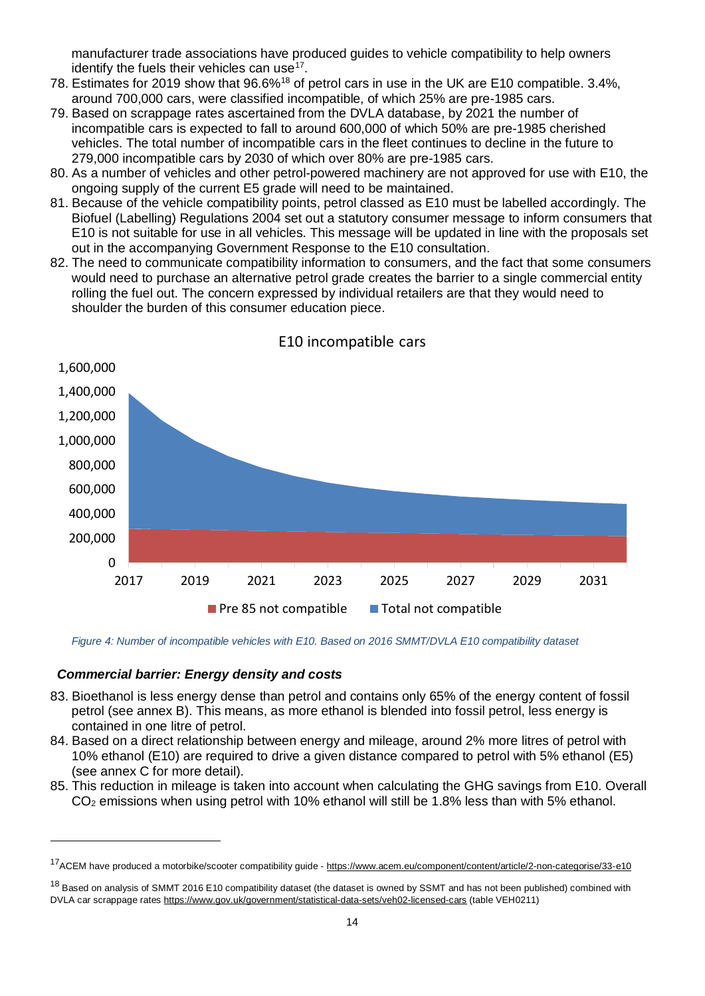manufacturer trade associations have produced guides to vehicle compatibility to help owners identify the fuels their vehicles can use<sup>[17](#page-13-0)</sup>.

- 78. Estimates for 2019 show that 96.6%<sup>18</sup> of petrol cars in use in the UK are E10 compatible. 3.4%, around 700,000 cars, were classified incompatible, of which 25% are pre-1985 cars.
- 79. Based on scrappage rates ascertained from the DVLA database, by 2021 the number of incompatible cars is expected to fall to around 600,000 of which 50% are pre-1985 cherished vehicles. The total number of incompatible cars in the fleet continues to decline in the future to 279,000 incompatible cars by 2030 of which over 80% are pre-1985 cars.
- 80. As a number of vehicles and other petrol-powered machinery are not approved for use with E10, the ongoing supply of the current E5 grade will need to be maintained.
- 81. Because of the vehicle compatibility points, petrol classed as E10 must be labelled accordingly. The Biofuel (Labelling) Regulations 2004 set out a statutory consumer message to inform consumers that E10 is not suitable for use in all vehicles. This message will be updated in line with the proposals set out in the accompanying Government Response to the E10 consultation.
- 82. The need to communicate compatibility information to consumers, and the fact that some consumers would need to purchase an alternative petrol grade creates the barrier to a single commercial entity rolling the fuel out. The concern expressed by individual retailers are that they would need to shoulder the burden of this consumer education piece.



*Figure 4: Number of incompatible vehicles with E10. Based on 2016 SMMT/DVLA E10 compatibility dataset* 

#### *Commercial barrier: Energy density and costs*

- 83. Bioethanol is less energy dense than petrol and contains only 65% of the energy content of fossil petrol (see annex B). This means, as more ethanol is blended into fossil petrol, less energy is contained in one litre of petrol.
- 84. Based on a direct relationship between energy and mileage, around 2% more litres of petrol with 10% ethanol (E10) are required to drive a given distance compared to petrol with 5% ethanol (E5) (see annex C for more detail).
- 85. This reduction in mileage is taken into account when calculating the GHG savings from E10. Overall  $CO<sub>2</sub>$  emissions when using petrol with 10% ethanol will still be 1.8% less than with 5% ethanol.

<span id="page-13-0"></span><sup>&</sup>lt;sup>17</sup>ACEM have produced a motorbike/scooter compatibility guide - <https://www.acem.eu/component/content/article/2-non-categorise/33-e10>

<span id="page-13-1"></span><sup>&</sup>lt;sup>18</sup> Based on analysis of SMMT 2016 E10 compatibility dataset (the dataset is owned by SSMT and has not been published) combined with DVLA car scrappage rates<https://www.gov.uk/government/statistical-data-sets/veh02-licensed-cars> (table VEH0211)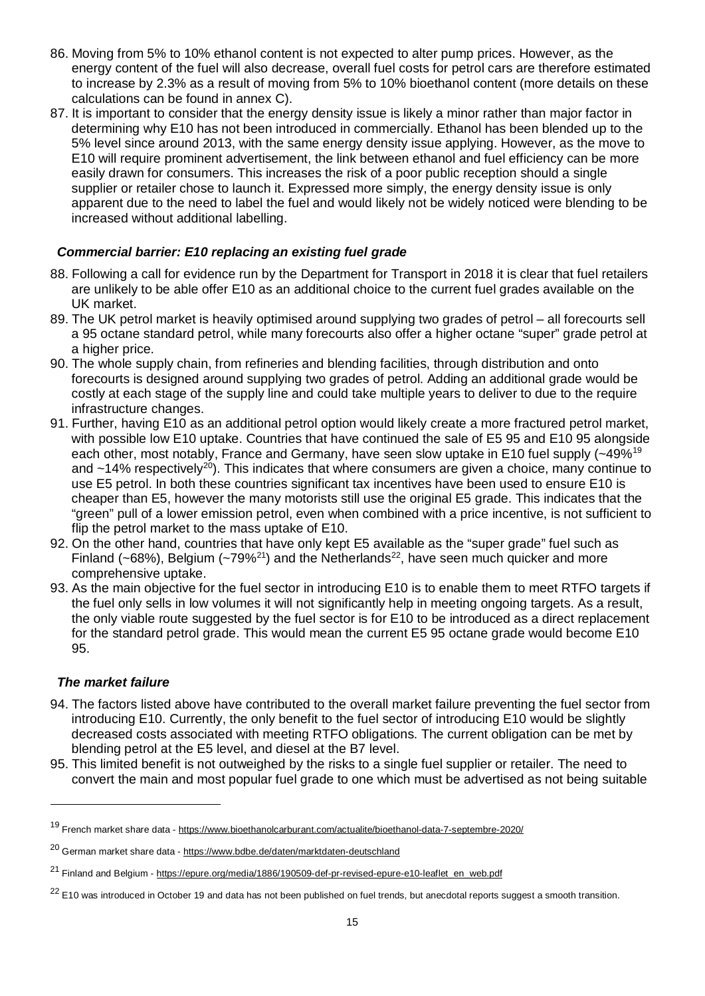- 86. Moving from 5% to 10% ethanol content is not expected to alter pump prices. However, as the energy content of the fuel will also decrease, overall fuel costs for petrol cars are therefore estimated to increase by 2.3% as a result of moving from 5% to 10% bioethanol content (more details on these calculations can be found in annex C).
- 87. It is important to consider that the energy density issue is likely a minor rather than major factor in determining why E10 has not been introduced in commercially. Ethanol has been blended up to the 5% level since around 2013, with the same energy density issue applying. However, as the move to E10 will require prominent advertisement, the link between ethanol and fuel efficiency can be more easily drawn for consumers. This increases the risk of a poor public reception should a single supplier or retailer chose to launch it. Expressed more simply, the energy density issue is only apparent due to the need to label the fuel and would likely not be widely noticed were blending to be increased without additional labelling.

# *Commercial barrier: E10 replacing an existing fuel grade*

- 88. Following a call for evidence run by the Department for Transport in 2018 it is clear that fuel retailers are unlikely to be able offer E10 as an additional choice to the current fuel grades available on the UK market.
- 89. The UK petrol market is heavily optimised around supplying two grades of petrol all forecourts sell a 95 octane standard petrol, while many forecourts also offer a higher octane "super" grade petrol at a higher price.
- 90. The whole supply chain, from refineries and blending facilities, through distribution and onto forecourts is designed around supplying two grades of petrol. Adding an additional grade would be costly at each stage of the supply line and could take multiple years to deliver to due to the require infrastructure changes.
- 91. Further, having E10 as an additional petrol option would likely create a more fractured petrol market, with possible low E10 uptake. Countries that have continued the sale of E5 95 and E10 95 alongside each other, most notably, France and Germany, have seen slow uptake in E10 fuel supply (~49%<sup>19</sup> and  $\sim$ 14% respectively<sup>20</sup>). This indicates that where consumers are given a choice, many continue to use E5 petrol. In both these countries significant tax incentives have been used to ensure E10 is cheaper than E5, however the many motorists still use the original E5 grade. This indicates that the "green" pull of a lower emission petrol, even when combined with a price incentive, is not sufficient to flip the petrol market to the mass uptake of E10.
- 92. On the other hand, countries that have only kept E5 available as the "super grade" fuel such as Finland (~68%), Belgium (~79%<sup>21</sup>) and the Netherlands<sup>[22](#page-14-3)</sup>, have seen much quicker and more comprehensive uptake.
- 93. As the main objective for the fuel sector in introducing E10 is to enable them to meet RTFO targets if the fuel only sells in low volumes it will not significantly help in meeting ongoing targets. As a result, the only viable route suggested by the fuel sector is for E10 to be introduced as a direct replacement for the standard petrol grade. This would mean the current E5 95 octane grade would become E10 95.

# *The market failure*

- 94. The factors listed above have contributed to the overall market failure preventing the fuel sector from introducing E10. Currently, the only benefit to the fuel sector of introducing E10 would be slightly decreased costs associated with meeting RTFO obligations. The current obligation can be met by blending petrol at the E5 level, and diesel at the B7 level.
- 95. This limited benefit is not outweighed by the risks to a single fuel supplier or retailer. The need to convert the main and most popular fuel grade to one which must be advertised as not being suitable

<span id="page-14-0"></span><sup>19</sup> French market share data - <https://www.bioethanolcarburant.com/actualite/bioethanol-data-7-septembre-2020/>

<span id="page-14-1"></span><sup>20</sup> German market share data - <https://www.bdbe.de/daten/marktdaten-deutschland>

<span id="page-14-2"></span><sup>&</sup>lt;sup>21</sup> Finland and Belgium - [https://epure.org/media/1886/190509-def-pr-revised-epure-e10-leaflet\\_en\\_web.pdf](https://epure.org/media/1886/190509-def-pr-revised-epure-e10-leaflet_en_web.pdf)

<span id="page-14-3"></span><sup>&</sup>lt;sup>22</sup> E10 was introduced in October 19 and data has not been published on fuel trends, but anecdotal reports suggest a smooth transition.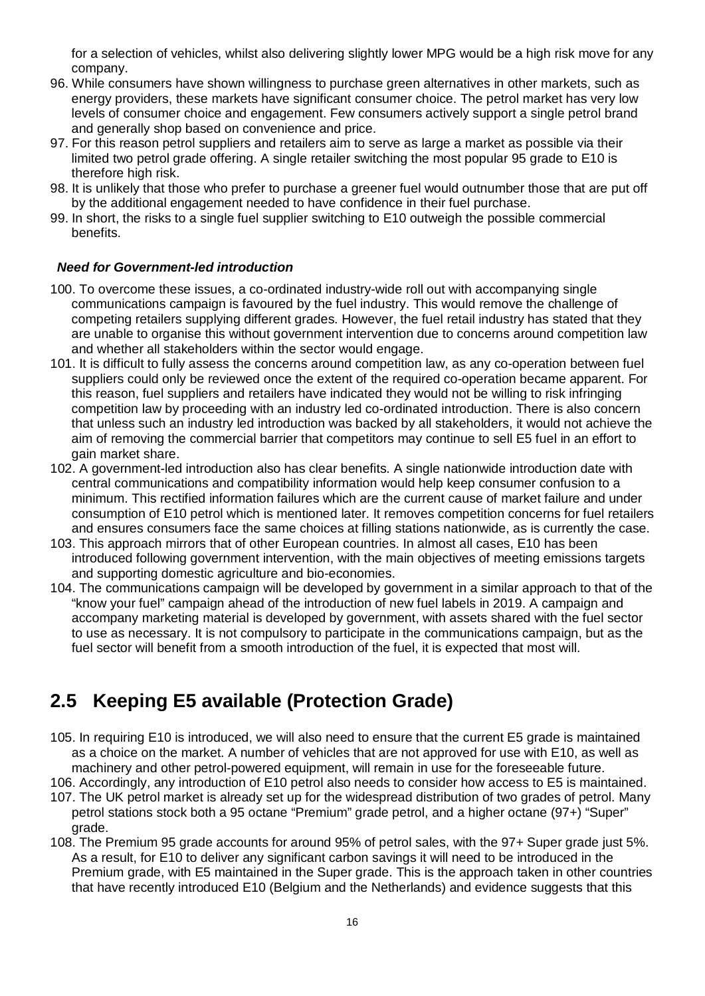for a selection of vehicles, whilst also delivering slightly lower MPG would be a high risk move for any company.

- 96. While consumers have shown willingness to purchase green alternatives in other markets, such as energy providers, these markets have significant consumer choice. The petrol market has very low levels of consumer choice and engagement. Few consumers actively support a single petrol brand and generally shop based on convenience and price.
- 97. For this reason petrol suppliers and retailers aim to serve as large a market as possible via their limited two petrol grade offering. A single retailer switching the most popular 95 grade to E10 is therefore high risk.
- 98. It is unlikely that those who prefer to purchase a greener fuel would outnumber those that are put off by the additional engagement needed to have confidence in their fuel purchase.
- 99. In short, the risks to a single fuel supplier switching to E10 outweigh the possible commercial benefits.

### *Need for Government-led introduction*

- 100. To overcome these issues, a co-ordinated industry-wide roll out with accompanying single communications campaign is favoured by the fuel industry. This would remove the challenge of competing retailers supplying different grades. However, the fuel retail industry has stated that they are unable to organise this without government intervention due to concerns around competition law and whether all stakeholders within the sector would engage.
- 101. It is difficult to fully assess the concerns around competition law, as any co-operation between fuel suppliers could only be reviewed once the extent of the required co-operation became apparent. For this reason, fuel suppliers and retailers have indicated they would not be willing to risk infringing competition law by proceeding with an industry led co-ordinated introduction. There is also concern that unless such an industry led introduction was backed by all stakeholders, it would not achieve the aim of removing the commercial barrier that competitors may continue to sell E5 fuel in an effort to gain market share.
- 102. A government-led introduction also has clear benefits. A single nationwide introduction date with central communications and compatibility information would help keep consumer confusion to a minimum. This rectified information failures which are the current cause of market failure and under consumption of E10 petrol which is mentioned later. It removes competition concerns for fuel retailers and ensures consumers face the same choices at filling stations nationwide, as is currently the case.
- 103. This approach mirrors that of other European countries. In almost all cases, E10 has been introduced following government intervention, with the main objectives of meeting emissions targets and supporting domestic agriculture and bio-economies.
- 104. The communications campaign will be developed by government in a similar approach to that of the "know your fuel" campaign ahead of the introduction of new fuel labels in 2019. A campaign and accompany marketing material is developed by government, with assets shared with the fuel sector to use as necessary. It is not compulsory to participate in the communications campaign, but as the fuel sector will benefit from a smooth introduction of the fuel, it is expected that most will.

# **2.5 Keeping E5 available (Protection Grade)**

- 105. In requiring E10 is introduced, we will also need to ensure that the current E5 grade is maintained as a choice on the market. A number of vehicles that are not approved for use with E10, as well as machinery and other petrol-powered equipment, will remain in use for the foreseeable future.
- 106. Accordingly, any introduction of E10 petrol also needs to consider how access to E5 is maintained. 107. The UK petrol market is already set up for the widespread distribution of two grades of petrol. Many
- petrol stations stock both a 95 octane "Premium" grade petrol, and a higher octane (97+) "Super" grade.
- 108. The Premium 95 grade accounts for around 95% of petrol sales, with the 97+ Super grade just 5%. As a result, for E10 to deliver any significant carbon savings it will need to be introduced in the Premium grade, with E5 maintained in the Super grade. This is the approach taken in other countries that have recently introduced E10 (Belgium and the Netherlands) and evidence suggests that this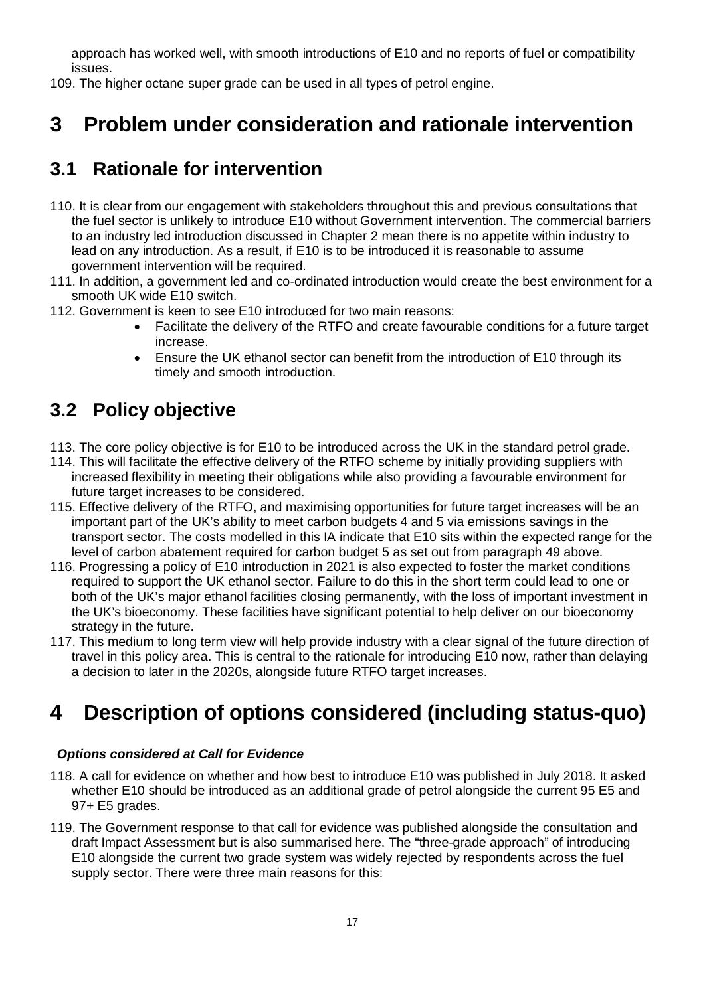approach has worked well, with smooth introductions of E10 and no reports of fuel or compatibility issues.

109. The higher octane super grade can be used in all types of petrol engine.

# <span id="page-16-0"></span>**3 Problem under consideration and rationale intervention**

# **3.1 Rationale for intervention**

- 110. It is clear from our engagement with stakeholders throughout this and previous consultations that the fuel sector is unlikely to introduce E10 without Government intervention. The commercial barriers to an industry led introduction discussed in Chapter 2 mean there is no appetite within industry to lead on any introduction. As a result, if E10 is to be introduced it is reasonable to assume government intervention will be required.
- 111. In addition, a government led and co-ordinated introduction would create the best environment for a smooth UK wide E10 switch.
- 112. Government is keen to see E10 introduced for two main reasons:
	- Facilitate the delivery of the RTFO and create favourable conditions for a future target increase.
	- Ensure the UK ethanol sector can benefit from the introduction of E10 through its timely and smooth introduction.

# **3.2 Policy objective**

- 113. The core policy objective is for E10 to be introduced across the UK in the standard petrol grade.
- 114. This will facilitate the effective delivery of the RTFO scheme by initially providing suppliers with increased flexibility in meeting their obligations while also providing a favourable environment for future target increases to be considered.
- 115. Effective delivery of the RTFO, and maximising opportunities for future target increases will be an important part of the UK's ability to meet carbon budgets 4 and 5 via emissions savings in the transport sector. The costs modelled in this IA indicate that E10 sits within the expected range for the level of carbon abatement required for carbon budget 5 as set out from paragraph 49 above.
- 116. Progressing a policy of E10 introduction in 2021 is also expected to foster the market conditions required to support the UK ethanol sector. Failure to do this in the short term could lead to one or both of the UK's major ethanol facilities closing permanently, with the loss of important investment in the UK's bioeconomy. These facilities have significant potential to help deliver on our bioeconomy strategy in the future.
- 117. This medium to long term view will help provide industry with a clear signal of the future direction of travel in this policy area. This is central to the rationale for introducing E10 now, rather than delaying a decision to later in the 2020s, alongside future RTFO target increases.

# <span id="page-16-1"></span>**4 Description of options considered (including status-quo)**

# *Options considered at Call for Evidence*

- 118. A call for evidence on whether and how best to introduce E10 was published in July 2018. It asked whether E10 should be introduced as an additional grade of petrol alongside the current 95 E5 and 97+ E5 grades.
- 119. The Government response to that call for evidence was published alongside the consultation and draft Impact Assessment but is also summarised here. The "three-grade approach" of introducing E10 alongside the current two grade system was widely rejected by respondents across the fuel supply sector. There were three main reasons for this: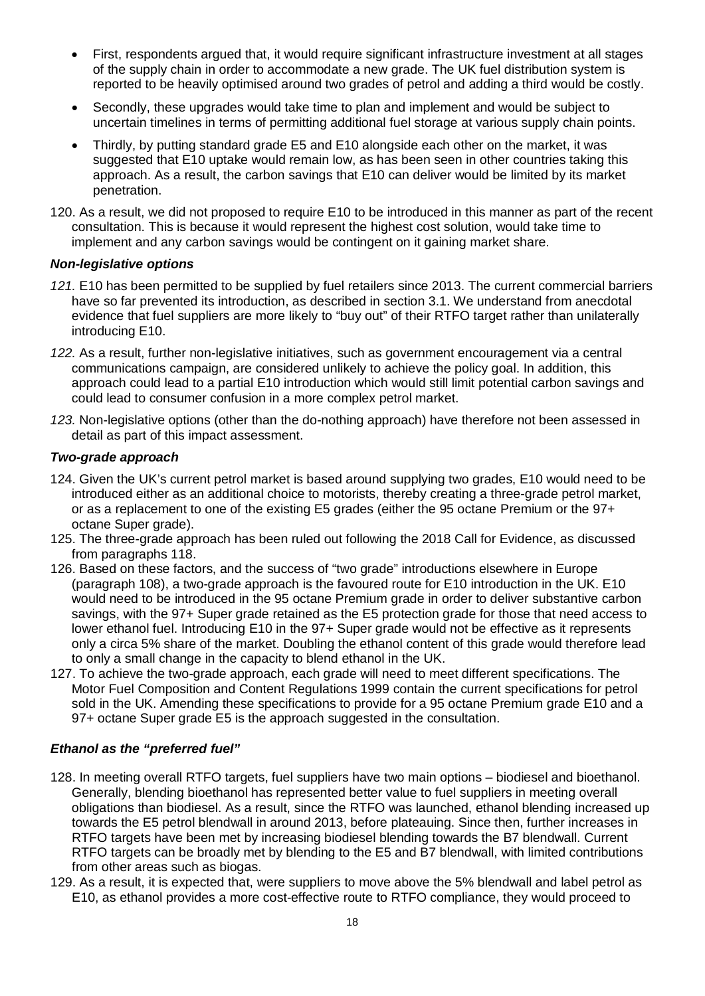- First, respondents argued that, it would require significant infrastructure investment at all stages of the supply chain in order to accommodate a new grade. The UK fuel distribution system is reported to be heavily optimised around two grades of petrol and adding a third would be costly.
- Secondly, these upgrades would take time to plan and implement and would be subject to uncertain timelines in terms of permitting additional fuel storage at various supply chain points.
- Thirdly, by putting standard grade E5 and E10 alongside each other on the market, it was suggested that E10 uptake would remain low, as has been seen in other countries taking this approach. As a result, the carbon savings that E10 can deliver would be limited by its market penetration.
- 120. As a result, we did not proposed to require E10 to be introduced in this manner as part of the recent consultation. This is because it would represent the highest cost solution, would take time to implement and any carbon savings would be contingent on it gaining market share.

### *Non-legislative options*

- *121.* E10 has been permitted to be supplied by fuel retailers since 2013. The current commercial barriers have so far prevented its introduction, as described in section 3.1. We understand from anecdotal evidence that fuel suppliers are more likely to "buy out" of their RTFO target rather than unilaterally introducing E10.
- *122.* As a result, further non-legislative initiatives, such as government encouragement via a central communications campaign, are considered unlikely to achieve the policy goal. In addition, this approach could lead to a partial E10 introduction which would still limit potential carbon savings and could lead to consumer confusion in a more complex petrol market.
- *123.* Non-legislative options (other than the do-nothing approach) have therefore not been assessed in detail as part of this impact assessment.

## *Two-grade approach*

- 124. Given the UK's current petrol market is based around supplying two grades, E10 would need to be introduced either as an additional choice to motorists, thereby creating a three-grade petrol market, or as a replacement to one of the existing E5 grades (either the 95 octane Premium or the 97+ octane Super grade).
- 125. The three-grade approach has been ruled out following the 2018 Call for Evidence, as discussed from paragraphs 118.
- 126. Based on these factors, and the success of "two grade" introductions elsewhere in Europe (paragraph 108), a two-grade approach is the favoured route for E10 introduction in the UK. E10 would need to be introduced in the 95 octane Premium grade in order to deliver substantive carbon savings, with the 97+ Super grade retained as the E5 protection grade for those that need access to lower ethanol fuel. Introducing E10 in the 97+ Super grade would not be effective as it represents only a circa 5% share of the market. Doubling the ethanol content of this grade would therefore lead to only a small change in the capacity to blend ethanol in the UK.
- 127. To achieve the two-grade approach, each grade will need to meet different specifications. The Motor Fuel Composition and Content Regulations 1999 contain the current specifications for petrol sold in the UK. Amending these specifications to provide for a 95 octane Premium grade E10 and a 97+ octane Super grade E5 is the approach suggested in the consultation.

# *Ethanol as the "preferred fuel"*

- 128. In meeting overall RTFO targets, fuel suppliers have two main options biodiesel and bioethanol. Generally, blending bioethanol has represented better value to fuel suppliers in meeting overall obligations than biodiesel. As a result, since the RTFO was launched, ethanol blending increased up towards the E5 petrol blendwall in around 2013, before plateauing. Since then, further increases in RTFO targets have been met by increasing biodiesel blending towards the B7 blendwall. Current RTFO targets can be broadly met by blending to the E5 and B7 blendwall, with limited contributions from other areas such as biogas.
- 129. As a result, it is expected that, were suppliers to move above the 5% blendwall and label petrol as E10, as ethanol provides a more cost-effective route to RTFO compliance, they would proceed to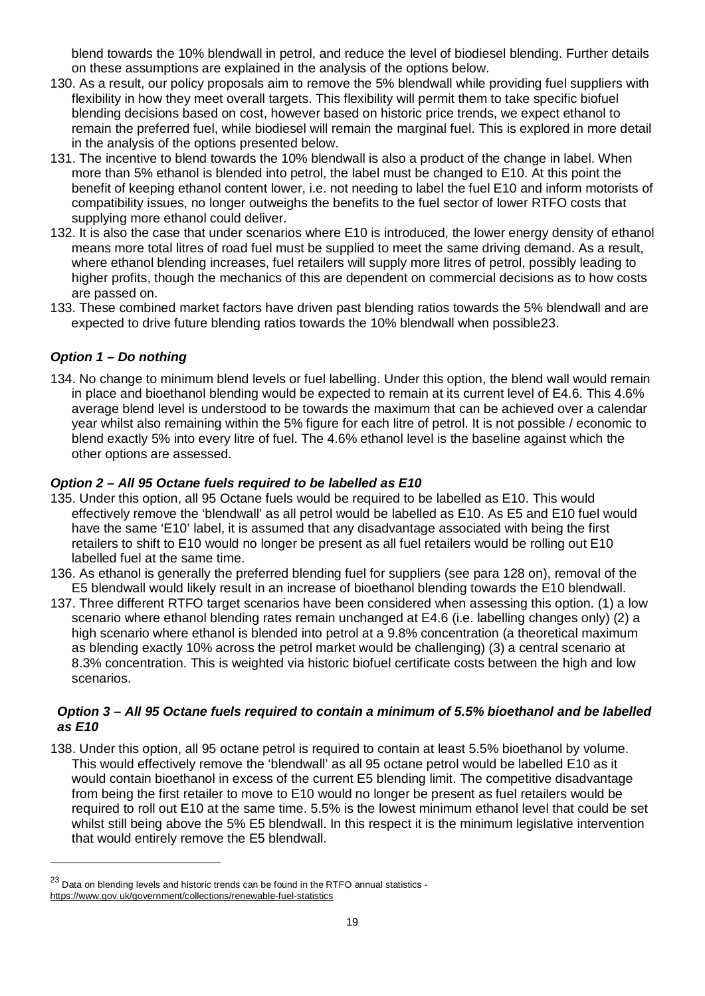blend towards the 10% blendwall in petrol, and reduce the level of biodiesel blending. Further details on these assumptions are explained in the analysis of the options below.

- 130. As a result, our policy proposals aim to remove the 5% blendwall while providing fuel suppliers with flexibility in how they meet overall targets. This flexibility will permit them to take specific biofuel blending decisions based on cost, however based on historic price trends, we expect ethanol to remain the preferred fuel, while biodiesel will remain the marginal fuel. This is explored in more detail in the analysis of the options presented below.
- 131. The incentive to blend towards the 10% blendwall is also a product of the change in label. When more than 5% ethanol is blended into petrol, the label must be changed to E10. At this point the benefit of keeping ethanol content lower, i.e. not needing to label the fuel E10 and inform motorists of compatibility issues, no longer outweighs the benefits to the fuel sector of lower RTFO costs that supplying more ethanol could deliver.
- 132. It is also the case that under scenarios where E10 is introduced, the lower energy density of ethanol means more total litres of road fuel must be supplied to meet the same driving demand. As a result, where ethanol blending increases, fuel retailers will supply more litres of petrol, possibly leading to higher profits, though the mechanics of this are dependent on commercial decisions as to how costs are passed on.
- 133. These combined market factors have driven past blending ratios towards the 5% blendwall and are expected to drive future blending ratios towards the 10% blendwall when possible[23](#page-18-0).

# *Option 1 – Do nothing*

 $\overline{a}$ 

134. No change to minimum blend levels or fuel labelling. Under this option, the blend wall would remain in place and bioethanol blending would be expected to remain at its current level of E4.6. This 4.6% average blend level is understood to be towards the maximum that can be achieved over a calendar year whilst also remaining within the 5% figure for each litre of petrol. It is not possible / economic to blend exactly 5% into every litre of fuel. The 4.6% ethanol level is the baseline against which the other options are assessed.

# *Option 2 – All 95 Octane fuels required to be labelled as E10*

- 135. Under this option, all 95 Octane fuels would be required to be labelled as E10. This would effectively remove the 'blendwall' as all petrol would be labelled as E10. As E5 and E10 fuel would have the same 'E10' label, it is assumed that any disadvantage associated with being the first retailers to shift to E10 would no longer be present as all fuel retailers would be rolling out E10 labelled fuel at the same time.
- 136. As ethanol is generally the preferred blending fuel for suppliers (see para 128 on), removal of the E5 blendwall would likely result in an increase of bioethanol blending towards the E10 blendwall.
- 137. Three different RTFO target scenarios have been considered when assessing this option. (1) a low scenario where ethanol blending rates remain unchanged at E4.6 (i.e. labelling changes only) (2) a high scenario where ethanol is blended into petrol at a 9.8% concentration (a theoretical maximum as blending exactly 10% across the petrol market would be challenging) (3) a central scenario at 8.3% concentration. This is weighted via historic biofuel certificate costs between the high and low scenarios.

### *Option 3 – All 95 Octane fuels required to contain a minimum of 5.5% bioethanol and be labelled as E10*

138. Under this option, all 95 octane petrol is required to contain at least 5.5% bioethanol by volume. This would effectively remove the 'blendwall' as all 95 octane petrol would be labelled E10 as it would contain bioethanol in excess of the current E5 blending limit. The competitive disadvantage from being the first retailer to move to E10 would no longer be present as fuel retailers would be required to roll out E10 at the same time. 5.5% is the lowest minimum ethanol level that could be set whilst still being above the 5% E5 blendwall. In this respect it is the minimum legislative intervention that would entirely remove the E5 blendwall.

<span id="page-18-0"></span><sup>&</sup>lt;sup>23</sup> Data on blending levels and historic trends can be found in the RTFO annual statistics <https://www.gov.uk/government/collections/renewable-fuel-statistics>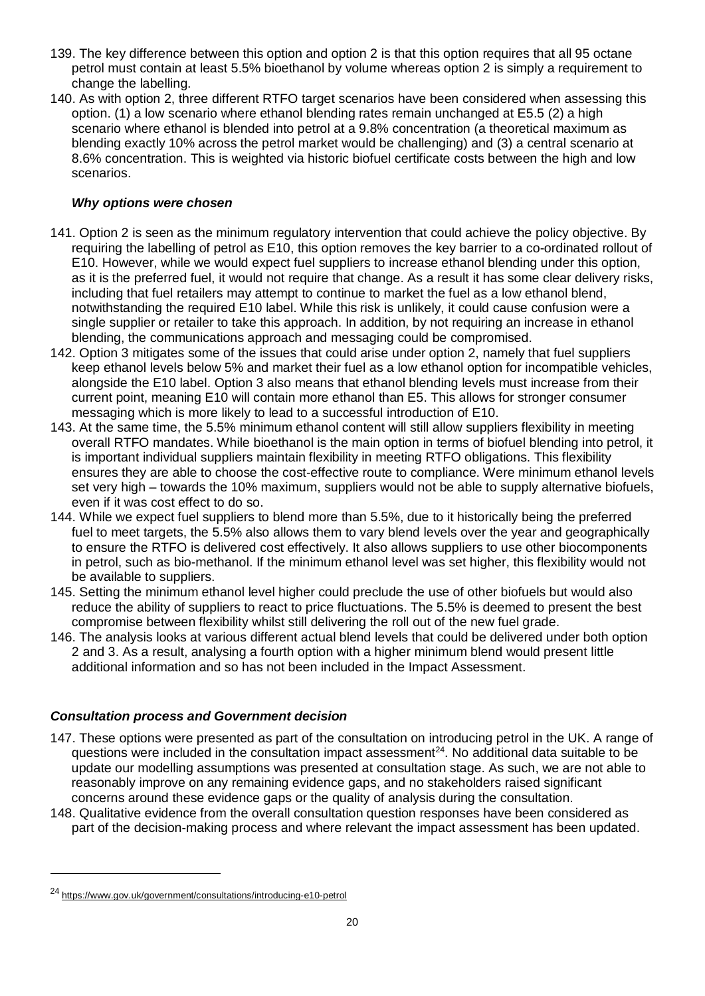- 139. The key difference between this option and option 2 is that this option requires that all 95 octane petrol must contain at least 5.5% bioethanol by volume whereas option 2 is simply a requirement to change the labelling.
- 140. As with option 2, three different RTFO target scenarios have been considered when assessing this option. (1) a low scenario where ethanol blending rates remain unchanged at E5.5 (2) a high scenario where ethanol is blended into petrol at a 9.8% concentration (a theoretical maximum as blending exactly 10% across the petrol market would be challenging) and (3) a central scenario at 8.6% concentration. This is weighted via historic biofuel certificate costs between the high and low scenarios.

## *Why options were chosen*

- 141. Option 2 is seen as the minimum regulatory intervention that could achieve the policy objective. By requiring the labelling of petrol as E10, this option removes the key barrier to a co-ordinated rollout of E10. However, while we would expect fuel suppliers to increase ethanol blending under this option, as it is the preferred fuel, it would not require that change. As a result it has some clear delivery risks, including that fuel retailers may attempt to continue to market the fuel as a low ethanol blend, notwithstanding the required E10 label. While this risk is unlikely, it could cause confusion were a single supplier or retailer to take this approach. In addition, by not requiring an increase in ethanol blending, the communications approach and messaging could be compromised.
- 142. Option 3 mitigates some of the issues that could arise under option 2, namely that fuel suppliers keep ethanol levels below 5% and market their fuel as a low ethanol option for incompatible vehicles, alongside the E10 label. Option 3 also means that ethanol blending levels must increase from their current point, meaning E10 will contain more ethanol than E5. This allows for stronger consumer messaging which is more likely to lead to a successful introduction of E10.
- 143. At the same time, the 5.5% minimum ethanol content will still allow suppliers flexibility in meeting overall RTFO mandates. While bioethanol is the main option in terms of biofuel blending into petrol, it is important individual suppliers maintain flexibility in meeting RTFO obligations. This flexibility ensures they are able to choose the cost-effective route to compliance. Were minimum ethanol levels set very high – towards the 10% maximum, suppliers would not be able to supply alternative biofuels, even if it was cost effect to do so.
- 144. While we expect fuel suppliers to blend more than 5.5%, due to it historically being the preferred fuel to meet targets, the 5.5% also allows them to vary blend levels over the year and geographically to ensure the RTFO is delivered cost effectively. It also allows suppliers to use other biocomponents in petrol, such as bio-methanol. If the minimum ethanol level was set higher, this flexibility would not be available to suppliers.
- 145. Setting the minimum ethanol level higher could preclude the use of other biofuels but would also reduce the ability of suppliers to react to price fluctuations. The 5.5% is deemed to present the best compromise between flexibility whilst still delivering the roll out of the new fuel grade.
- 146. The analysis looks at various different actual blend levels that could be delivered under both option 2 and 3. As a result, analysing a fourth option with a higher minimum blend would present little additional information and so has not been included in the Impact Assessment.

### *Consultation process and Government decision*

- 147. These options were presented as part of the consultation on introducing petrol in the UK. A range of questions were included in the consultation impact assessment $^{24}$ . No additional data suitable to be update our modelling assumptions was presented at consultation stage. As such, we are not able to reasonably improve on any remaining evidence gaps, and no stakeholders raised significant concerns around these evidence gaps or the quality of analysis during the consultation.
- 148. Qualitative evidence from the overall consultation question responses have been considered as part of the decision-making process and where relevant the impact assessment has been updated.

<span id="page-19-0"></span><sup>24</sup> <https://www.gov.uk/government/consultations/introducing-e10-petrol>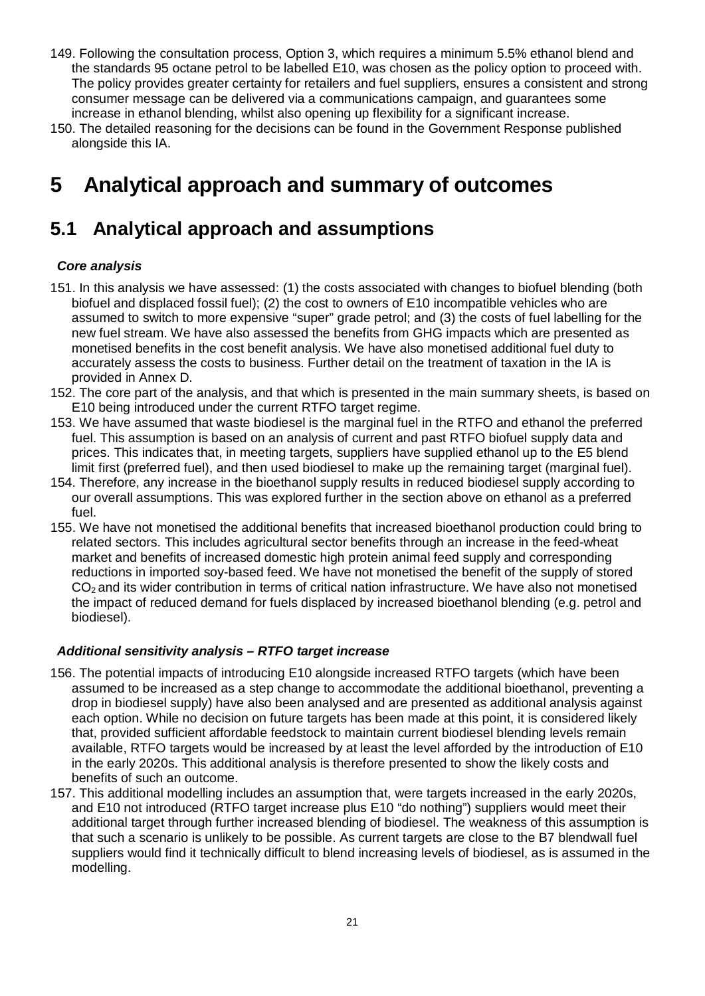- 149. Following the consultation process, Option 3, which requires a minimum 5.5% ethanol blend and the standards 95 octane petrol to be labelled E10, was chosen as the policy option to proceed with. The policy provides greater certainty for retailers and fuel suppliers, ensures a consistent and strong consumer message can be delivered via a communications campaign, and guarantees some increase in ethanol blending, whilst also opening up flexibility for a significant increase.
- 150. The detailed reasoning for the decisions can be found in the Government Response published alongside this IA.

# <span id="page-20-0"></span>**5 Analytical approach and summary of outcomes**

# **5.1 Analytical approach and assumptions**

# *Core analysis*

- 151. In this analysis we have assessed: (1) the costs associated with changes to biofuel blending (both biofuel and displaced fossil fuel); (2) the cost to owners of E10 incompatible vehicles who are assumed to switch to more expensive "super" grade petrol; and (3) the costs of fuel labelling for the new fuel stream. We have also assessed the benefits from GHG impacts which are presented as monetised benefits in the cost benefit analysis. We have also monetised additional fuel duty to accurately assess the costs to business. Further detail on the treatment of taxation in the IA is provided in Annex D.
- 152. The core part of the analysis, and that which is presented in the main summary sheets, is based on E10 being introduced under the current RTFO target regime.
- 153. We have assumed that waste biodiesel is the marginal fuel in the RTFO and ethanol the preferred fuel. This assumption is based on an analysis of current and past RTFO biofuel supply data and prices. This indicates that, in meeting targets, suppliers have supplied ethanol up to the E5 blend limit first (preferred fuel), and then used biodiesel to make up the remaining target (marginal fuel).
- 154. Therefore, any increase in the bioethanol supply results in reduced biodiesel supply according to our overall assumptions. This was explored further in the section above on ethanol as a preferred fuel.
- 155. We have not monetised the additional benefits that increased bioethanol production could bring to related sectors. This includes agricultural sector benefits through an increase in the feed-wheat market and benefits of increased domestic high protein animal feed supply and corresponding reductions in imported soy-based feed. We have not monetised the benefit of the supply of stored CO<sub>2</sub> and its wider contribution in terms of critical nation infrastructure. We have also not monetised the impact of reduced demand for fuels displaced by increased bioethanol blending (e.g. petrol and biodiesel).

# *Additional sensitivity analysis – RTFO target increase*

- 156. The potential impacts of introducing E10 alongside increased RTFO targets (which have been assumed to be increased as a step change to accommodate the additional bioethanol, preventing a drop in biodiesel supply) have also been analysed and are presented as additional analysis against each option. While no decision on future targets has been made at this point, it is considered likely that, provided sufficient affordable feedstock to maintain current biodiesel blending levels remain available, RTFO targets would be increased by at least the level afforded by the introduction of E10 in the early 2020s. This additional analysis is therefore presented to show the likely costs and benefits of such an outcome.
- 157. This additional modelling includes an assumption that, were targets increased in the early 2020s, and E10 not introduced (RTFO target increase plus E10 "do nothing") suppliers would meet their additional target through further increased blending of biodiesel. The weakness of this assumption is that such a scenario is unlikely to be possible. As current targets are close to the B7 blendwall fuel suppliers would find it technically difficult to blend increasing levels of biodiesel, as is assumed in the modelling.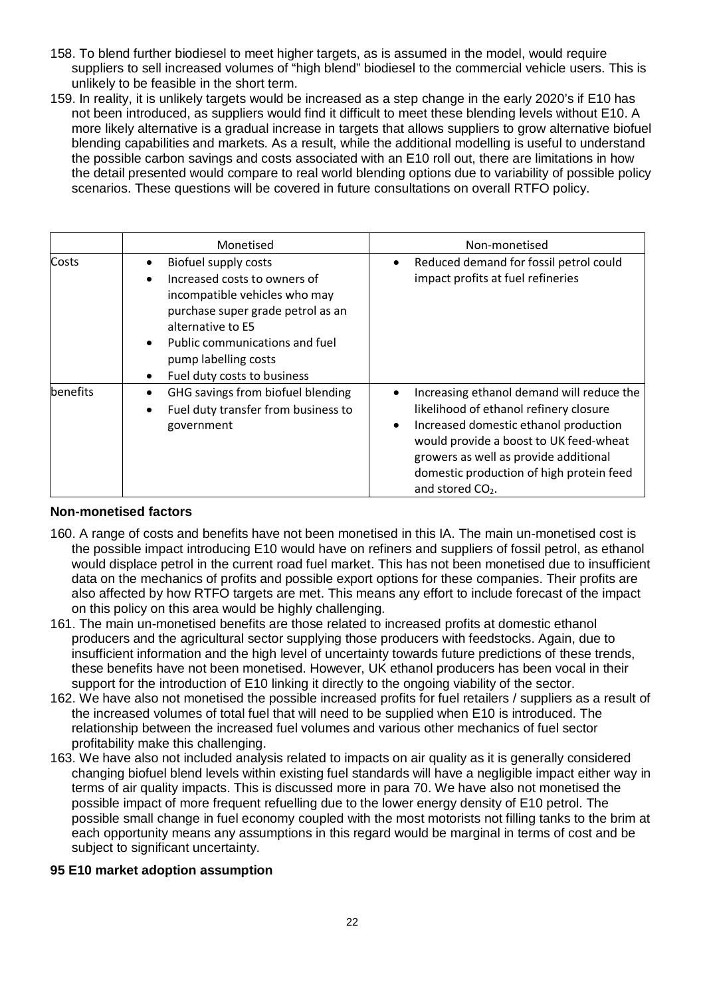- 158. To blend further biodiesel to meet higher targets, as is assumed in the model, would require suppliers to sell increased volumes of "high blend" biodiesel to the commercial vehicle users. This is unlikely to be feasible in the short term.
- 159. In reality, it is unlikely targets would be increased as a step change in the early 2020's if E10 has not been introduced, as suppliers would find it difficult to meet these blending levels without E10. A more likely alternative is a gradual increase in targets that allows suppliers to grow alternative biofuel blending capabilities and markets. As a result, while the additional modelling is useful to understand the possible carbon savings and costs associated with an E10 roll out, there are limitations in how the detail presented would compare to real world blending options due to variability of possible policy scenarios. These questions will be covered in future consultations on overall RTFO policy.

|                 | Monetised                                                                                                                                                                                                                                                                                    | Non-monetised                                                                                                                                                                                                                                                                                                         |
|-----------------|----------------------------------------------------------------------------------------------------------------------------------------------------------------------------------------------------------------------------------------------------------------------------------------------|-----------------------------------------------------------------------------------------------------------------------------------------------------------------------------------------------------------------------------------------------------------------------------------------------------------------------|
| Costs           | Biofuel supply costs<br>$\bullet$<br>Increased costs to owners of<br>$\bullet$<br>incompatible vehicles who may<br>purchase super grade petrol as an<br>alternative to E5<br>Public communications and fuel<br>$\bullet$<br>pump labelling costs<br>Fuel duty costs to business<br>$\bullet$ | Reduced demand for fossil petrol could<br>$\bullet$<br>impact profits at fuel refineries                                                                                                                                                                                                                              |
| <b>benefits</b> | GHG savings from biofuel blending<br>$\bullet$<br>Fuel duty transfer from business to<br>$\bullet$<br>government                                                                                                                                                                             | Increasing ethanol demand will reduce the<br>$\bullet$<br>likelihood of ethanol refinery closure<br>Increased domestic ethanol production<br>$\bullet$<br>would provide a boost to UK feed-wheat<br>growers as well as provide additional<br>domestic production of high protein feed<br>and stored CO <sub>2</sub> . |

### **Non-monetised factors**

- 160. A range of costs and benefits have not been monetised in this IA. The main un-monetised cost is the possible impact introducing E10 would have on refiners and suppliers of fossil petrol, as ethanol would displace petrol in the current road fuel market. This has not been monetised due to insufficient data on the mechanics of profits and possible export options for these companies. Their profits are also affected by how RTFO targets are met. This means any effort to include forecast of the impact on this policy on this area would be highly challenging.
- 161. The main un-monetised benefits are those related to increased profits at domestic ethanol producers and the agricultural sector supplying those producers with feedstocks. Again, due to insufficient information and the high level of uncertainty towards future predictions of these trends, these benefits have not been monetised. However, UK ethanol producers has been vocal in their support for the introduction of E10 linking it directly to the ongoing viability of the sector.
- 162. We have also not monetised the possible increased profits for fuel retailers / suppliers as a result of the increased volumes of total fuel that will need to be supplied when E10 is introduced. The relationship between the increased fuel volumes and various other mechanics of fuel sector profitability make this challenging.
- 163. We have also not included analysis related to impacts on air quality as it is generally considered changing biofuel blend levels within existing fuel standards will have a negligible impact either way in terms of air quality impacts. This is discussed more in para 70. We have also not monetised the possible impact of more frequent refuelling due to the lower energy density of E10 petrol. The possible small change in fuel economy coupled with the most motorists not filling tanks to the brim at each opportunity means any assumptions in this regard would be marginal in terms of cost and be subject to significant uncertainty.

### **95 E10 market adoption assumption**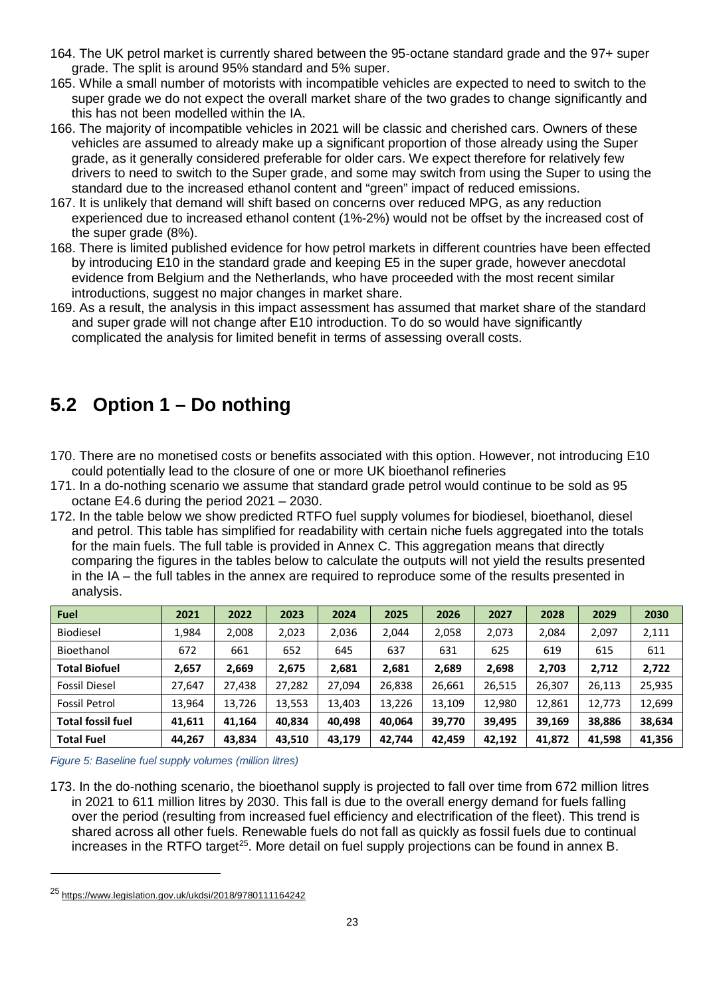- 164. The UK petrol market is currently shared between the 95-octane standard grade and the 97+ super grade. The split is around 95% standard and 5% super.
- 165. While a small number of motorists with incompatible vehicles are expected to need to switch to the super grade we do not expect the overall market share of the two grades to change significantly and this has not been modelled within the IA.
- 166. The majority of incompatible vehicles in 2021 will be classic and cherished cars. Owners of these vehicles are assumed to already make up a significant proportion of those already using the Super grade, as it generally considered preferable for older cars. We expect therefore for relatively few drivers to need to switch to the Super grade, and some may switch from using the Super to using the standard due to the increased ethanol content and "green" impact of reduced emissions.
- 167. It is unlikely that demand will shift based on concerns over reduced MPG, as any reduction experienced due to increased ethanol content (1%-2%) would not be offset by the increased cost of the super grade (8%).
- 168. There is limited published evidence for how petrol markets in different countries have been effected by introducing E10 in the standard grade and keeping E5 in the super grade, however anecdotal evidence from Belgium and the Netherlands, who have proceeded with the most recent similar introductions, suggest no major changes in market share.
- 169. As a result, the analysis in this impact assessment has assumed that market share of the standard and super grade will not change after E10 introduction. To do so would have significantly complicated the analysis for limited benefit in terms of assessing overall costs.

# **5.2 Option 1 – Do nothing**

- 170. There are no monetised costs or benefits associated with this option. However, not introducing E10 could potentially lead to the closure of one or more UK bioethanol refineries
- 171. In a do-nothing scenario we assume that standard grade petrol would continue to be sold as 95 octane E4.6 during the period 2021 – 2030.
- 172. In the table below we show predicted RTFO fuel supply volumes for biodiesel, bioethanol, diesel and petrol. This table has simplified for readability with certain niche fuels aggregated into the totals for the main fuels. The full table is provided in Annex C. This aggregation means that directly comparing the figures in the tables below to calculate the outputs will not yield the results presented in the IA – the full tables in the annex are required to reproduce some of the results presented in analysis.

| <b>Fuel</b>              | 2021   | 2022   | 2023   | 2024   | 2025   | 2026   | 2027   | 2028   | 2029   | 2030   |
|--------------------------|--------|--------|--------|--------|--------|--------|--------|--------|--------|--------|
| Biodiesel                | 1,984  | 2,008  | 2,023  | 2,036  | 2,044  | 2,058  | 2,073  | 2,084  | 2,097  | 2,111  |
| Bioethanol               | 672    | 661    | 652    | 645    | 637    | 631    | 625    | 619    | 615    | 611    |
| <b>Total Biofuel</b>     | 2,657  | 2,669  | 2,675  | 2,681  | 2,681  | 2,689  | 2,698  | 2,703  | 2,712  | 2,722  |
| <b>Fossil Diesel</b>     | 27,647 | 27,438 | 27,282 | 27,094 | 26,838 | 26,661 | 26,515 | 26,307 | 26,113 | 25,935 |
| Fossil Petrol            | 13,964 | 13,726 | 13,553 | 13,403 | 13,226 | 13,109 | 12,980 | 12,861 | 12,773 | 12,699 |
| <b>Total fossil fuel</b> | 41,611 | 41.164 | 40.834 | 40.498 | 40.064 | 39.770 | 39,495 | 39,169 | 38,886 | 38,634 |
| <b>Total Fuel</b>        | 44,267 | 43,834 | 43,510 | 43,179 | 42.744 | 42.459 | 42,192 | 41,872 | 41,598 | 41,356 |

*Figure 5: Baseline fuel supply volumes (million litres)*

173. In the do-nothing scenario, the bioethanol supply is projected to fall over time from 672 million litres in 2021 to 611 million litres by 2030. This fall is due to the overall energy demand for fuels falling over the period (resulting from increased fuel efficiency and electrification of the fleet). This trend is shared across all other fuels. Renewable fuels do not fall as quickly as fossil fuels due to continual increases in the RTFO target<sup>25</sup>. More detail on fuel supply projections can be found in annex B.

<span id="page-22-0"></span><sup>25</sup> <https://www.legislation.gov.uk/ukdsi/2018/9780111164242>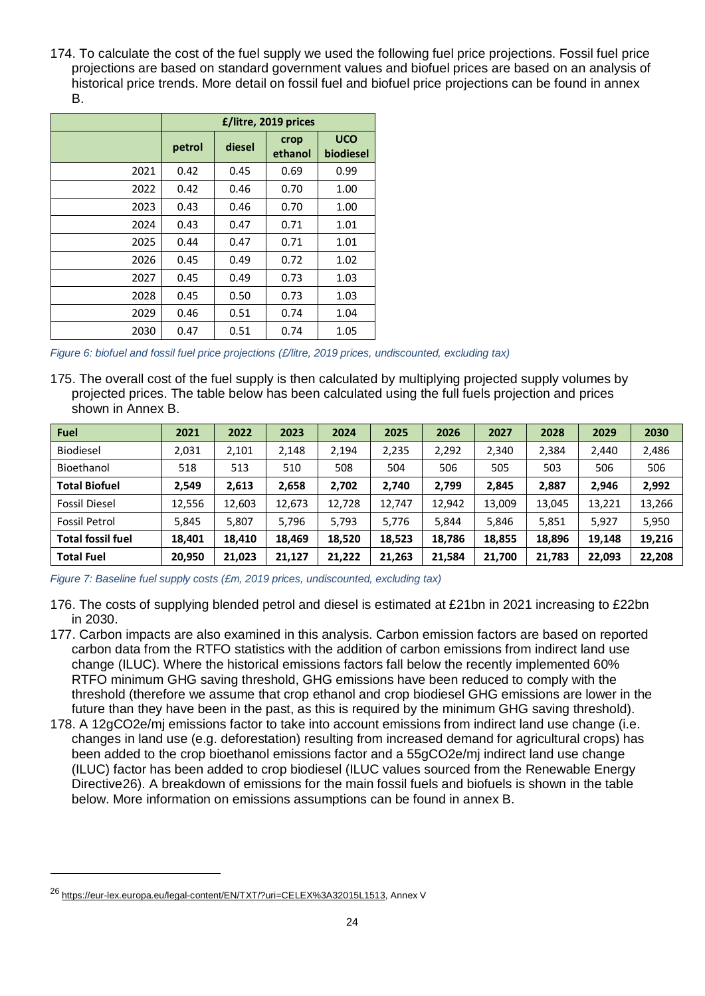174. To calculate the cost of the fuel supply we used the following fuel price projections. Fossil fuel price projections are based on standard government values and biofuel prices are based on an analysis of historical price trends. More detail on fossil fuel and biofuel price projections can be found in annex B.

|      |        |        | £/litre, 2019 prices |                         |
|------|--------|--------|----------------------|-------------------------|
|      | petrol | diesel | crop<br>ethanol      | <b>UCO</b><br>biodiesel |
| 2021 | 0.42   | 0.45   | 0.69                 | 0.99                    |
| 2022 | 0.42   | 0.46   | 0.70                 | 1.00                    |
| 2023 | 0.43   | 0.46   | 0.70                 | 1.00                    |
| 2024 | 0.43   | 0.47   | 0.71                 | 1.01                    |
| 2025 | 0.44   | 0.47   | 0.71                 | 1.01                    |
| 2026 | 0.45   | 0.49   | 0.72                 | 1.02                    |
| 2027 | 0.45   | 0.49   | 0.73                 | 1.03                    |
| 2028 | 0.45   | 0.50   | 0.73                 | 1.03                    |
| 2029 | 0.46   | 0.51   | 0.74                 | 1.04                    |
| 2030 | 0.47   | 0.51   | 0.74                 | 1.05                    |

*Figure 6: biofuel and fossil fuel price projections (£/litre, 2019 prices, undiscounted, excluding tax)*

175. The overall cost of the fuel supply is then calculated by multiplying projected supply volumes by projected prices. The table below has been calculated using the full fuels projection and prices shown in Annex B.

| <b>Fuel</b>              | 2021   | 2022   | 2023   | 2024   | 2025   | 2026   | 2027   | 2028   | 2029   | 2030   |
|--------------------------|--------|--------|--------|--------|--------|--------|--------|--------|--------|--------|
| <b>Biodiesel</b>         | 2,031  | 2,101  | 2,148  | 2,194  | 2,235  | 2,292  | 2,340  | 2,384  | 2,440  | 2,486  |
| Bioethanol               | 518    | 513    | 510    | 508    | 504    | 506    | 505    | 503    | 506    | 506    |
| <b>Total Biofuel</b>     | 2,549  | 2,613  | 2,658  | 2,702  | 2,740  | 2,799  | 2,845  | 2,887  | 2,946  | 2,992  |
| <b>Fossil Diesel</b>     | 12,556 | 12,603 | 12,673 | 12.728 | 12.747 | 12.942 | 13,009 | 13,045 | 13,221 | 13,266 |
| Fossil Petrol            | 5,845  | 5,807  | 5.796  | 5,793  | 5,776  | 5,844  | 5,846  | 5,851  | 5,927  | 5,950  |
| <b>Total fossil fuel</b> | 18,401 | 18.410 | 18.469 | 18,520 | 18,523 | 18.786 | 18,855 | 18,896 | 19,148 | 19,216 |
| <b>Total Fuel</b>        | 20,950 | 21,023 | 21,127 | 21,222 | 21,263 | 21,584 | 21,700 | 21,783 | 22,093 | 22,208 |

*Figure 7: Baseline fuel supply costs (£m, 2019 prices, undiscounted, excluding tax)*

- 177. Carbon impacts are also examined in this analysis. Carbon emission factors are based on reported carbon data from the RTFO statistics with the addition of carbon emissions from indirect land use change (ILUC). Where the historical emissions factors fall below the recently implemented 60% RTFO minimum GHG saving threshold, GHG emissions have been reduced to comply with the threshold (therefore we assume that crop ethanol and crop biodiesel GHG emissions are lower in the future than they have been in the past, as this is required by the minimum GHG saving threshold).
- 178. A 12gCO2e/mj emissions factor to take into account emissions from indirect land use change (i.e. changes in land use (e.g. deforestation) resulting from increased demand for agricultural crops) has been added to the crop bioethanol emissions factor and a 55gCO2e/mj indirect land use change (ILUC) factor has been added to crop biodiesel (ILUC values sourced from the Renewable Energy Directive[26](#page-23-0)). A breakdown of emissions for the main fossil fuels and biofuels is shown in the table below. More information on emissions assumptions can be found in annex B.

<sup>176.</sup> The costs of supplying blended petrol and diesel is estimated at £21bn in 2021 increasing to £22bn in 2030.

<span id="page-23-0"></span><sup>26</sup> [https://eur-lex.europa.eu/legal-content/EN/TXT/?uri=CELEX%3A32015L1513,](https://eur-lex.europa.eu/legal-content/EN/TXT/?uri=CELEX%3A32015L1513) Annex V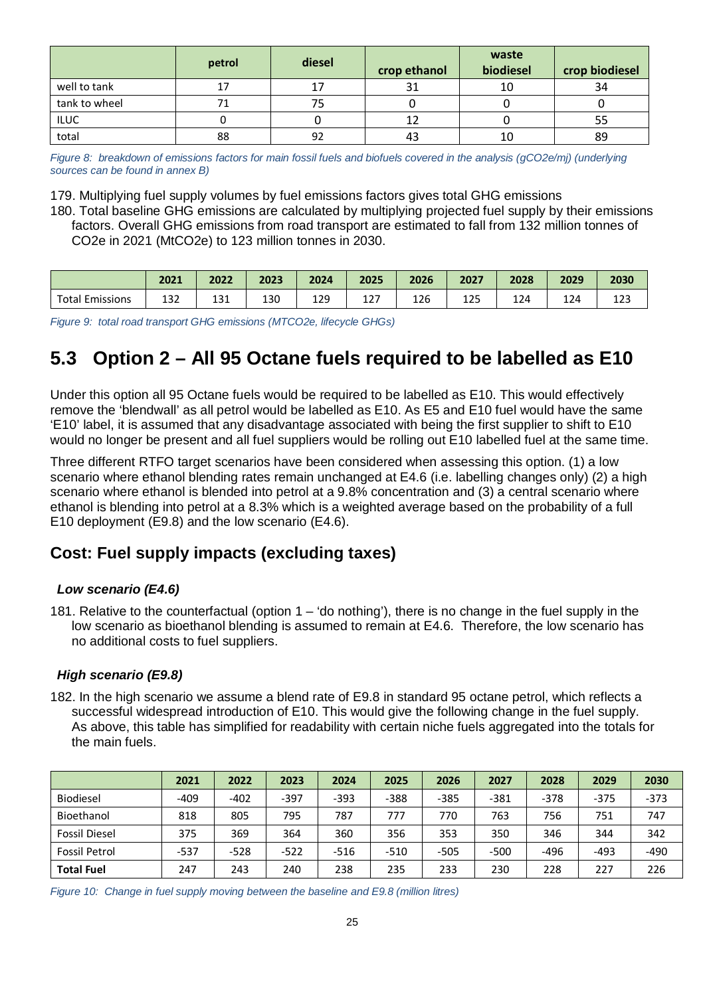|               | petrol | diesel | crop ethanol | waste<br>biodiesel | crop biodiesel |
|---------------|--------|--------|--------------|--------------------|----------------|
| well to tank  |        | 17     | 31           | 10                 | 34             |
| tank to wheel |        |        |              |                    |                |
| <b>ILUC</b>   |        |        |              |                    |                |
| total         | 88     | 92     | 43           |                    | 89             |

*Figure 8: breakdown of emissions factors for main fossil fuels and biofuels covered in the analysis (gCO2e/mj) (underlying sources can be found in annex B)*

179. Multiplying fuel supply volumes by fuel emissions factors gives total GHG emissions

180. Total baseline GHG emissions are calculated by multiplying projected fuel supply by their emissions factors. Overall GHG emissions from road transport are estimated to fall from 132 million tonnes of CO2e in 2021 (MtCO2e) to 123 million tonnes in 2030.

|                     | 2021       | 2022     | 2023 | 2024 | 2025    | 2026 | 2027                             | 2028 | 2029 | 2030            |
|---------------------|------------|----------|------|------|---------|------|----------------------------------|------|------|-----------------|
| Total.<br>Emissions | 127<br>∸⊃∠ | ຳ<br>⊥コ⊥ | 130  | 129  | ຳ<br>ᅩᄼ | 126  | $\Delta$ $\Delta$ $\Gamma$<br>ᅩᄼ | 124  | 124  | $\cdots$<br>ᅭ᠘J |

*Figure 9: total road transport GHG emissions (MTCO2e, lifecycle GHGs)*

# **5.3 Option 2 – All 95 Octane fuels required to be labelled as E10**

Under this option all 95 Octane fuels would be required to be labelled as E10. This would effectively remove the 'blendwall' as all petrol would be labelled as E10. As E5 and E10 fuel would have the same 'E10' label, it is assumed that any disadvantage associated with being the first supplier to shift to E10 would no longer be present and all fuel suppliers would be rolling out E10 labelled fuel at the same time.

Three different RTFO target scenarios have been considered when assessing this option. (1) a low scenario where ethanol blending rates remain unchanged at E4.6 (i.e. labelling changes only) (2) a high scenario where ethanol is blended into petrol at a 9.8% concentration and (3) a central scenario where ethanol is blending into petrol at a 8.3% which is a weighted average based on the probability of a full E10 deployment (E9.8) and the low scenario (E4.6).

# **Cost: Fuel supply impacts (excluding taxes)**

# *Low scenario (E4.6)*

181. Relative to the counterfactual (option 1 – 'do nothing'), there is no change in the fuel supply in the low scenario as bioethanol blending is assumed to remain at E4.6. Therefore, the low scenario has no additional costs to fuel suppliers.

### *High scenario (E9.8)*

182. In the high scenario we assume a blend rate of E9.8 in standard 95 octane petrol, which reflects a successful widespread introduction of E10. This would give the following change in the fuel supply. As above, this table has simplified for readability with certain niche fuels aggregated into the totals for the main fuels.

|                      | 2021   | 2022   | 2023   | 2024   | 2025   | 2026   | 2027   | 2028   | 2029   | 2030   |
|----------------------|--------|--------|--------|--------|--------|--------|--------|--------|--------|--------|
| <b>Biodiesel</b>     | $-409$ | $-402$ | $-397$ | $-393$ | $-388$ | $-385$ | $-381$ | $-378$ | $-375$ | $-373$ |
| Bioethanol           | 818    | 805    | 795    | 787    | 777    | 770    | 763    | 756    | 751    | 747    |
| <b>Fossil Diesel</b> | 375    | 369    | 364    | 360    | 356    | 353    | 350    | 346    | 344    | 342    |
| <b>Fossil Petrol</b> | $-537$ | $-528$ | $-522$ | $-516$ | $-510$ | $-505$ | $-500$ | -496   | -493   | $-490$ |
| <b>Total Fuel</b>    | 247    | 243    | 240    | 238    | 235    | 233    | 230    | 228    | 227    | 226    |

*Figure 10: Change in fuel supply moving between the baseline and E9.8 (million litres)*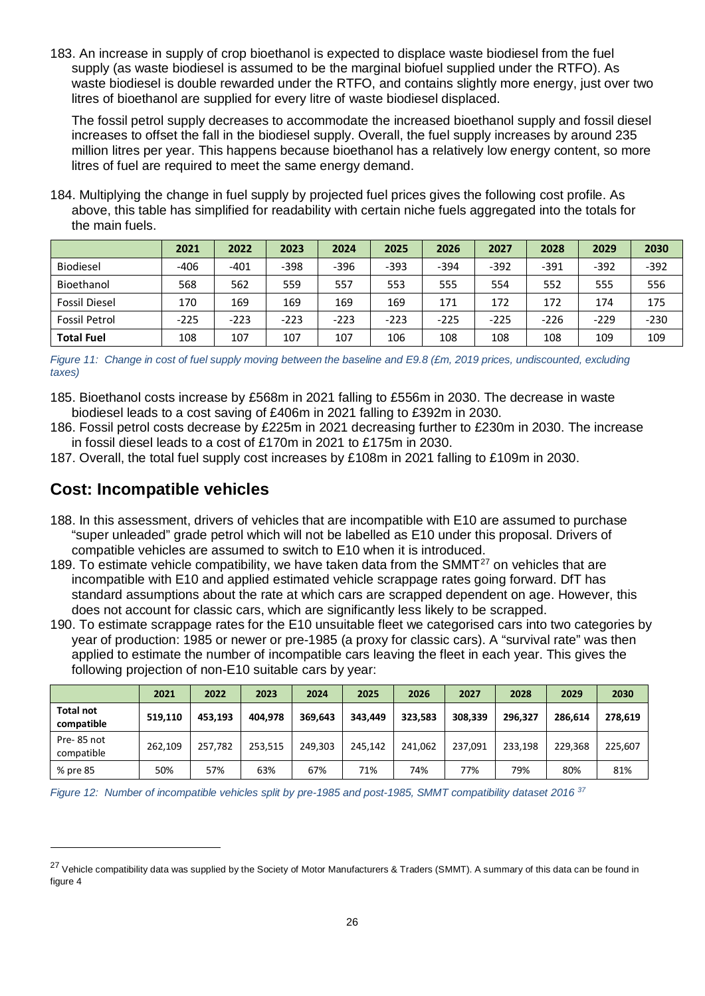183. An increase in supply of crop bioethanol is expected to displace waste biodiesel from the fuel supply (as waste biodiesel is assumed to be the marginal biofuel supplied under the RTFO). As waste biodiesel is double rewarded under the RTFO, and contains slightly more energy, just over two litres of bioethanol are supplied for every litre of waste biodiesel displaced.

The fossil petrol supply decreases to accommodate the increased bioethanol supply and fossil diesel increases to offset the fall in the biodiesel supply. Overall, the fuel supply increases by around 235 million litres per year. This happens because bioethanol has a relatively low energy content, so more litres of fuel are required to meet the same energy demand.

184. Multiplying the change in fuel supply by projected fuel prices gives the following cost profile. As above, this table has simplified for readability with certain niche fuels aggregated into the totals for the main fuels.

|                      | 2021   | 2022   | 2023   | 2024   | 2025   | 2026   | 2027   | 2028   | 2029   | 2030   |
|----------------------|--------|--------|--------|--------|--------|--------|--------|--------|--------|--------|
| <b>Biodiesel</b>     | $-406$ | $-401$ | $-398$ | $-396$ | -393   | $-394$ | $-392$ | $-391$ | $-392$ | $-392$ |
| Bioethanol           | 568    | 562    | 559    | 557    | 553    | 555    | 554    | 552    | 555    | 556    |
| <b>Fossil Diesel</b> | 170    | 169    | 169    | 169    | 169    | 171    | 172    | 172    | 174    | 175    |
| <b>Fossil Petrol</b> | $-225$ | $-223$ | $-223$ | $-223$ | $-223$ | $-225$ | $-225$ | $-226$ | $-229$ | $-230$ |
| <b>Total Fuel</b>    | 108    | 107    | 107    | 107    | 106    | 108    | 108    | 108    | 109    | 109    |

*Figure 11: Change in cost of fuel supply moving between the baseline and E9.8 (£m, 2019 prices, undiscounted, excluding taxes)*

- 185. Bioethanol costs increase by £568m in 2021 falling to £556m in 2030. The decrease in waste biodiesel leads to a cost saving of £406m in 2021 falling to £392m in 2030.
- 186. Fossil petrol costs decrease by £225m in 2021 decreasing further to £230m in 2030. The increase in fossil diesel leads to a cost of £170m in 2021 to £175m in 2030.
- 187. Overall, the total fuel supply cost increases by £108m in 2021 falling to £109m in 2030.

# **Cost: Incompatible vehicles**

- 188. In this assessment, drivers of vehicles that are incompatible with E10 are assumed to purchase "super unleaded" grade petrol which will not be labelled as E10 under this proposal. Drivers of compatible vehicles are assumed to switch to E10 when it is introduced.
- 189. To estimate vehicle compatibility, we have taken data from the SMMT $^{27}$  $^{27}$  $^{27}$  on vehicles that are incompatible with E10 and applied estimated vehicle scrappage rates going forward. DfT has standard assumptions about the rate at which cars are scrapped dependent on age. However, this does not account for classic cars, which are significantly less likely to be scrapped.
- 190. To estimate scrappage rates for the E10 unsuitable fleet we categorised cars into two categories by year of production: 1985 or newer or pre-1985 (a proxy for classic cars). A "survival rate" was then applied to estimate the number of incompatible cars leaving the fleet in each year. This gives the following projection of non-E10 suitable cars by year:

|                                | 2021    | 2022    | 2023    | 2024    | 2025    | 2026    | 2027    | 2028    | 2029    | 2030    |
|--------------------------------|---------|---------|---------|---------|---------|---------|---------|---------|---------|---------|
| <b>Total not</b><br>compatible | 519,110 | 453.193 | 404.978 | 369.643 | 343.449 | 323.583 | 308.339 | 296.327 | 286.614 | 278,619 |
| Pre-85 not<br>compatible       | 262,109 | 257.782 | 253.515 | 249,303 | 245,142 | 241,062 | 237.091 | 233.198 | 229.368 | 225,607 |
| % pre 85                       | 50%     | 57%     | 63%     | 67%     | 71%     | 74%     | 77%     | 79%     | 80%     | 81%     |

*Figure 12: Number of incompatible vehicles split by pre-1985 and post-1985, SMMT compatibility dataset 2016 <sup>37</sup>*

<span id="page-25-0"></span><sup>&</sup>lt;sup>27</sup> Vehicle compatibility data was supplied by the Society of Motor Manufacturers & Traders (SMMT). A summary of this data can be found in figure 4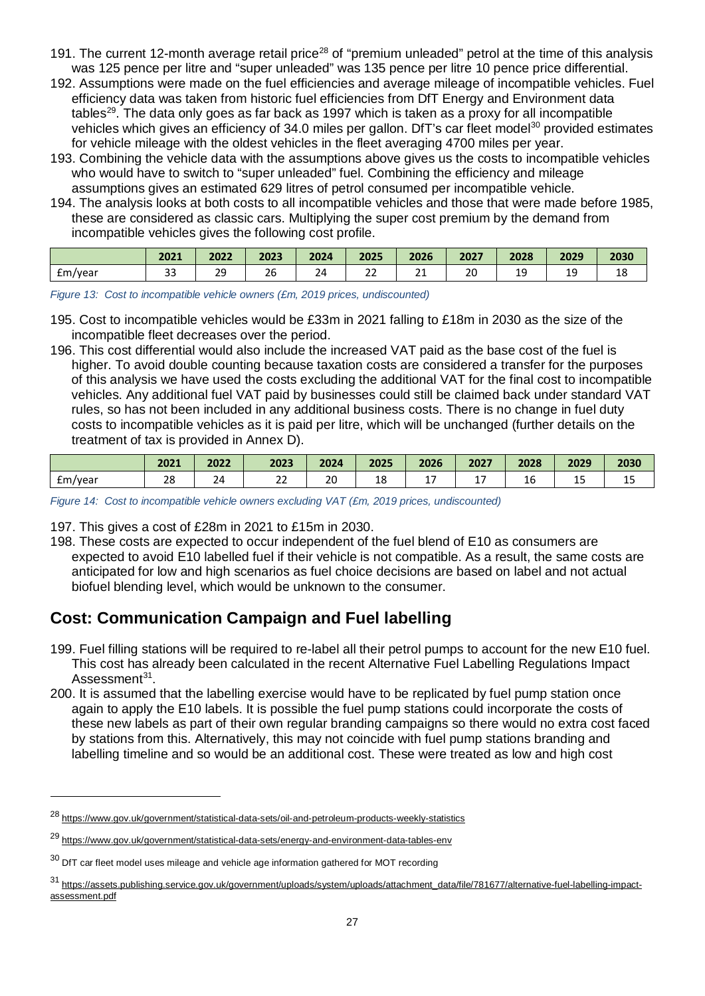- 191. The current 12-month average retail price<sup>[28](#page-26-0)</sup> of "premium unleaded" petrol at the time of this analysis was 125 pence per litre and "super unleaded" was 135 pence per litre 10 pence price differential.
- 192. Assumptions were made on the fuel efficiencies and average mileage of incompatible vehicles. Fuel efficiency data was taken from historic fuel efficiencies from DfT Energy and Environment data tables<sup>29</sup>. The data only goes as far back as 1997 which is taken as a proxy for all incompatible vehicles which gives an efficiency of 34.0 miles per gallon. DfT's car fleet model<sup>[30](#page-26-2)</sup> provided estimates for vehicle mileage with the oldest vehicles in the fleet averaging 4700 miles per year.
- 193. Combining the vehicle data with the assumptions above gives us the costs to incompatible vehicles who would have to switch to "super unleaded" fuel. Combining the efficiency and mileage assumptions gives an estimated 629 litres of petrol consumed per incompatible vehicle.
- 194. The analysis looks at both costs to all incompatible vehicles and those that were made before 1985, these are considered as classic cars. Multiplying the super cost premium by the demand from incompatible vehicles gives the following cost profile.

|         | 2021         | 2022           | 2023                      | 2024 | 2025                        | 2026     | 2027              | 2028     | 2029         | 2030       |
|---------|--------------|----------------|---------------------------|------|-----------------------------|----------|-------------------|----------|--------------|------------|
| £m/year | $\sim$<br>-- | 2q<br>--<br>__ | $\sim$ $\sim$<br>ZC<br>__ | 24   | $\sim$ $\sim$<br><u>_ _</u> | Α.<br>-- | $\sim$<br>ᅩ<br>__ | --<br>__ | --<br>$\sim$ | . .<br>ᅟᅩᅌ |

*Figure 13: Cost to incompatible vehicle owners (£m, 2019 prices, undiscounted)*

- 195. Cost to incompatible vehicles would be £33m in 2021 falling to £18m in 2030 as the size of the incompatible fleet decreases over the period.
- 196. This cost differential would also include the increased VAT paid as the base cost of the fuel is higher. To avoid double counting because taxation costs are considered a transfer for the purposes of this analysis we have used the costs excluding the additional VAT for the final cost to incompatible vehicles. Any additional fuel VAT paid by businesses could still be claimed back under standard VAT rules, so has not been included in any additional business costs. There is no change in fuel duty costs to incompatible vehicles as it is paid per litre, which will be unchanged (further details on the treatment of tax is provided in Annex D).

|               | 2021<br>LJULI – | 2022           | 2023                | 2024                | 2025 | 2026 | 2027 | 2028    | 2029      | ำกวก<br>ZU3U |
|---------------|-----------------|----------------|---------------------|---------------------|------|------|------|---------|-----------|--------------|
| Em/<br>ı/vear | $\Omega$<br>40  | <b>.</b><br>24 | $\sim$ $\sim$<br>∠∠ | $\mathcal{D}$<br>2U | 18   | . .  | . .  | -<br>16 | . .<br>-- | ᅩ            |

*Figure 14: Cost to incompatible vehicle owners excluding VAT (£m, 2019 prices, undiscounted)*

197. This gives a cost of £28m in 2021 to £15m in 2030.

198. These costs are expected to occur independent of the fuel blend of E10 as consumers are expected to avoid E10 labelled fuel if their vehicle is not compatible. As a result, the same costs are anticipated for low and high scenarios as fuel choice decisions are based on label and not actual biofuel blending level, which would be unknown to the consumer.

# **Cost: Communication Campaign and Fuel labelling**

- 199. Fuel filling stations will be required to re-label all their petrol pumps to account for the new E10 fuel. This cost has already been calculated in the recent Alternative Fuel Labelling Regulations Impact Assessment<sup>31</sup>.
- 200. It is assumed that the labelling exercise would have to be replicated by fuel pump station once again to apply the E10 labels. It is possible the fuel pump stations could incorporate the costs of these new labels as part of their own regular branding campaigns so there would no extra cost faced by stations from this. Alternatively, this may not coincide with fuel pump stations branding and labelling timeline and so would be an additional cost. These were treated as low and high cost

<span id="page-26-0"></span><sup>28</sup> <https://www.gov.uk/government/statistical-data-sets/oil-and-petroleum-products-weekly-statistics>

<span id="page-26-1"></span><sup>29</sup> <https://www.gov.uk/government/statistical-data-sets/energy-and-environment-data-tables-env>

<span id="page-26-2"></span> $30$  DfT car fleet model uses mileage and vehicle age information gathered for MOT recording

<span id="page-26-3"></span><sup>31</sup> [https://assets.publishing.service.gov.uk/government/uploads/system/uploads/attachment\\_data/file/781677/alternative-fuel-labelling-impact](https://assets.publishing.service.gov.uk/government/uploads/system/uploads/attachment_data/file/781677/alternative-fuel-labelling-impact-assessment.pdf)[assessment.pdf](https://assets.publishing.service.gov.uk/government/uploads/system/uploads/attachment_data/file/781677/alternative-fuel-labelling-impact-assessment.pdf)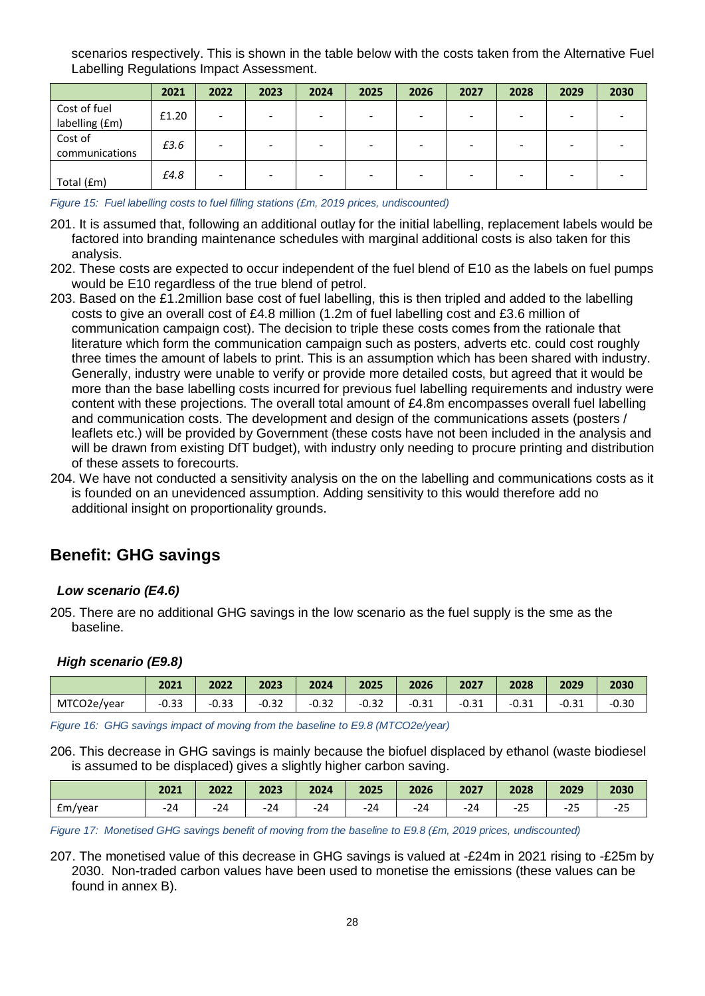scenarios respectively. This is shown in the table below with the costs taken from the Alternative Fuel Labelling Regulations Impact Assessment.

|                                | 2021  | 2022 | 2023 | 2024 | 2025 | 2026                     | 2027 | 2028 | 2029 | 2030 |
|--------------------------------|-------|------|------|------|------|--------------------------|------|------|------|------|
| Cost of fuel<br>labelling (£m) | £1.20 | ۰    |      |      |      | -                        |      |      |      |      |
| Cost of<br>communications      | £3.6  | -    |      |      |      | $\overline{\phantom{0}}$ |      |      |      |      |
| Total (£m)                     | £4.8  |      |      |      |      | -                        |      |      |      |      |

*Figure 15: Fuel labelling costs to fuel filling stations (£m, 2019 prices, undiscounted)*

- 201. It is assumed that, following an additional outlay for the initial labelling, replacement labels would be factored into branding maintenance schedules with marginal additional costs is also taken for this analysis.
- 202. These costs are expected to occur independent of the fuel blend of E10 as the labels on fuel pumps would be E10 regardless of the true blend of petrol.
- 203. Based on the £1.2million base cost of fuel labelling, this is then tripled and added to the labelling costs to give an overall cost of £4.8 million (1.2m of fuel labelling cost and £3.6 million of communication campaign cost). The decision to triple these costs comes from the rationale that literature which form the communication campaign such as posters, adverts etc. could cost roughly three times the amount of labels to print. This is an assumption which has been shared with industry. Generally, industry were unable to verify or provide more detailed costs, but agreed that it would be more than the base labelling costs incurred for previous fuel labelling requirements and industry were content with these projections. The overall total amount of £4.8m encompasses overall fuel labelling and communication costs. The development and design of the communications assets (posters / leaflets etc.) will be provided by Government (these costs have not been included in the analysis and will be drawn from existing DfT budget), with industry only needing to procure printing and distribution of these assets to forecourts.
- 204. We have not conducted a sensitivity analysis on the on the labelling and communications costs as it is founded on an unevidenced assumption. Adding sensitivity to this would therefore add no additional insight on proportionality grounds.

# **Benefit: GHG savings**

### *Low scenario (E4.6)*

205. There are no additional GHG savings in the low scenario as the fuel supply is the sme as the baseline.

#### *High scenario (E9.8)*

|             | 2021    | 2022    | 2023    | 2024    | 2025    | 2026                 | 2027    | 2028                  | 2029    | 2030    |
|-------------|---------|---------|---------|---------|---------|----------------------|---------|-----------------------|---------|---------|
| MTCO2e/year | $-0.33$ | $-0.33$ | $-0.32$ | $-0.32$ | $-0.32$ | <b>O</b> 21<br>-∪.ۂ⊥ | $-0.31$ | $\mathbf{A}$<br>-0.31 | $-0.31$ | $-0.30$ |

*Figure 16: GHG savings impact of moving from the baseline to E9.8 (MTCO2e/year)*

206. This decrease in GHG savings is mainly because the biofuel displaced by ethanol (waste biodiesel is assumed to be displaced) gives a slightly higher carbon saving.

|         | 2021  | 2022 | 2023  | 2024      | 2025     | 2026  | 2027  | 2028                  | 2029                      | 2030                 |
|---------|-------|------|-------|-----------|----------|-------|-------|-----------------------|---------------------------|----------------------|
| Em/year | $-24$ | -24  | $-24$ | 21<br>-24 | 21<br>24 | $-24$ | $-24$ | $\sim$ $\sim$<br>-zo- | $\mathbf{r}$<br>,,<br>-25 | $\sim$ $\sim$<br>-zə |

*Figure 17: Monetised GHG savings benefit of moving from the baseline to E9.8 (£m, 2019 prices, undiscounted)*

207. The monetised value of this decrease in GHG savings is valued at -£24m in 2021 rising to -£25m by 2030. Non-traded carbon values have been used to monetise the emissions (these values can be found in annex B).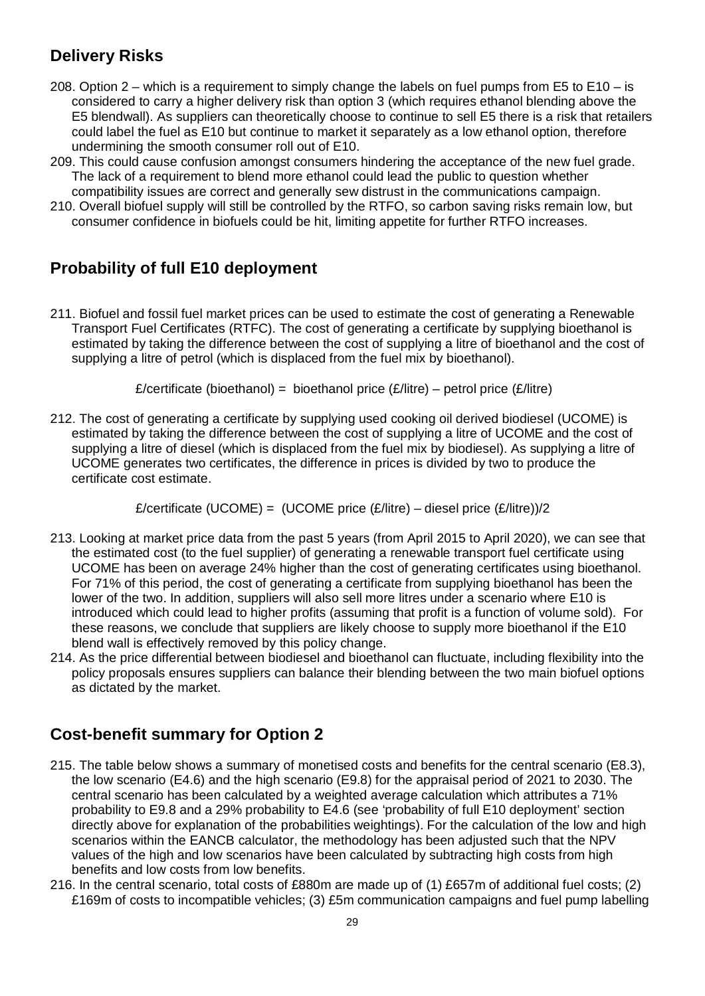# **Delivery Risks**

- 208. Option  $2 -$  which is a requirement to simply change the labels on fuel pumps from E5 to E10 is considered to carry a higher delivery risk than option 3 (which requires ethanol blending above the E5 blendwall). As suppliers can theoretically choose to continue to sell E5 there is a risk that retailers could label the fuel as E10 but continue to market it separately as a low ethanol option, therefore undermining the smooth consumer roll out of E10.
- 209. This could cause confusion amongst consumers hindering the acceptance of the new fuel grade. The lack of a requirement to blend more ethanol could lead the public to question whether compatibility issues are correct and generally sew distrust in the communications campaign.
- 210. Overall biofuel supply will still be controlled by the RTFO, so carbon saving risks remain low, but consumer confidence in biofuels could be hit, limiting appetite for further RTFO increases.

# **Probability of full E10 deployment**

211. Biofuel and fossil fuel market prices can be used to estimate the cost of generating a Renewable Transport Fuel Certificates (RTFC). The cost of generating a certificate by supplying bioethanol is estimated by taking the difference between the cost of supplying a litre of bioethanol and the cost of supplying a litre of petrol (which is displaced from the fuel mix by bioethanol).

£/certificate (bioethanol) = bioethanol price  $(E/$ litre) – petrol price  $(E/$ litre)

212. The cost of generating a certificate by supplying used cooking oil derived biodiesel (UCOME) is estimated by taking the difference between the cost of supplying a litre of UCOME and the cost of supplying a litre of diesel (which is displaced from the fuel mix by biodiesel). As supplying a litre of UCOME generates two certificates, the difference in prices is divided by two to produce the certificate cost estimate.

£/certificate (UCOME) = (UCOME price  $(E/litre) -$ diesel price  $(E/litre)/2$ 

- 213. Looking at market price data from the past 5 years (from April 2015 to April 2020), we can see that the estimated cost (to the fuel supplier) of generating a renewable transport fuel certificate using UCOME has been on average 24% higher than the cost of generating certificates using bioethanol. For 71% of this period, the cost of generating a certificate from supplying bioethanol has been the lower of the two. In addition, suppliers will also sell more litres under a scenario where E10 is introduced which could lead to higher profits (assuming that profit is a function of volume sold). For these reasons, we conclude that suppliers are likely choose to supply more bioethanol if the E10 blend wall is effectively removed by this policy change.
- 214. As the price differential between biodiesel and bioethanol can fluctuate, including flexibility into the policy proposals ensures suppliers can balance their blending between the two main biofuel options as dictated by the market.

# **Cost-benefit summary for Option 2**

- 215. The table below shows a summary of monetised costs and benefits for the central scenario (E8.3), the low scenario (E4.6) and the high scenario (E9.8) for the appraisal period of 2021 to 2030. The central scenario has been calculated by a weighted average calculation which attributes a 71% probability to E9.8 and a 29% probability to E4.6 (see 'probability of full E10 deployment' section directly above for explanation of the probabilities weightings). For the calculation of the low and high scenarios within the EANCB calculator, the methodology has been adjusted such that the NPV values of the high and low scenarios have been calculated by subtracting high costs from high benefits and low costs from low benefits.
- 216. In the central scenario, total costs of £880m are made up of (1) £657m of additional fuel costs; (2) £169m of costs to incompatible vehicles; (3) £5m communication campaigns and fuel pump labelling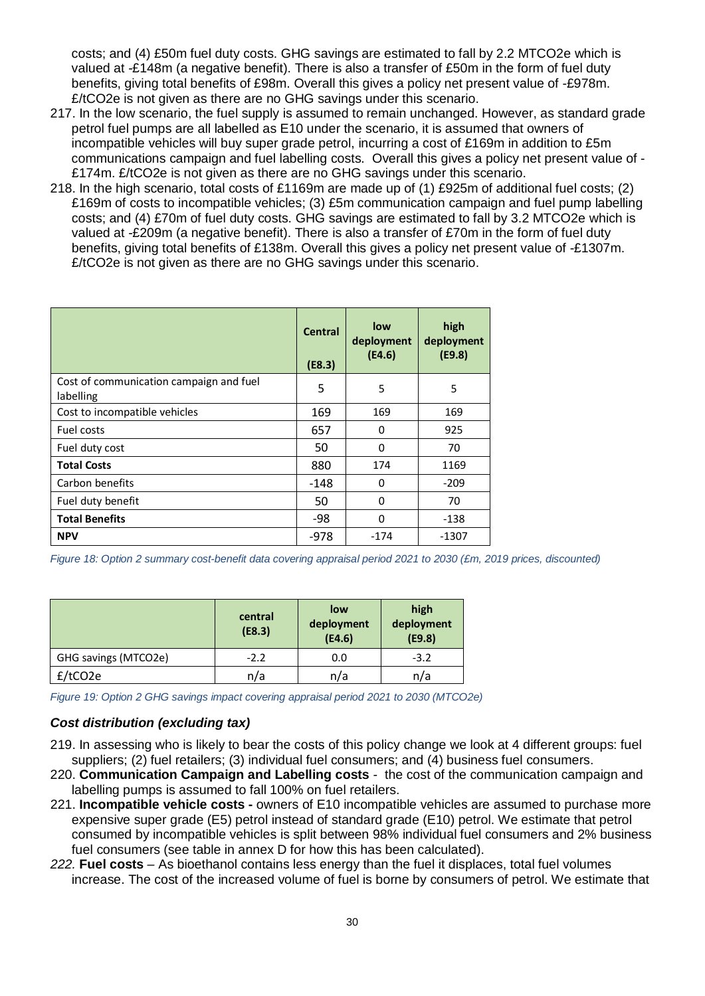costs; and (4) £50m fuel duty costs. GHG savings are estimated to fall by 2.2 MTCO2e which is valued at -£148m (a negative benefit). There is also a transfer of £50m in the form of fuel duty benefits, giving total benefits of £98m. Overall this gives a policy net present value of -£978m. £/tCO2e is not given as there are no GHG savings under this scenario.

- 217. In the low scenario, the fuel supply is assumed to remain unchanged. However, as standard grade petrol fuel pumps are all labelled as E10 under the scenario, it is assumed that owners of incompatible vehicles will buy super grade petrol, incurring a cost of £169m in addition to £5m communications campaign and fuel labelling costs. Overall this gives a policy net present value of - £174m. £/tCO2e is not given as there are no GHG savings under this scenario.
- 218. In the high scenario, total costs of £1169m are made up of (1) £925m of additional fuel costs; (2) £169m of costs to incompatible vehicles; (3) £5m communication campaign and fuel pump labelling costs; and (4) £70m of fuel duty costs. GHG savings are estimated to fall by 3.2 MTCO2e which is valued at -£209m (a negative benefit). There is also a transfer of £70m in the form of fuel duty benefits, giving total benefits of £138m. Overall this gives a policy net present value of -£1307m. £/tCO2e is not given as there are no GHG savings under this scenario.

|                                                      | <b>Central</b><br>(E8.3) | low<br>deployment<br>(E4.6) | high<br>deployment<br>(E9.8) |
|------------------------------------------------------|--------------------------|-----------------------------|------------------------------|
| Cost of communication campaign and fuel<br>labelling | 5                        | 5                           | 5                            |
| Cost to incompatible vehicles                        | 169                      | 169                         | 169                          |
| Fuel costs                                           | 657                      | 0                           | 925                          |
| Fuel duty cost                                       | 50                       | 0                           | 70                           |
| <b>Total Costs</b>                                   | 880                      | 174                         | 1169                         |
| Carbon benefits                                      | $-148$                   | 0                           | $-209$                       |
| Fuel duty benefit                                    | 50                       | 0                           | 70                           |
| <b>Total Benefits</b>                                | -98                      | $\Omega$                    | -138                         |
| <b>NPV</b>                                           | $-978$                   | $-174$                      | -1307                        |

*Figure 18: Option 2 summary cost-benefit data covering appraisal period 2021 to 2030 (£m, 2019 prices, discounted)*

|                      | central<br>(E8.3) | low<br>deployment<br>(E4.6) | high<br>deployment<br>(E9.8) |  |
|----------------------|-------------------|-----------------------------|------------------------------|--|
| GHG savings (MTCO2e) | $-2.2$            | 0.0                         | $-3.2$                       |  |
| $f$ /tCO2e           | n/a               | n/a                         | n/a                          |  |

*Figure 19: Option 2 GHG savings impact covering appraisal period 2021 to 2030 (MTCO2e)*

### *Cost distribution (excluding tax)*

- 219. In assessing who is likely to bear the costs of this policy change we look at 4 different groups: fuel suppliers; (2) fuel retailers; (3) individual fuel consumers; and (4) business fuel consumers.
- 220. **Communication Campaign and Labelling costs** *-* the cost of the communication campaign and labelling pumps is assumed to fall 100% on fuel retailers.
- 221. **Incompatible vehicle costs -** owners of E10 incompatible vehicles are assumed to purchase more expensive super grade (E5) petrol instead of standard grade (E10) petrol. We estimate that petrol consumed by incompatible vehicles is split between 98% individual fuel consumers and 2% business fuel consumers (see table in annex D for how this has been calculated).
- *222.* **Fuel costs** *–* As bioethanol contains less energy than the fuel it displaces, total fuel volumes increase. The cost of the increased volume of fuel is borne by consumers of petrol. We estimate that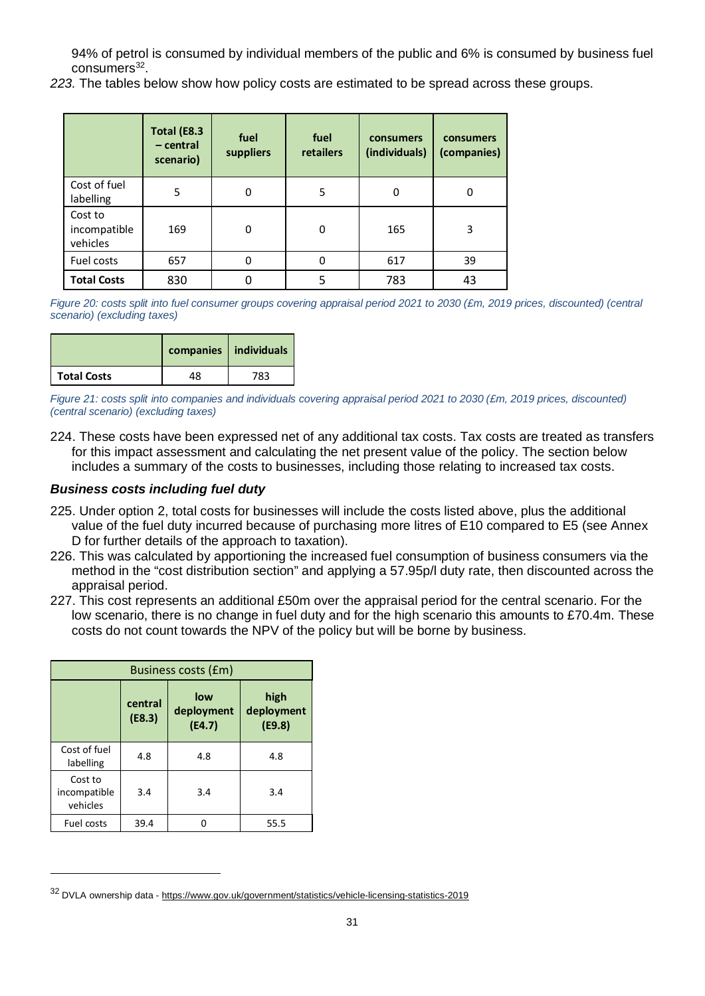94% of petrol is consumed by individual members of the public and 6% is consumed by business fuel  $consumes<sup>32</sup>$  $consumes<sup>32</sup>$  $consumes<sup>32</sup>$ .

*223.* The tables below show how policy costs are estimated to be spread across these groups.

|                                     | Total (E8.3<br>$-$ central<br>scenario) | fuel<br>suppliers | fuel<br>consumers<br>(individuals)<br>retailers |     | consumers<br>(companies) |
|-------------------------------------|-----------------------------------------|-------------------|-------------------------------------------------|-----|--------------------------|
| Cost of fuel<br>labelling           | 5                                       | $\Omega$          | 5                                               | 0   | 0                        |
| Cost to<br>incompatible<br>vehicles | 169                                     | $\Omega$          | 0                                               | 165 | 3                        |
| Fuel costs                          | 657                                     | $\Omega$          | 0                                               | 617 | 39                       |
| <b>Total Costs</b>                  | 830                                     |                   | 5                                               | 783 | 43                       |

*Figure 20: costs split into fuel consumer groups covering appraisal period 2021 to 2030 (£m, 2019 prices, discounted) (central scenario) (excluding taxes)*

|                    |    | companies   individuals |
|--------------------|----|-------------------------|
| <b>Total Costs</b> | 18 | 783                     |

*Figure 21: costs split into companies and individuals covering appraisal period 2021 to 2030 (£m, 2019 prices, discounted) (central scenario) (excluding taxes)*

224. These costs have been expressed net of any additional tax costs. Tax costs are treated as transfers for this impact assessment and calculating the net present value of the policy. The section below includes a summary of the costs to businesses, including those relating to increased tax costs.

### *Business costs including fuel duty*

- 225. Under option 2, total costs for businesses will include the costs listed above, plus the additional value of the fuel duty incurred because of purchasing more litres of E10 compared to E5 (see Annex D for further details of the approach to taxation).
- 226. This was calculated by apportioning the increased fuel consumption of business consumers via the method in the "cost distribution section" and applying a 57.95p/l duty rate, then discounted across the appraisal period.
- 227. This cost represents an additional £50m over the appraisal period for the central scenario. For the low scenario, there is no change in fuel duty and for the high scenario this amounts to £70.4m. These costs do not count towards the NPV of the policy but will be borne by business.

| Business costs (£m)                 |                   |                             |                              |  |  |  |  |
|-------------------------------------|-------------------|-----------------------------|------------------------------|--|--|--|--|
|                                     | central<br>(E8.3) | low<br>deployment<br>(E4.7) | high<br>deployment<br>(E9.8) |  |  |  |  |
| Cost of fuel<br>labelling           | 4.8               | 4.8                         | 4.8                          |  |  |  |  |
| Cost to<br>incompatible<br>vehicles | 3.4               | 3.4                         | 3.4                          |  |  |  |  |
| Fuel costs                          | 39.4              |                             | 55.5                         |  |  |  |  |

<span id="page-30-0"></span><sup>32</sup> DVLA ownership data - <https://www.gov.uk/government/statistics/vehicle-licensing-statistics-2019>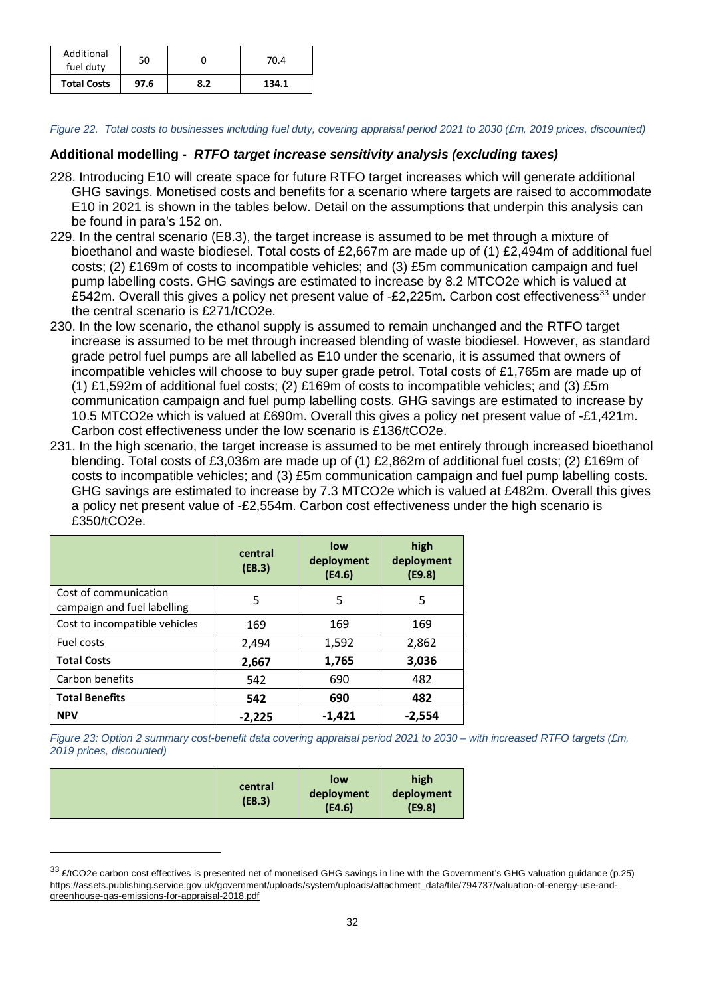| Additional<br>fuel duty | 50   |     | 70.4  |
|-------------------------|------|-----|-------|
| <b>Total Costs</b>      | 97.6 | 8.2 | 134.1 |

*Figure 22. Total costs to businesses including fuel duty, covering appraisal period 2021 to 2030 (£m, 2019 prices, discounted)*

#### **Additional modelling -** *RTFO target increase sensitivity analysis (excluding taxes)*

- 228. Introducing E10 will create space for future RTFO target increases which will generate additional GHG savings. Monetised costs and benefits for a scenario where targets are raised to accommodate E10 in 2021 is shown in the tables below. Detail on the assumptions that underpin this analysis can be found in para's 152 on.
- 229. In the central scenario (E8.3), the target increase is assumed to be met through a mixture of bioethanol and waste biodiesel. Total costs of £2,667m are made up of (1) £2,494m of additional fuel costs; (2) £169m of costs to incompatible vehicles; and (3) £5m communication campaign and fuel pump labelling costs. GHG savings are estimated to increase by 8.2 MTCO2e which is valued at £542m. Overall this gives a policy net present value of  $-E2,225$ m. Carbon cost effectiveness<sup>[33](#page-31-0)</sup> under the central scenario is £271/tCO2e.
- 230. In the low scenario, the ethanol supply is assumed to remain unchanged and the RTFO target increase is assumed to be met through increased blending of waste biodiesel. However, as standard grade petrol fuel pumps are all labelled as E10 under the scenario, it is assumed that owners of incompatible vehicles will choose to buy super grade petrol. Total costs of £1,765m are made up of (1) £1,592m of additional fuel costs; (2) £169m of costs to incompatible vehicles; and (3) £5m communication campaign and fuel pump labelling costs. GHG savings are estimated to increase by 10.5 MTCO2e which is valued at £690m. Overall this gives a policy net present value of -£1,421m. Carbon cost effectiveness under the low scenario is £136/tCO2e.
- 231. In the high scenario, the target increase is assumed to be met entirely through increased bioethanol blending. Total costs of £3,036m are made up of (1) £2,862m of additional fuel costs; (2) £169m of costs to incompatible vehicles; and (3) £5m communication campaign and fuel pump labelling costs. GHG savings are estimated to increase by 7.3 MTCO2e which is valued at £482m. Overall this gives a policy net present value of -£2,554m. Carbon cost effectiveness under the high scenario is £350/tCO2e.

|                                                      | central<br>(E8.3) | low<br>deployment<br>(E4.6) | high<br>deployment<br>(E9.8) |
|------------------------------------------------------|-------------------|-----------------------------|------------------------------|
| Cost of communication<br>campaign and fuel labelling | 5                 | 5                           | 5                            |
| Cost to incompatible vehicles                        | 169               | 169                         | 169                          |
| Fuel costs                                           | 2,494             | 1,592                       | 2,862                        |
| <b>Total Costs</b>                                   | 2,667             | 1,765                       | 3,036                        |
| Carbon benefits                                      | 542               | 690                         | 482                          |
| <b>Total Benefits</b>                                | 542               | 690                         | 482                          |
| <b>NPV</b>                                           | $-2,225$          | $-1,421$                    | $-2,554$                     |

*Figure 23: Option 2 summary cost-benefit data covering appraisal period 2021 to 2030 – with increased RTFO targets (£m, 2019 prices, discounted)*

| central<br>(E8.3) | low<br>deployment<br>(E4.6) | high<br>deployment<br>(E9.8) |
|-------------------|-----------------------------|------------------------------|
|-------------------|-----------------------------|------------------------------|

-

<span id="page-31-0"></span><sup>33 £/</sup>tCO2e carbon cost effectives is presented net of monetised GHG savings in line with the Government's GHG valuation guidance (p.25) [https://assets.publishing.service.gov.uk/government/uploads/system/uploads/attachment\\_data/file/794737/valuation-of-energy-use-and](https://assets.publishing.service.gov.uk/government/uploads/system/uploads/attachment_data/file/794737/valuation-of-energy-use-and-greenhouse-gas-emissions-for-appraisal-2018.pdf)[greenhouse-gas-emissions-for-appraisal-2018.pdf](https://assets.publishing.service.gov.uk/government/uploads/system/uploads/attachment_data/file/794737/valuation-of-energy-use-and-greenhouse-gas-emissions-for-appraisal-2018.pdf)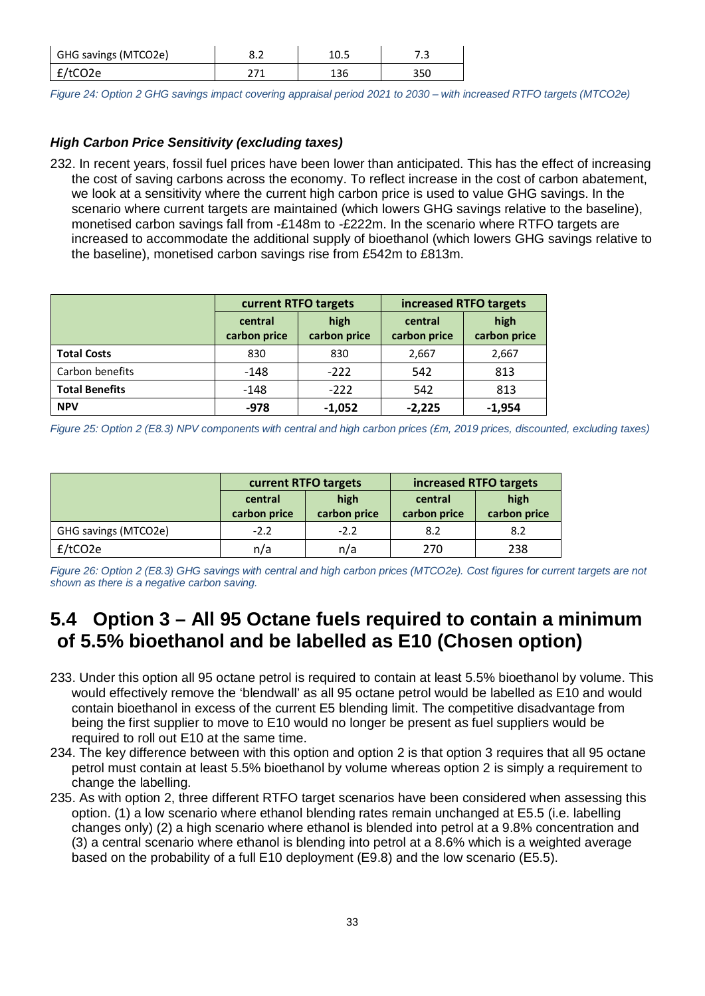| GHG savings (MTCO2e) | o.z | ر . |
|----------------------|-----|-----|
| f/tCO2e              |     | 35C |

*Figure 24: Option 2 GHG savings impact covering appraisal period 2021 to 2030 – with increased RTFO targets (MTCO2e)*

# *High Carbon Price Sensitivity (excluding taxes)*

232. In recent years, fossil fuel prices have been lower than anticipated. This has the effect of increasing the cost of saving carbons across the economy. To reflect increase in the cost of carbon abatement, we look at a sensitivity where the current high carbon price is used to value GHG savings. In the scenario where current targets are maintained (which lowers GHG savings relative to the baseline), monetised carbon savings fall from -£148m to -£222m. In the scenario where RTFO targets are increased to accommodate the additional supply of bioethanol (which lowers GHG savings relative to the baseline), monetised carbon savings rise from £542m to £813m.

|                       |                         | current RTFO targets | increased RTFO targets  |                      |  |
|-----------------------|-------------------------|----------------------|-------------------------|----------------------|--|
|                       | central<br>carbon price | high<br>carbon price | central<br>carbon price | high<br>carbon price |  |
| <b>Total Costs</b>    | 830                     | 830                  | 2,667                   | 2,667                |  |
| Carbon benefits       | $-148$                  | $-222$               | 542                     | 813                  |  |
| <b>Total Benefits</b> | $-148$                  | $-222$               | 542                     | 813                  |  |
| <b>NPV</b>            | -978                    | $-1,052$             | $-2.225$                | $-1,954$             |  |

*Figure 25: Option 2 (E8.3) NPV components with central and high carbon prices (£m, 2019 prices, discounted, excluding taxes)*

|                      |                         | current RTFO targets    |                      | increased RTFO targets |  |
|----------------------|-------------------------|-------------------------|----------------------|------------------------|--|
|                      | central<br>carbon price | central<br>carbon price | high<br>carbon price |                        |  |
| GHG savings (MTCO2e) | $-2.2$                  | $-2.2$                  | 8.2                  | 8.2                    |  |
| f/tCO2e              | n/a                     | n/a                     | 270                  | 238                    |  |

*Figure 26: Option 2 (E8.3) GHG savings with central and high carbon prices (MTCO2e). Cost figures for current targets are not shown as there is a negative carbon saving.*

# **5.4 Option 3 – All 95 Octane fuels required to contain a minimum of 5.5% bioethanol and be labelled as E10 (Chosen option)**

- 233. Under this option all 95 octane petrol is required to contain at least 5.5% bioethanol by volume. This would effectively remove the 'blendwall' as all 95 octane petrol would be labelled as E10 and would contain bioethanol in excess of the current E5 blending limit. The competitive disadvantage from being the first supplier to move to E10 would no longer be present as fuel suppliers would be required to roll out E10 at the same time.
- 234. The key difference between with this option and option 2 is that option 3 requires that all 95 octane petrol must contain at least 5.5% bioethanol by volume whereas option 2 is simply a requirement to change the labelling.
- 235. As with option 2, three different RTFO target scenarios have been considered when assessing this option. (1) a low scenario where ethanol blending rates remain unchanged at E5.5 (i.e. labelling changes only) (2) a high scenario where ethanol is blended into petrol at a 9.8% concentration and (3) a central scenario where ethanol is blending into petrol at a 8.6% which is a weighted average based on the probability of a full E10 deployment (E9.8) and the low scenario (E5.5).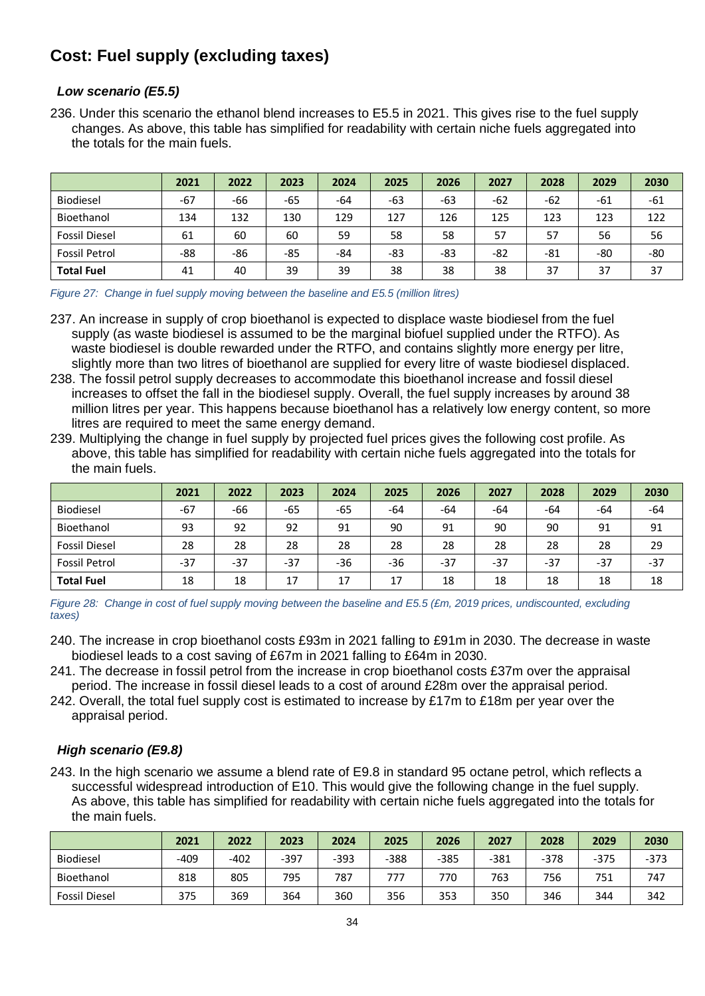# **Cost: Fuel supply (excluding taxes)**

# *Low scenario (E5.5)*

236. Under this scenario the ethanol blend increases to E5.5 in 2021. This gives rise to the fuel supply changes. As above, this table has simplified for readability with certain niche fuels aggregated into the totals for the main fuels.

|                      | 2021  | 2022  | 2023 | 2024 | 2025 | 2026 | 2027  | 2028 | 2029  | 2030 |
|----------------------|-------|-------|------|------|------|------|-------|------|-------|------|
| <b>Biodiesel</b>     | $-67$ | $-66$ | -65  | -64  | -63  | -63  | $-62$ | -62  | $-61$ | -61  |
| Bioethanol           | 134   | 132   | 130  | 129  | 127  | 126  | 125   | 123  | 123   | 122  |
| <b>Fossil Diesel</b> | 61    | 60    | 60   | 59   | 58   | 58   | 57    | 57   | 56    | 56   |
| <b>Fossil Petrol</b> | -88   | -86   | -85  | -84  | -83  | -83  | -82   | -81  | -80   | -80  |
| <b>Total Fuel</b>    | 41    | 40    | 39   | 39   | 38   | 38   | 38    | 37   | 37    | 37   |

*Figure 27: Change in fuel supply moving between the baseline and E5.5 (million litres)*

- 237. An increase in supply of crop bioethanol is expected to displace waste biodiesel from the fuel supply (as waste biodiesel is assumed to be the marginal biofuel supplied under the RTFO). As waste biodiesel is double rewarded under the RTFO, and contains slightly more energy per litre, slightly more than two litres of bioethanol are supplied for every litre of waste biodiesel displaced.
- 238. The fossil petrol supply decreases to accommodate this bioethanol increase and fossil diesel increases to offset the fall in the biodiesel supply. Overall, the fuel supply increases by around 38 million litres per year. This happens because bioethanol has a relatively low energy content, so more litres are required to meet the same energy demand.
- 239. Multiplying the change in fuel supply by projected fuel prices gives the following cost profile. As above, this table has simplified for readability with certain niche fuels aggregated into the totals for the main fuels.

|                      | 2021  | 2022 | 2023 | 2024 | 2025 | 2026  | 2027 | 2028  | 2029  | 2030  |
|----------------------|-------|------|------|------|------|-------|------|-------|-------|-------|
| <b>Biodiesel</b>     | $-67$ | -66  | -65  | -65  | -64  | -64   | -64  | -64   | -64   | -64   |
| Bioethanol           | 93    | 92   | 92   | 91   | 90   | 91    | 90   | 90    | 91    | 91    |
| <b>Fossil Diesel</b> | 28    | 28   | 28   | 28   | 28   | 28    | 28   | 28    | 28    | 29    |
| <b>Fossil Petrol</b> | $-37$ | -37  | -37  | -36  | -36  | $-37$ | -37  | $-37$ | $-37$ | $-37$ |
| <b>Total Fuel</b>    | 18    | 18   | 17   | 17   | 17   | 18    | 18   | 18    | 18    | 18    |

*Figure 28: Change in cost of fuel supply moving between the baseline and E5.5 (£m, 2019 prices, undiscounted, excluding taxes)*

- 240. The increase in crop bioethanol costs £93m in 2021 falling to £91m in 2030. The decrease in waste biodiesel leads to a cost saving of £67m in 2021 falling to £64m in 2030.
- 241. The decrease in fossil petrol from the increase in crop bioethanol costs £37m over the appraisal period. The increase in fossil diesel leads to a cost of around £28m over the appraisal period.
- 242. Overall, the total fuel supply cost is estimated to increase by £17m to £18m per year over the appraisal period.

### *High scenario (E9.8)*

243. In the high scenario we assume a blend rate of E9.8 in standard 95 octane petrol, which reflects a successful widespread introduction of E10. This would give the following change in the fuel supply. As above, this table has simplified for readability with certain niche fuels aggregated into the totals for the main fuels.

|                      | 2021 | 2022   | 2023 | 2024 | 2025 | 2026 | 2027   | 2028   | 2029   | 2030   |
|----------------------|------|--------|------|------|------|------|--------|--------|--------|--------|
| <b>Biodiesel</b>     | -409 | $-402$ | -397 | -393 | -388 | -385 | $-381$ | $-378$ | $-375$ | $-373$ |
| Bioethanol           | 818  | 805    | 795  | 787  |      | 770  | 763    | 756    | 751    | 747    |
| <b>Fossil Diesel</b> | 375  | 369    | 364  | 360  | 356  | 353  | 350    | 346    | 344    | 342    |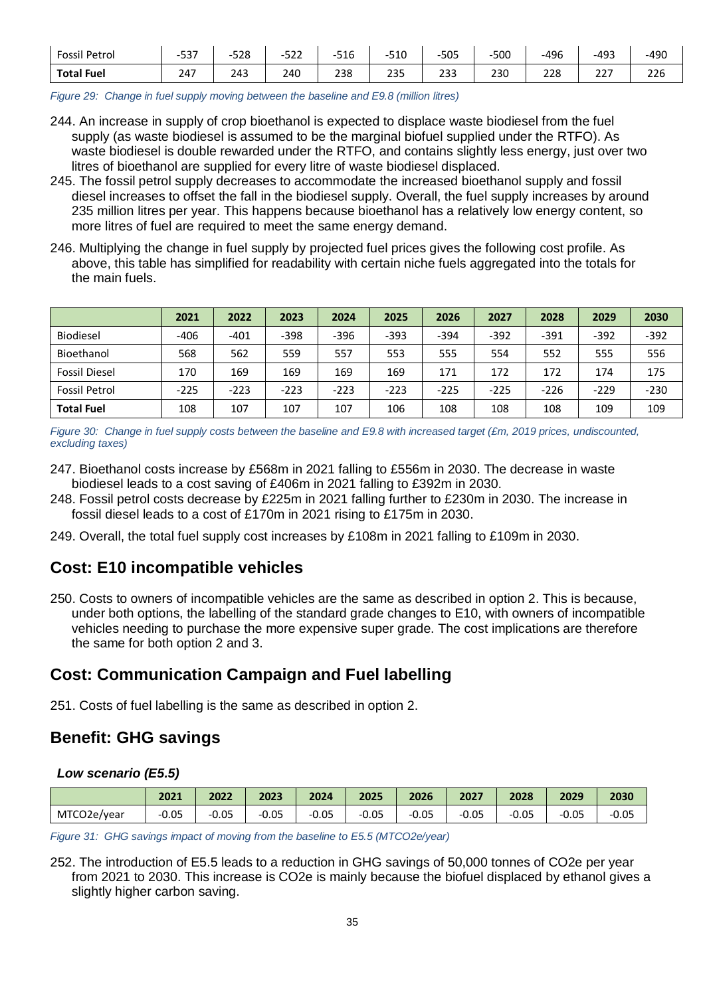| Fossil Petrol     | - 27<br>-5<br>، ب ب | 528<br>-- | raa<br>$\overline{\phantom{0}}$<br>ے د | AA<br>510 | $-510$ | $-505$     | $-500$ | -496 | $-493$       | $-490$ |
|-------------------|---------------------|-----------|----------------------------------------|-----------|--------|------------|--------|------|--------------|--------|
| <b>Total Fuel</b> | 247                 | 243       | 240                                    | 238       | 235    | าวา<br>دد∠ | 230    | 228  | ---<br>ر ے ے | 226    |

*Figure 29: Change in fuel supply moving between the baseline and E9.8 (million litres)* 

- 244. An increase in supply of crop bioethanol is expected to displace waste biodiesel from the fuel supply (as waste biodiesel is assumed to be the marginal biofuel supplied under the RTFO). As waste biodiesel is double rewarded under the RTFO, and contains slightly less energy, just over two litres of bioethanol are supplied for every litre of waste biodiesel displaced.
- 245. The fossil petrol supply decreases to accommodate the increased bioethanol supply and fossil diesel increases to offset the fall in the biodiesel supply. Overall, the fuel supply increases by around 235 million litres per year. This happens because bioethanol has a relatively low energy content, so more litres of fuel are required to meet the same energy demand.
- 246. Multiplying the change in fuel supply by projected fuel prices gives the following cost profile. As above, this table has simplified for readability with certain niche fuels aggregated into the totals for the main fuels.

|                      | 2021   | 2022   | 2023   | 2024   | 2025   | 2026   | 2027   | 2028   | 2029   | 2030   |
|----------------------|--------|--------|--------|--------|--------|--------|--------|--------|--------|--------|
| Biodiesel            | $-406$ | $-401$ | $-398$ | $-396$ | $-393$ | $-394$ | $-392$ | $-391$ | $-392$ | $-392$ |
| Bioethanol           | 568    | 562    | 559    | 557    | 553    | 555    | 554    | 552    | 555    | 556    |
| <b>Fossil Diesel</b> | 170    | 169    | 169    | 169    | 169    | 171    | 172    | 172    | 174    | 175    |
| <b>Fossil Petrol</b> | $-225$ | $-223$ | $-223$ | $-223$ | $-223$ | $-225$ | $-225$ | $-226$ | $-229$ | $-230$ |
| <b>Total Fuel</b>    | 108    | 107    | 107    | 107    | 106    | 108    | 108    | 108    | 109    | 109    |

*Figure 30: Change in fuel supply costs between the baseline and E9.8 with increased target (£m, 2019 prices, undiscounted, excluding taxes)*

- 247. Bioethanol costs increase by £568m in 2021 falling to £556m in 2030. The decrease in waste biodiesel leads to a cost saving of £406m in 2021 falling to £392m in 2030.
- 248. Fossil petrol costs decrease by £225m in 2021 falling further to £230m in 2030. The increase in fossil diesel leads to a cost of £170m in 2021 rising to £175m in 2030.
- 249. Overall, the total fuel supply cost increases by £108m in 2021 falling to £109m in 2030.

# **Cost: E10 incompatible vehicles**

250. Costs to owners of incompatible vehicles are the same as described in option 2. This is because, under both options, the labelling of the standard grade changes to E10, with owners of incompatible vehicles needing to purchase the more expensive super grade. The cost implications are therefore the same for both option 2 and 3.

# **Cost: Communication Campaign and Fuel labelling**

251. Costs of fuel labelling is the same as described in option 2.

# **Benefit: GHG savings**

#### *Low scenario (E5.5)*

|             | 2021    | 2022    | 2023    | 2024    | 2025    | 2026    | 2027       | 2028    | 2029    | 2030    |
|-------------|---------|---------|---------|---------|---------|---------|------------|---------|---------|---------|
| MTCO2e/year | $-0.05$ | $-0.05$ | $-0.05$ | $-0.05$ | $-0.05$ | $-0.05$ | 0.05<br>-- | $-0.05$ | $-0.05$ | $-0.05$ |

*Figure 31: GHG savings impact of moving from the baseline to E5.5 (MTCO2e/year)*

252. The introduction of E5.5 leads to a reduction in GHG savings of 50,000 tonnes of CO2e per year from 2021 to 2030. This increase is CO2e is mainly because the biofuel displaced by ethanol gives a slightly higher carbon saving.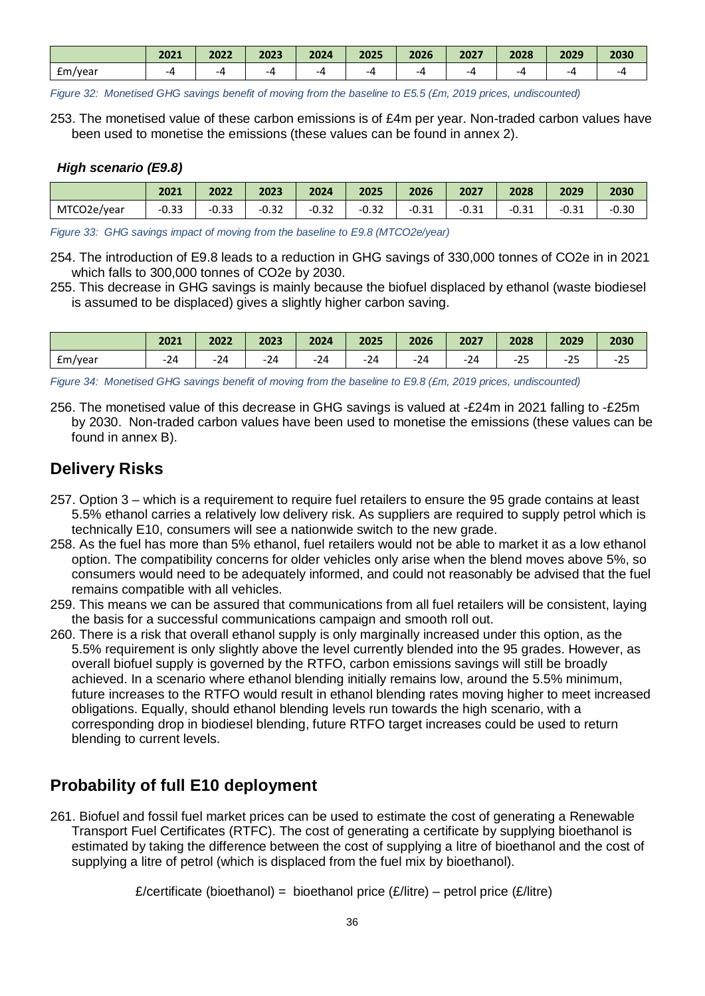|         | 2021 | 2022 | 2023 | 2024 | 2025 | 2026 | 2027 | 2028 | 2029 | 2030 |
|---------|------|------|------|------|------|------|------|------|------|------|
| Em/year | -4   | --   |      | -4   | -4   | -4   | -4   |      |      | -4   |

*Figure 32: Monetised GHG savings benefit of moving from the baseline to E5.5 (£m, 2019 prices, undiscounted)*

253. The monetised value of these carbon emissions is of £4m per year. Non-traded carbon values have been used to monetise the emissions (these values can be found in annex 2).

#### *High scenario (E9.8)*

|             | 2021    | 2022    | 2023    | 2024    | 2025    | 2026    | 2027    | 2028    | 2029    | 2030    |
|-------------|---------|---------|---------|---------|---------|---------|---------|---------|---------|---------|
| MTCO2e/year | $-0.33$ | $-0.33$ | $-0.32$ | $-0.32$ | $-0.32$ | $-0.31$ | $-0.31$ | $-0.31$ | $-0.31$ | $-0.30$ |

*Figure 33: GHG savings impact of moving from the baseline to E9.8 (MTCO2e/year)*

254. The introduction of E9.8 leads to a reduction in GHG savings of 330,000 tonnes of CO2e in in 2021 which falls to 300,000 tonnes of CO2e by 2030.

255. This decrease in GHG savings is mainly because the biofuel displaced by ethanol (waste biodiesel is assumed to be displaced) gives a slightly higher carbon saving.

|         | 2021             | 2022  | 2023  | 2024  | 2025 | 2026  | 2027 | 2028                 | 2029                    | 2030              |
|---------|------------------|-------|-------|-------|------|-------|------|----------------------|-------------------------|-------------------|
| £m/year | - -<br>- 14<br>- | $-24$ | $-24$ | $-24$ | -24  | $-24$ | -24  | $\sim$ $\sim$<br>ームし | $\sim$ $-$<br>-23<br>__ | $\sim$ $-$<br>-25 |

*Figure 34: Monetised GHG savings benefit of moving from the baseline to E9.8 (£m, 2019 prices, undiscounted)*

256. The monetised value of this decrease in GHG savings is valued at -£24m in 2021 falling to -£25m by 2030. Non-traded carbon values have been used to monetise the emissions (these values can be found in annex B).

# **Delivery Risks**

- 257. Option 3 which is a requirement to require fuel retailers to ensure the 95 grade contains at least 5.5% ethanol carries a relatively low delivery risk. As suppliers are required to supply petrol which is technically E10, consumers will see a nationwide switch to the new grade.
- 258. As the fuel has more than 5% ethanol, fuel retailers would not be able to market it as a low ethanol option. The compatibility concerns for older vehicles only arise when the blend moves above 5%, so consumers would need to be adequately informed, and could not reasonably be advised that the fuel remains compatible with all vehicles.
- 259. This means we can be assured that communications from all fuel retailers will be consistent, laying the basis for a successful communications campaign and smooth roll out.
- 260. There is a risk that overall ethanol supply is only marginally increased under this option, as the 5.5% requirement is only slightly above the level currently blended into the 95 grades. However, as overall biofuel supply is governed by the RTFO, carbon emissions savings will still be broadly achieved. In a scenario where ethanol blending initially remains low, around the 5.5% minimum, future increases to the RTFO would result in ethanol blending rates moving higher to meet increased obligations. Equally, should ethanol blending levels run towards the high scenario, with a corresponding drop in biodiesel blending, future RTFO target increases could be used to return blending to current levels.

# **Probability of full E10 deployment**

261. Biofuel and fossil fuel market prices can be used to estimate the cost of generating a Renewable Transport Fuel Certificates (RTFC). The cost of generating a certificate by supplying bioethanol is estimated by taking the difference between the cost of supplying a litre of bioethanol and the cost of supplying a litre of petrol (which is displaced from the fuel mix by bioethanol).

£/certificate (bioethanol) = bioethanol price  $(E/l$  itre) – petrol price  $(E/l$  itre)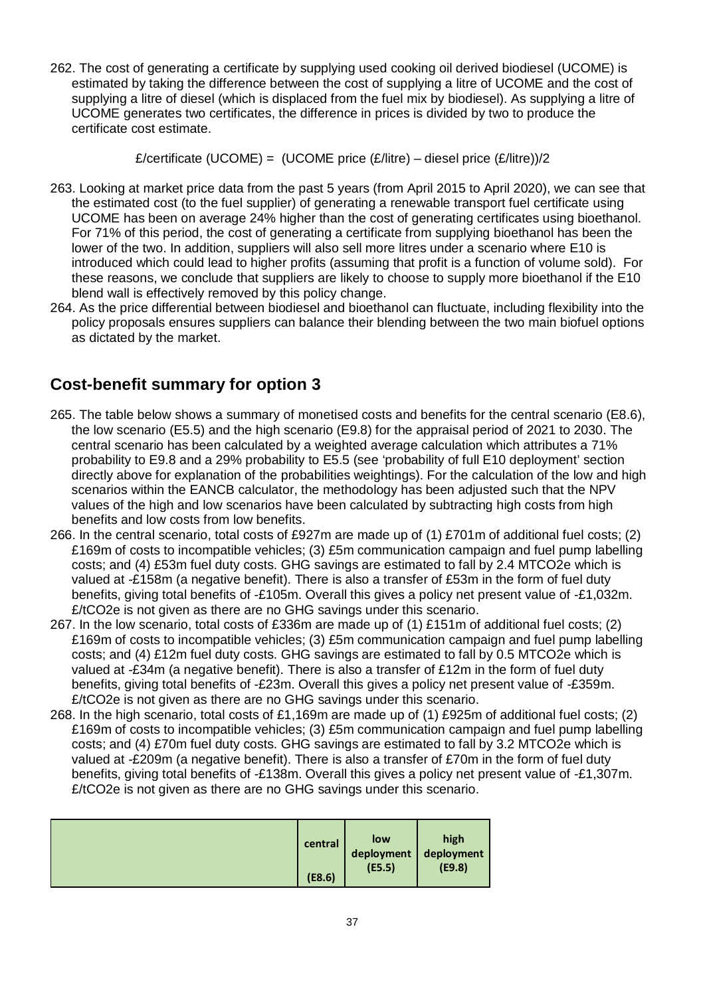262. The cost of generating a certificate by supplying used cooking oil derived biodiesel (UCOME) is estimated by taking the difference between the cost of supplying a litre of UCOME and the cost of supplying a litre of diesel (which is displaced from the fuel mix by biodiesel). As supplying a litre of UCOME generates two certificates, the difference in prices is divided by two to produce the certificate cost estimate.

£/certificate (UCOME) = (UCOME price  $(E/litre)$  – diesel price  $(E/litre)/2$ 

- 263. Looking at market price data from the past 5 years (from April 2015 to April 2020), we can see that the estimated cost (to the fuel supplier) of generating a renewable transport fuel certificate using UCOME has been on average 24% higher than the cost of generating certificates using bioethanol. For 71% of this period, the cost of generating a certificate from supplying bioethanol has been the lower of the two. In addition, suppliers will also sell more litres under a scenario where E10 is introduced which could lead to higher profits (assuming that profit is a function of volume sold). For these reasons, we conclude that suppliers are likely to choose to supply more bioethanol if the E10 blend wall is effectively removed by this policy change.
- 264. As the price differential between biodiesel and bioethanol can fluctuate, including flexibility into the policy proposals ensures suppliers can balance their blending between the two main biofuel options as dictated by the market.

# **Cost-benefit summary for option 3**

- 265. The table below shows a summary of monetised costs and benefits for the central scenario (E8.6), the low scenario (E5.5) and the high scenario (E9.8) for the appraisal period of 2021 to 2030. The central scenario has been calculated by a weighted average calculation which attributes a 71% probability to E9.8 and a 29% probability to E5.5 (see 'probability of full E10 deployment' section directly above for explanation of the probabilities weightings). For the calculation of the low and high scenarios within the EANCB calculator, the methodology has been adjusted such that the NPV values of the high and low scenarios have been calculated by subtracting high costs from high benefits and low costs from low benefits.
- 266. In the central scenario, total costs of £927m are made up of (1) £701m of additional fuel costs; (2) £169m of costs to incompatible vehicles; (3) £5m communication campaign and fuel pump labelling costs; and (4) £53m fuel duty costs. GHG savings are estimated to fall by 2.4 MTCO2e which is valued at -£158m (a negative benefit). There is also a transfer of £53m in the form of fuel duty benefits, giving total benefits of -£105m. Overall this gives a policy net present value of -£1,032m. £/tCO2e is not given as there are no GHG savings under this scenario.
- 267. In the low scenario, total costs of £336m are made up of (1) £151m of additional fuel costs; (2) £169m of costs to incompatible vehicles; (3) £5m communication campaign and fuel pump labelling costs; and (4) £12m fuel duty costs. GHG savings are estimated to fall by 0.5 MTCO2e which is valued at -£34m (a negative benefit). There is also a transfer of £12m in the form of fuel duty benefits, giving total benefits of -£23m. Overall this gives a policy net present value of -£359m. £/tCO2e is not given as there are no GHG savings under this scenario.
- 268. In the high scenario, total costs of £1,169m are made up of (1) £925m of additional fuel costs; (2) £169m of costs to incompatible vehicles; (3) £5m communication campaign and fuel pump labelling costs; and (4) £70m fuel duty costs. GHG savings are estimated to fall by 3.2 MTCO2e which is valued at -£209m (a negative benefit). There is also a transfer of £70m in the form of fuel duty benefits, giving total benefits of -£138m. Overall this gives a policy net present value of -£1,307m. £/tCO2e is not given as there are no GHG savings under this scenario.

|  | central<br>(E8.6) | low<br>deployment<br>(E5.5) | high<br>deployment<br>(E9.8) |
|--|-------------------|-----------------------------|------------------------------|
|--|-------------------|-----------------------------|------------------------------|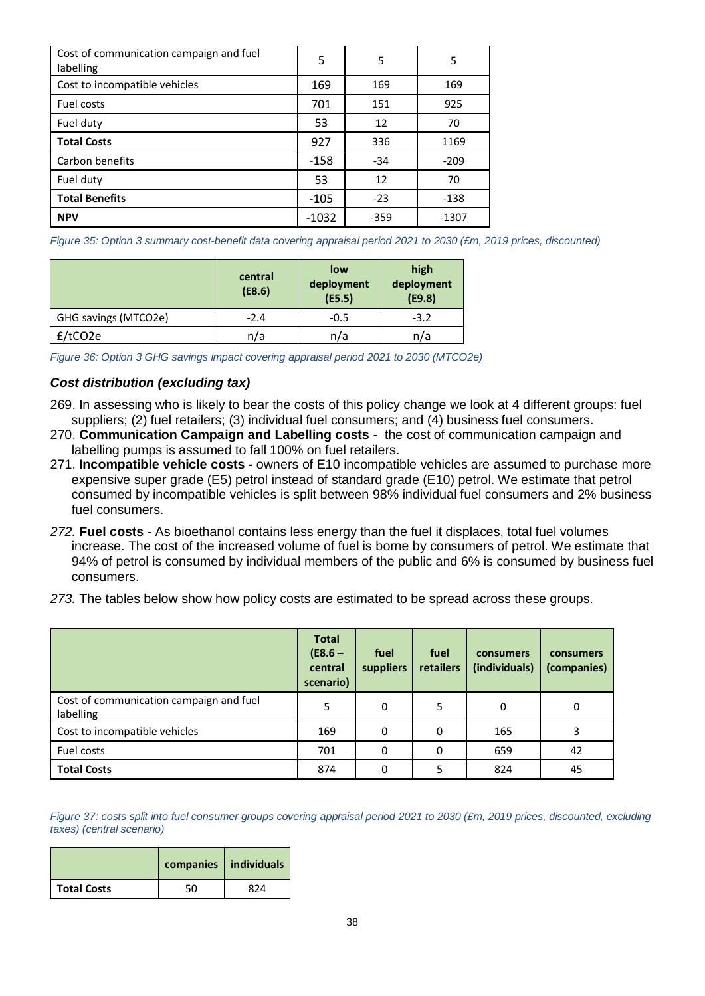| Cost of communication campaign and fuel<br>labelling | 5       | 5      | 5       |
|------------------------------------------------------|---------|--------|---------|
| Cost to incompatible vehicles                        | 169     | 169    | 169     |
| Fuel costs                                           | 701     | 151    | 925     |
| Fuel duty                                            | 53      | 12     | 70      |
| <b>Total Costs</b>                                   | 927     | 336    | 1169    |
| Carbon benefits                                      | $-158$  | $-34$  | $-209$  |
| Fuel duty                                            | 53      | 12     | 70      |
| <b>Total Benefits</b>                                | $-105$  | $-23$  | $-138$  |
| <b>NPV</b>                                           | $-1032$ | $-359$ | $-1307$ |

*Figure 35: Option 3 summary cost-benefit data covering appraisal period 2021 to 2030 (£m, 2019 prices, discounted)*

|                      | central<br>(E8.6) | low<br>deployment<br>(E5.5) | high<br>deployment<br>(E9.8) |
|----------------------|-------------------|-----------------------------|------------------------------|
| GHG savings (MTCO2e) | $-2.4$            | $-0.5$                      | $-3.2$                       |
| f/tCO2e              | n/a               | n/a                         | n/a                          |

*Figure 36: Option 3 GHG savings impact covering appraisal period 2021 to 2030 (MTCO2e)*

#### *Cost distribution (excluding tax)*

- 269. In assessing who is likely to bear the costs of this policy change we look at 4 different groups: fuel suppliers; (2) fuel retailers; (3) individual fuel consumers; and (4) business fuel consumers.
- 270. **Communication Campaign and Labelling costs** *-* the cost of communication campaign and labelling pumps is assumed to fall 100% on fuel retailers.
- 271. **Incompatible vehicle costs -** owners of E10 incompatible vehicles are assumed to purchase more expensive super grade (E5) petrol instead of standard grade (E10) petrol. We estimate that petrol consumed by incompatible vehicles is split between 98% individual fuel consumers and 2% business fuel consumers.
- *272.* **Fuel costs** *-* As bioethanol contains less energy than the fuel it displaces, total fuel volumes increase. The cost of the increased volume of fuel is borne by consumers of petrol. We estimate that 94% of petrol is consumed by individual members of the public and 6% is consumed by business fuel consumers.
- *273.* The tables below show how policy costs are estimated to be spread across these groups.

|                                                      | <b>Total</b><br>$(E8.6 -$<br>central<br>scenario) | fuel<br>suppliers | fuel<br>retailers | consumers<br>(individuals) | consumers<br>(companies) |
|------------------------------------------------------|---------------------------------------------------|-------------------|-------------------|----------------------------|--------------------------|
| Cost of communication campaign and fuel<br>labelling | 5                                                 | 0                 | 5                 | 0                          | 0                        |
| Cost to incompatible vehicles                        | 169                                               | 0                 | 0                 | 165                        |                          |
| Fuel costs                                           | 701                                               | 0                 | 0                 | 659                        | 42                       |
| <b>Total Costs</b>                                   | 874                                               | 0                 | 5.                | 824                        | 45                       |

*Figure 37: costs split into fuel consumer groups covering appraisal period 2021 to 2030 (£m, 2019 prices, discounted, excluding taxes) (central scenario)*

|                    |    | companies   individuals |
|--------------------|----|-------------------------|
| <b>Total Costs</b> | 50 | 874                     |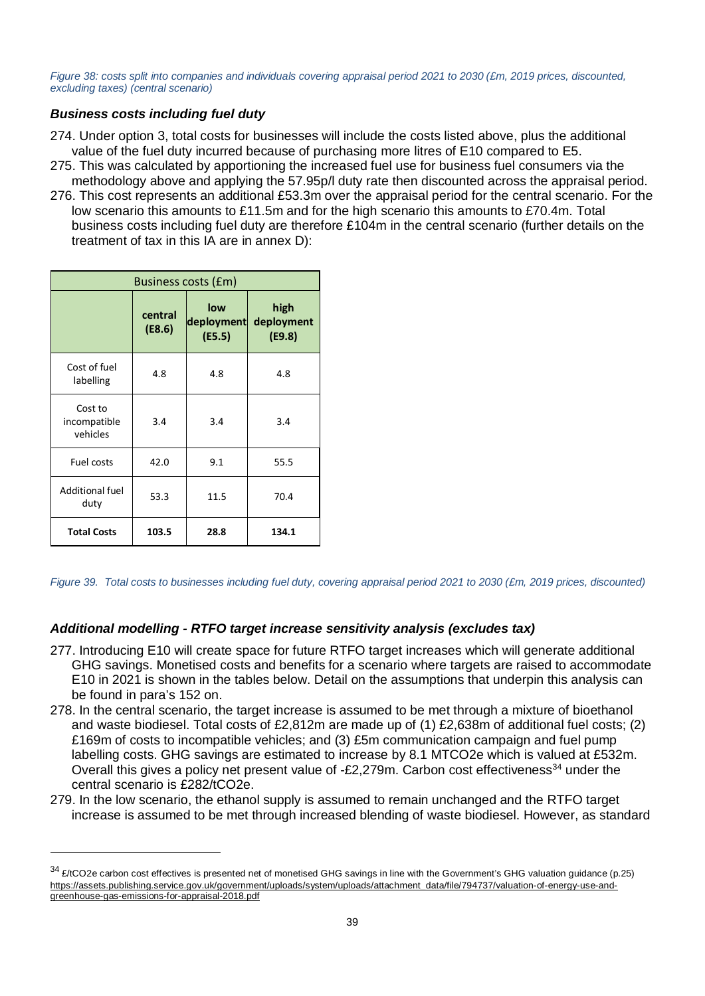*Figure 38: costs split into companies and individuals covering appraisal period 2021 to 2030 (£m, 2019 prices, discounted, excluding taxes) (central scenario)*

### *Business costs including fuel duty*

- 274. Under option 3, total costs for businesses will include the costs listed above, plus the additional value of the fuel duty incurred because of purchasing more litres of E10 compared to E5.
- 275. This was calculated by apportioning the increased fuel use for business fuel consumers via the methodology above and applying the 57.95p/l duty rate then discounted across the appraisal period.
- 276. This cost represents an additional £53.3m over the appraisal period for the central scenario. For the low scenario this amounts to £11.5m and for the high scenario this amounts to £70.4m. Total business costs including fuel duty are therefore £104m in the central scenario (further details on the treatment of tax in this IA are in annex D):

| Business costs (£m)                 |                   |                             |                              |
|-------------------------------------|-------------------|-----------------------------|------------------------------|
|                                     | central<br>(E8.6) | low<br>deployment<br>(E5.5) | high<br>deployment<br>(E9.8) |
| Cost of fuel<br>labelling           | 4.8               | 4.8                         | 4.8                          |
| Cost to<br>incompatible<br>vehicles | 3.4               | 3.4                         | 3.4                          |
| Fuel costs                          | 42.0              | 9.1                         | 55.5                         |
| <b>Additional fuel</b><br>duty      | 53.3              | 11.5                        | 70.4                         |
| <b>Total Costs</b>                  | 103.5             | 28.8                        | 134.1                        |

-

*Figure 39. Total costs to businesses including fuel duty, covering appraisal period 2021 to 2030 (£m, 2019 prices, discounted)*

# *Additional modelling - RTFO target increase sensitivity analysis (excludes tax)*

- 277. Introducing E10 will create space for future RTFO target increases which will generate additional GHG savings. Monetised costs and benefits for a scenario where targets are raised to accommodate E10 in 2021 is shown in the tables below. Detail on the assumptions that underpin this analysis can be found in para's 152 on.
- 278. In the central scenario, the target increase is assumed to be met through a mixture of bioethanol and waste biodiesel. Total costs of £2,812m are made up of (1) £2,638m of additional fuel costs; (2) £169m of costs to incompatible vehicles; and (3) £5m communication campaign and fuel pump labelling costs. GHG savings are estimated to increase by 8.1 MTCO2e which is valued at £532m. Overall this gives a policy net present value of -£2,279m. Carbon cost effectiveness<sup>[34](#page-38-0)</sup> under the central scenario is £282/tCO2e.
- 279. In the low scenario, the ethanol supply is assumed to remain unchanged and the RTFO target increase is assumed to be met through increased blending of waste biodiesel. However, as standard

<span id="page-38-0"></span><sup>34 £/</sup>tCO2e carbon cost effectives is presented net of monetised GHG savings in line with the Government's GHG valuation guidance (p.25) [https://assets.publishing.service.gov.uk/government/uploads/system/uploads/attachment\\_data/file/794737/valuation-of-energy-use-and](https://assets.publishing.service.gov.uk/government/uploads/system/uploads/attachment_data/file/794737/valuation-of-energy-use-and-greenhouse-gas-emissions-for-appraisal-2018.pdf)[greenhouse-gas-emissions-for-appraisal-2018.pdf](https://assets.publishing.service.gov.uk/government/uploads/system/uploads/attachment_data/file/794737/valuation-of-energy-use-and-greenhouse-gas-emissions-for-appraisal-2018.pdf)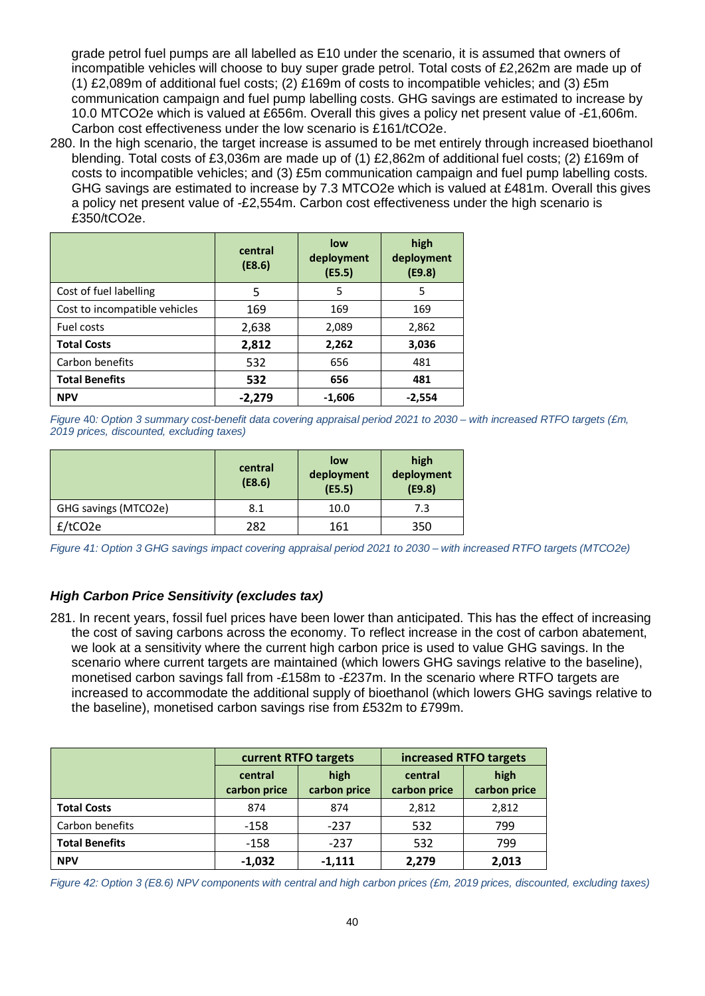grade petrol fuel pumps are all labelled as E10 under the scenario, it is assumed that owners of incompatible vehicles will choose to buy super grade petrol. Total costs of £2,262m are made up of (1) £2,089m of additional fuel costs; (2) £169m of costs to incompatible vehicles; and (3) £5m communication campaign and fuel pump labelling costs. GHG savings are estimated to increase by 10.0 MTCO2e which is valued at £656m. Overall this gives a policy net present value of -£1,606m. Carbon cost effectiveness under the low scenario is £161/tCO2e.

280. In the high scenario, the target increase is assumed to be met entirely through increased bioethanol blending. Total costs of £3,036m are made up of (1) £2,862m of additional fuel costs; (2) £169m of costs to incompatible vehicles; and (3) £5m communication campaign and fuel pump labelling costs. GHG savings are estimated to increase by 7.3 MTCO2e which is valued at £481m. Overall this gives a policy net present value of -£2,554m. Carbon cost effectiveness under the high scenario is £350/tCO2e.

|                               | central<br>(E8.6) | low<br>deployment<br>(E5.5) | high<br>deployment<br>(E9.8) |
|-------------------------------|-------------------|-----------------------------|------------------------------|
| Cost of fuel labelling        | 5                 | 5                           | 5                            |
| Cost to incompatible vehicles | 169               | 169                         | 169                          |
| Fuel costs                    | 2,638             | 2,089                       | 2,862                        |
| <b>Total Costs</b>            | 2,812             | 2,262                       | 3,036                        |
| Carbon benefits               | 532               | 656                         | 481                          |
| <b>Total Benefits</b>         | 532               | 656                         | 481                          |
| <b>NPV</b>                    | $-2,279$          | $-1,606$                    | $-2,554$                     |

*Figure* 40*: Option 3 summary cost-benefit data covering appraisal period 2021 to 2030 – with increased RTFO targets (£m, 2019 prices, discounted, excluding taxes)*

|                      | central<br>(E8.6) | low<br>deployment<br>(E5.5) | high<br>deployment<br>(E9.8) |
|----------------------|-------------------|-----------------------------|------------------------------|
| GHG savings (MTCO2e) | 8.1               | 10.0                        | 7.3                          |
| $f$ /tCO2e           | 282               | 161                         | 350                          |

*Figure 41: Option 3 GHG savings impact covering appraisal period 2021 to 2030 – with increased RTFO targets (MTCO2e)*

# *High Carbon Price Sensitivity (excludes tax)*

281. In recent years, fossil fuel prices have been lower than anticipated. This has the effect of increasing the cost of saving carbons across the economy. To reflect increase in the cost of carbon abatement, we look at a sensitivity where the current high carbon price is used to value GHG savings. In the scenario where current targets are maintained (which lowers GHG savings relative to the baseline), monetised carbon savings fall from -£158m to -£237m. In the scenario where RTFO targets are increased to accommodate the additional supply of bioethanol (which lowers GHG savings relative to the baseline), monetised carbon savings rise from £532m to £799m.

|                       | current RTFO targets    |                      | increased RTFO targets  |                      |
|-----------------------|-------------------------|----------------------|-------------------------|----------------------|
|                       | central<br>carbon price | high<br>carbon price | central<br>carbon price | high<br>carbon price |
| <b>Total Costs</b>    | 874                     | 874                  | 2,812                   | 2,812                |
| Carbon benefits       | $-158$                  | $-237$               | 532                     | 799                  |
| <b>Total Benefits</b> | $-158$                  | $-237$               | 532                     | 799                  |
| <b>NPV</b>            | $-1,032$                | $-1,111$             | 2,279                   | 2,013                |

*Figure 42: Option 3 (E8.6) NPV components with central and high carbon prices (£m, 2019 prices, discounted, excluding taxes)*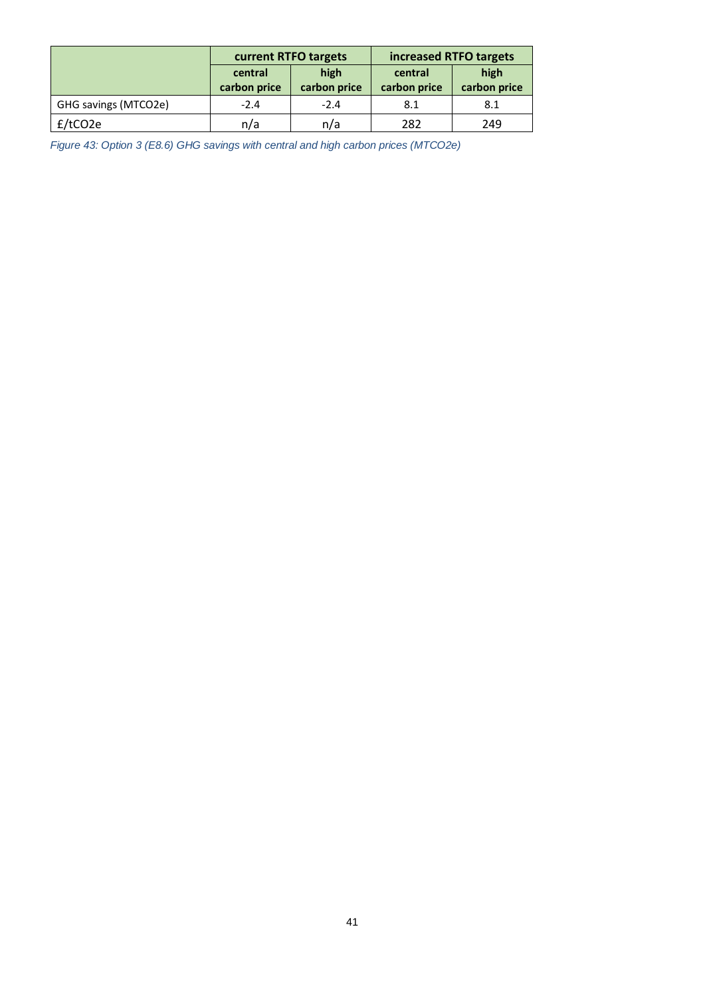|                      | current RTFO targets    |                      | increased RTFO targets  |                      |
|----------------------|-------------------------|----------------------|-------------------------|----------------------|
|                      | central<br>carbon price | high<br>carbon price | central<br>carbon price | high<br>carbon price |
| GHG savings (MTCO2e) | $-2.4$                  | $-2.4$               | 8.1                     | 8.1                  |
| f/tCO2e              | n/a                     | n/a                  | 282                     | 249                  |

*Figure 43: Option 3 (E8.6) GHG savings with central and high carbon prices (MTCO2e)*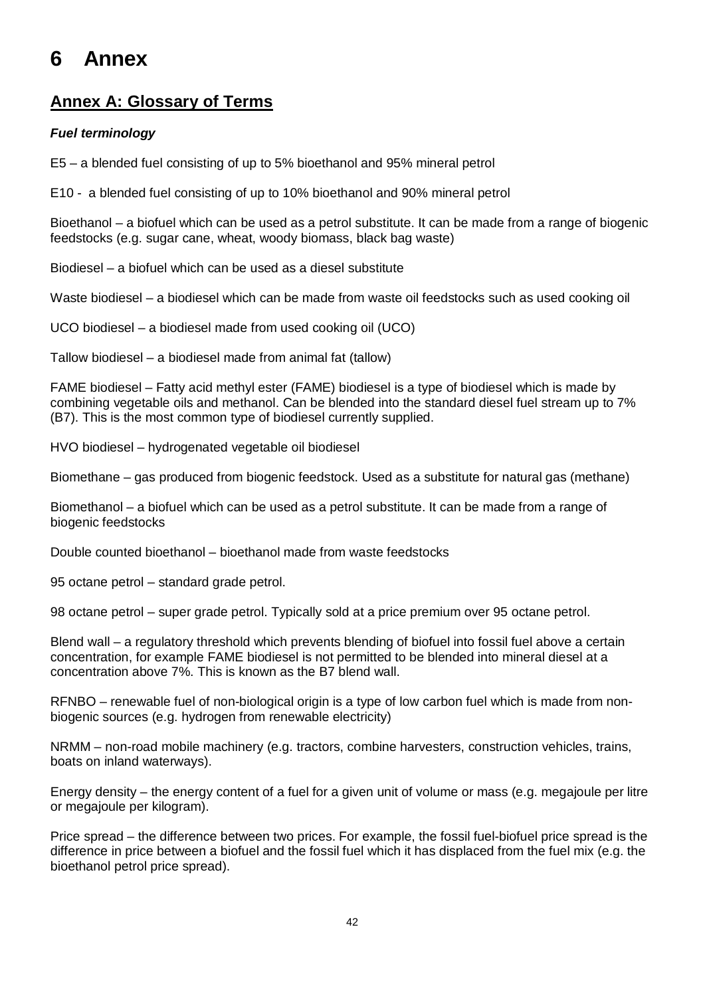# <span id="page-41-0"></span>**6 Annex**

# **Annex A: Glossary of Terms**

# *Fuel terminology*

E5 – a blended fuel consisting of up to 5% bioethanol and 95% mineral petrol

E10 - a blended fuel consisting of up to 10% bioethanol and 90% mineral petrol

Bioethanol – a biofuel which can be used as a petrol substitute. It can be made from a range of biogenic feedstocks (e.g. sugar cane, wheat, woody biomass, black bag waste)

Biodiesel – a biofuel which can be used as a diesel substitute

Waste biodiesel – a biodiesel which can be made from waste oil feedstocks such as used cooking oil

UCO biodiesel – a biodiesel made from used cooking oil (UCO)

Tallow biodiesel – a biodiesel made from animal fat (tallow)

FAME biodiesel – Fatty acid methyl ester (FAME) biodiesel is a type of biodiesel which is made by combining vegetable oils and methanol. Can be blended into the standard diesel fuel stream up to 7% (B7). This is the most common type of biodiesel currently supplied.

HVO biodiesel – hydrogenated vegetable oil biodiesel

Biomethane – gas produced from biogenic feedstock. Used as a substitute for natural gas (methane)

Biomethanol – a biofuel which can be used as a petrol substitute. It can be made from a range of biogenic feedstocks

Double counted bioethanol – bioethanol made from waste feedstocks

95 octane petrol – standard grade petrol.

98 octane petrol – super grade petrol. Typically sold at a price premium over 95 octane petrol.

Blend wall – a regulatory threshold which prevents blending of biofuel into fossil fuel above a certain concentration, for example FAME biodiesel is not permitted to be blended into mineral diesel at a concentration above 7%. This is known as the B7 blend wall.

RFNBO – renewable fuel of non-biological origin is a type of low carbon fuel which is made from nonbiogenic sources (e.g. hydrogen from renewable electricity)

NRMM – non-road mobile machinery (e.g. tractors, combine harvesters, construction vehicles, trains, boats on inland waterways).

Energy density – the energy content of a fuel for a given unit of volume or mass (e.g. megajoule per litre or megajoule per kilogram).

Price spread – the difference between two prices. For example, the fossil fuel-biofuel price spread is the difference in price between a biofuel and the fossil fuel which it has displaced from the fuel mix (e.g. the bioethanol petrol price spread).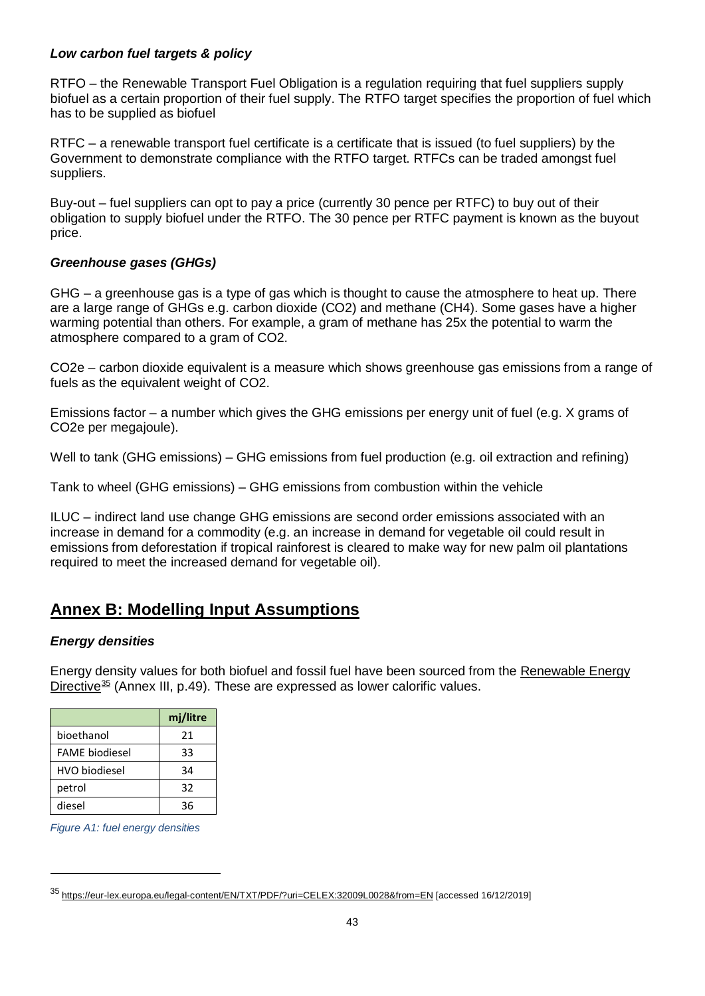### *Low carbon fuel targets & policy*

RTFO – the Renewable Transport Fuel Obligation is a regulation requiring that fuel suppliers supply biofuel as a certain proportion of their fuel supply. The RTFO target specifies the proportion of fuel which has to be supplied as biofuel

RTFC – a renewable transport fuel certificate is a certificate that is issued (to fuel suppliers) by the Government to demonstrate compliance with the RTFO target. RTFCs can be traded amongst fuel suppliers.

Buy-out – fuel suppliers can opt to pay a price (currently 30 pence per RTFC) to buy out of their obligation to supply biofuel under the RTFO. The 30 pence per RTFC payment is known as the buyout price.

### *Greenhouse gases (GHGs)*

GHG – a greenhouse gas is a type of gas which is thought to cause the atmosphere to heat up. There are a large range of GHGs e.g. carbon dioxide (CO2) and methane (CH4). Some gases have a higher warming potential than others. For example, a gram of methane has 25x the potential to warm the atmosphere compared to a gram of CO2.

CO2e – carbon dioxide equivalent is a measure which shows greenhouse gas emissions from a range of fuels as the equivalent weight of CO2.

Emissions factor – a number which gives the GHG emissions per energy unit of fuel (e.g. X grams of CO2e per megajoule).

Well to tank (GHG emissions) – GHG emissions from fuel production (e.g. oil extraction and refining)

Tank to wheel (GHG emissions) – GHG emissions from combustion within the vehicle

ILUC – indirect land use change GHG emissions are second order emissions associated with an increase in demand for a commodity (e.g. an increase in demand for vegetable oil could result in emissions from deforestation if tropical rainforest is cleared to make way for new palm oil plantations required to meet the increased demand for vegetable oil).

# **Annex B: Modelling Input Assumptions**

### *Energy densities*

Energy density values for both biofuel and fossil fuel have been sourced from the [Renewable Energy](https://eur-lex.europa.eu/legal-content/EN/TXT/PDF/?uri=CELEX:32009L0028&from=EN)  [Directive](https://eur-lex.europa.eu/legal-content/EN/TXT/PDF/?uri=CELEX:32009L0028&from=EN)<sup>[35](#page-42-0)</sup> (Annex III, p.49). These are expressed as lower calorific values.

|                       | mj/litre |
|-----------------------|----------|
| bioethanol            | 21       |
| <b>FAME</b> biodiesel | 33       |
| <b>HVO</b> biodiesel  | 34       |
| petrol                | 32       |
| diesel                | 36       |

*Figure A1: fuel energy densities*

<span id="page-42-0"></span><sup>35</sup> <https://eur-lex.europa.eu/legal-content/EN/TXT/PDF/?uri=CELEX:32009L0028&from=EN> [accessed 16/12/2019]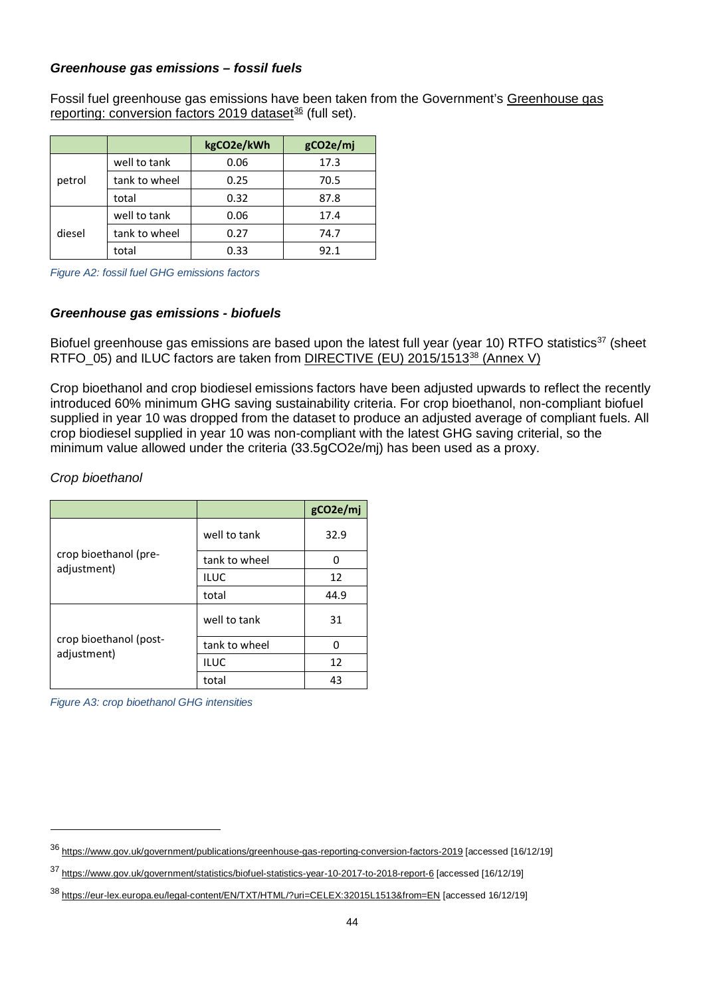#### *Greenhouse gas emissions – fossil fuels*

Fossil fuel greenhouse gas emissions have been taken from the Government's [Greenhouse gas](https://www.gov.uk/government/publications/greenhouse-gas-reporting-conversion-factors-2019)  [reporting: conversion factors 2019 dataset](https://www.gov.uk/government/publications/greenhouse-gas-reporting-conversion-factors-2019)<sup>[36](#page-43-0)</sup> (full set).

|        |               | kgCO2e/kWh | gCO2e/mj |
|--------|---------------|------------|----------|
|        | well to tank  | 0.06       | 17.3     |
| petrol | tank to wheel | 0.25       | 70.5     |
|        | total         | 0.32       | 87.8     |
|        | well to tank  | 0.06       | 17.4     |
| diesel | tank to wheel | 0.27       | 74.7     |
|        | total         | 0.33       | 92.1     |

*Figure A2: fossil fuel GHG emissions factors*

### *Greenhouse gas emissions - biofuels*

Biofuel greenhouse gas emissions are based upon the latest full year (year 10) RTFO statistics<sup>37</sup> (sheet RTFO 05) and ILUC factors are taken from DIRECTIVE (EU) 2015/1513<sup>[38](#page-43-2)</sup> (Annex V)

Crop bioethanol and crop biodiesel emissions factors have been adjusted upwards to reflect the recently introduced 60% minimum GHG saving sustainability criteria. For crop bioethanol, non-compliant biofuel supplied in year 10 was dropped from the dataset to produce an adjusted average of compliant fuels. All crop biodiesel supplied in year 10 was non-compliant with the latest GHG saving criterial, so the minimum value allowed under the criteria (33.5gCO2e/mj) has been used as a proxy.

#### *Crop bioethanol*

 $\overline{a}$ 

|                                       |               | gCO2e/mj |
|---------------------------------------|---------------|----------|
|                                       | well to tank  | 32.9     |
| crop bioethanol (pre-                 | tank to wheel | ŋ        |
| adjustment)                           | <b>ILUC</b>   | 12       |
|                                       | total         | 44.9     |
| crop bioethanol (post-<br>adjustment) | well to tank  | 31       |
|                                       | tank to wheel | n        |
|                                       | <b>ILUC</b>   | 12       |
|                                       | total         | 43       |

*Figure A3: crop bioethanol GHG intensities*

<span id="page-43-0"></span><sup>36</sup> <https://www.gov.uk/government/publications/greenhouse-gas-reporting-conversion-factors-2019> [accessed [16/12/19]

<span id="page-43-1"></span><sup>37</sup> <https://www.gov.uk/government/statistics/biofuel-statistics-year-10-2017-to-2018-report-6> [accessed [16/12/19]

<span id="page-43-2"></span><sup>38</sup> <https://eur-lex.europa.eu/legal-content/EN/TXT/HTML/?uri=CELEX:32015L1513&from=EN> [accessed 16/12/19]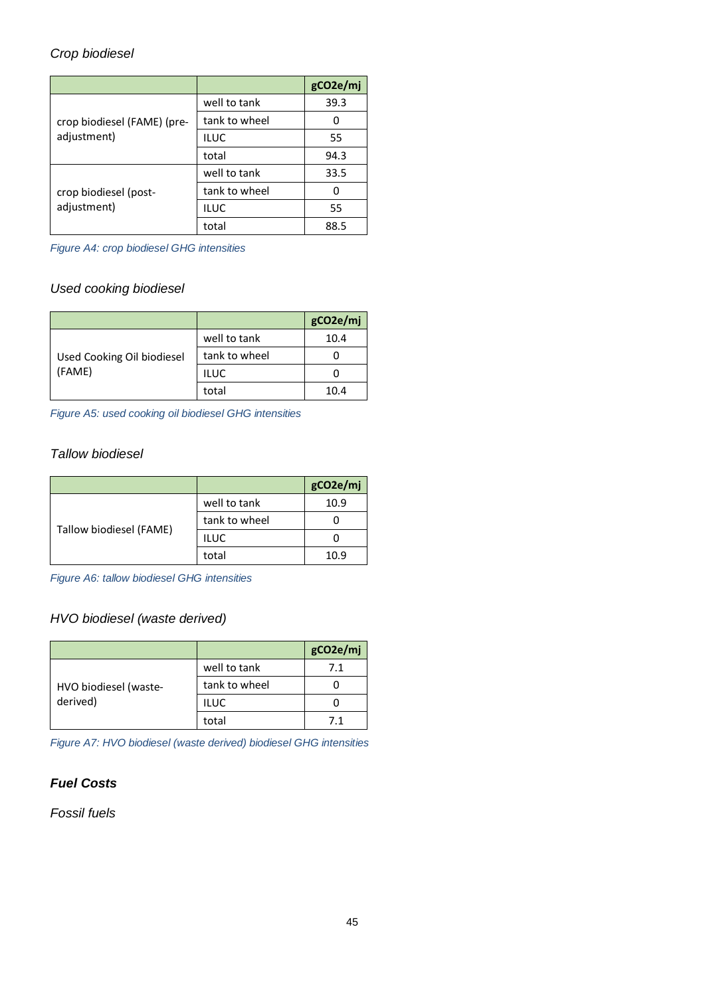## *Crop biodiesel*

|                                      |               | gCO2e/mj |
|--------------------------------------|---------------|----------|
| crop biodiesel (FAME) (pre-          | well to tank  | 39.3     |
|                                      | tank to wheel |          |
| adjustment)                          | <b>ILUC</b>   | 55       |
|                                      | total         | 94.3     |
| crop biodiesel (post-<br>adjustment) | well to tank  | 33.5     |
|                                      | tank to wheel | ი        |
|                                      | <b>ILUC</b>   | 55       |
|                                      | total         | 88.5     |

*Figure A4: crop biodiesel GHG intensities*

# *Used cooking biodiesel*

|                                      |               | gCO2e/mj |
|--------------------------------------|---------------|----------|
|                                      | well to tank  | 10.4     |
| Used Cooking Oil biodiesel<br>(FAME) | tank to wheel |          |
|                                      | <b>ILUC</b>   |          |
|                                      | total         | 10.4     |

*Figure A5: used cooking oil biodiesel GHG intensities*

# *Tallow biodiesel*

|                         |               | gCO2e/mj |
|-------------------------|---------------|----------|
| Tallow biodiesel (FAME) | well to tank  | 10.9     |
|                         | tank to wheel |          |
|                         | <b>ILUC</b>   |          |
|                         | total         | 10.9     |

*Figure A6: tallow biodiesel GHG intensities*

# *HVO biodiesel (waste derived)*

|                       |               | gCO2e/mj |
|-----------------------|---------------|----------|
|                       | well to tank  | 7.1      |
| HVO biodiesel (waste- | tank to wheel |          |
| derived)              | <b>ILUC</b>   |          |
|                       | total         | 71       |

*Figure A7: HVO biodiesel (waste derived) biodiesel GHG intensities*

### *Fuel Costs*

*Fossil fuels*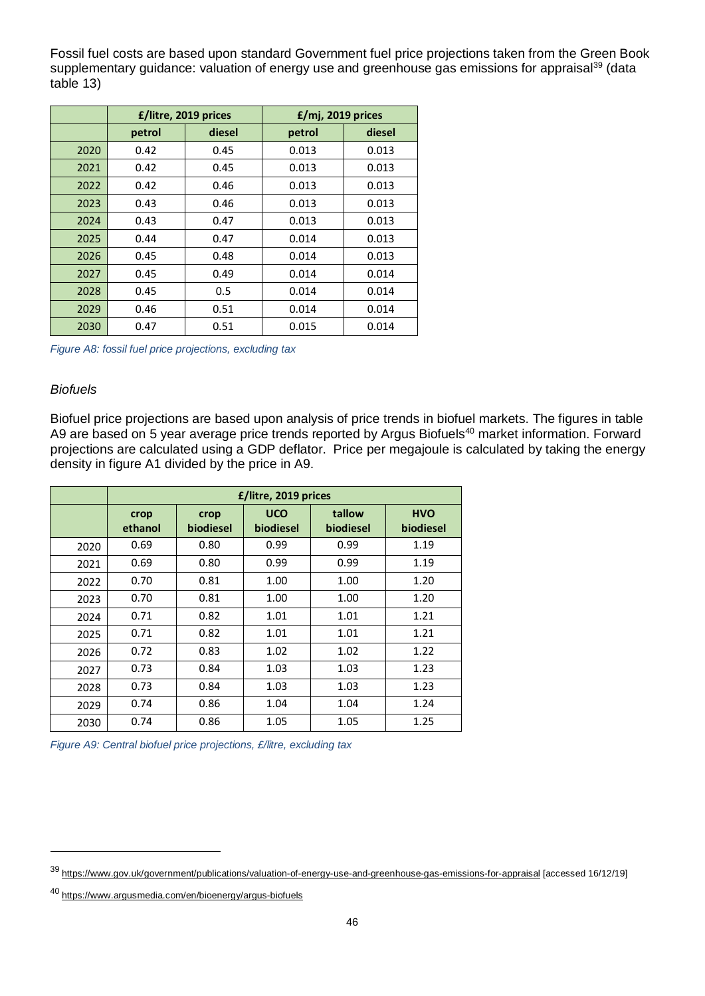Fossil fuel costs are based upon standard Government fuel price projections taken from the Green Book supplementary guidance: valuation of energy use and greenhouse gas emissions for appraisal<sup>39</sup> (data table 13)

|      | £/litre, 2019 prices |        | £/mj, 2019 prices |        |
|------|----------------------|--------|-------------------|--------|
|      | petrol               | diesel | petrol            | diesel |
| 2020 | 0.42                 | 0.45   | 0.013             | 0.013  |
| 2021 | 0.42                 | 0.45   | 0.013             | 0.013  |
| 2022 | 0.42                 | 0.46   | 0.013             | 0.013  |
| 2023 | 0.43                 | 0.46   | 0.013             | 0.013  |
| 2024 | 0.43                 | 0.47   | 0.013             | 0.013  |
| 2025 | 0.44                 | 0.47   | 0.014             | 0.013  |
| 2026 | 0.45                 | 0.48   | 0.014             | 0.013  |
| 2027 | 0.45                 | 0.49   | 0.014             | 0.014  |
| 2028 | 0.45                 | 0.5    | 0.014             | 0.014  |
| 2029 | 0.46                 | 0.51   | 0.014             | 0.014  |
| 2030 | 0.47                 | 0.51   | 0.015             | 0.014  |

*Figure A8: fossil fuel price projections, excluding tax*

#### *Biofuels*

 $\overline{a}$ 

Biofuel price projections are based upon analysis of price trends in biofuel markets. The figures in table A9 are based on 5 year average price trends reported by Argus Biofuels[40](#page-45-1) market information. Forward projections are calculated using a GDP deflator. Price per megajoule is calculated by taking the energy density in figure A1 divided by the price in A9.

|      |                 |                   | £/litre, 2019 prices    |                     |                         |
|------|-----------------|-------------------|-------------------------|---------------------|-------------------------|
|      | crop<br>ethanol | crop<br>biodiesel | <b>UCO</b><br>biodiesel | tallow<br>biodiesel | <b>HVO</b><br>biodiesel |
| 2020 | 0.69            | 0.80              | 0.99                    | 0.99                | 1.19                    |
| 2021 | 0.69            | 0.80              | 0.99                    | 0.99                | 1.19                    |
| 2022 | 0.70            | 0.81              | 1.00                    | 1.00                | 1.20                    |
| 2023 | 0.70            | 0.81              | 1.00                    | 1.00                | 1.20                    |
| 2024 | 0.71            | 0.82              | 1.01                    | 1.01                | 1.21                    |
| 2025 | 0.71            | 0.82              | 1.01                    | 1.01                | 1.21                    |
| 2026 | 0.72            | 0.83              | 1.02                    | 1.02                | 1.22                    |
| 2027 | 0.73            | 0.84              | 1.03                    | 1.03                | 1.23                    |
| 2028 | 0.73            | 0.84              | 1.03                    | 1.03                | 1.23                    |
| 2029 | 0.74            | 0.86              | 1.04                    | 1.04                | 1.24                    |
| 2030 | 0.74            | 0.86              | 1.05                    | 1.05                | 1.25                    |

<span id="page-45-0"></span><sup>39</sup> <https://www.gov.uk/government/publications/valuation-of-energy-use-and-greenhouse-gas-emissions-for-appraisal> [accessed 16/12/19]

<span id="page-45-1"></span><sup>40</sup> <https://www.argusmedia.com/en/bioenergy/argus-biofuels>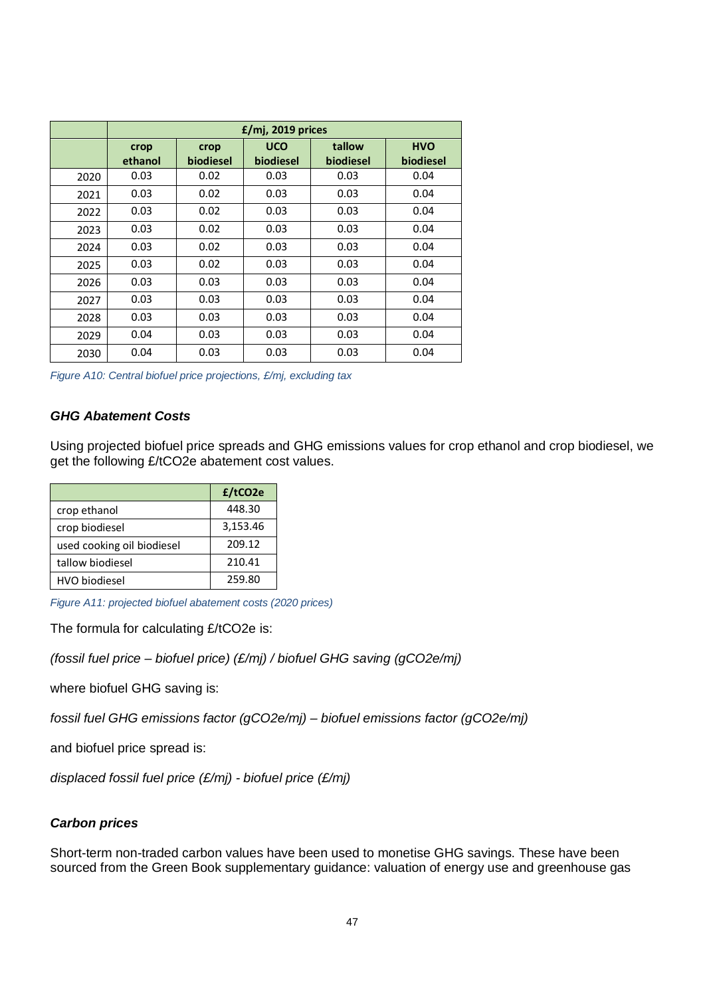|      |                 |                   | £/mj, 2019 prices       |                     |                         |
|------|-----------------|-------------------|-------------------------|---------------------|-------------------------|
|      | crop<br>ethanol | crop<br>biodiesel | <b>UCO</b><br>biodiesel | tallow<br>biodiesel | <b>HVO</b><br>biodiesel |
| 2020 | 0.03            | 0.02              | 0.03                    | 0.03                | 0.04                    |
| 2021 | 0.03            | 0.02              | 0.03                    | 0.03                | 0.04                    |
| 2022 | 0.03            | 0.02              | 0.03                    | 0.03                | 0.04                    |
| 2023 | 0.03            | 0.02              | 0.03                    | 0.03                | 0.04                    |
| 2024 | 0.03            | 0.02              | 0.03                    | 0.03                | 0.04                    |
| 2025 | 0.03            | 0.02              | 0.03                    | 0.03                | 0.04                    |
| 2026 | 0.03            | 0.03              | 0.03                    | 0.03                | 0.04                    |
| 2027 | 0.03            | 0.03              | 0.03                    | 0.03                | 0.04                    |
| 2028 | 0.03            | 0.03              | 0.03                    | 0.03                | 0.04                    |
| 2029 | 0.04            | 0.03              | 0.03                    | 0.03                | 0.04                    |
| 2030 | 0.04            | 0.03              | 0.03                    | 0.03                | 0.04                    |

*Figure A10: Central biofuel price projections, £/mj, excluding tax*

#### *GHG Abatement Costs*

Using projected biofuel price spreads and GHG emissions values for crop ethanol and crop biodiesel, we get the following £/tCO2e abatement cost values.

|                            | £/tCO2e  |
|----------------------------|----------|
| crop ethanol               | 448.30   |
| crop biodiesel             | 3,153.46 |
| used cooking oil biodiesel | 209.12   |
| tallow biodiesel           | 210.41   |
| HVO biodiesel              | 259.80   |

*Figure A11: projected biofuel abatement costs (2020 prices)*

The formula for calculating £/tCO2e is:

*(fossil fuel price – biofuel price) (£/mj) / biofuel GHG saving (gCO2e/mj)*

where biofuel GHG saving is:

*fossil fuel GHG emissions factor (gCO2e/mj) – biofuel emissions factor (gCO2e/mj)*

and biofuel price spread is:

*displaced fossil fuel price (£/mj) - biofuel price (£/mj)*

#### *Carbon prices*

Short-term non-traded carbon values have been used to monetise GHG savings. These have been sourced from the Green Book supplementary guidance: valuation of energy use and greenhouse gas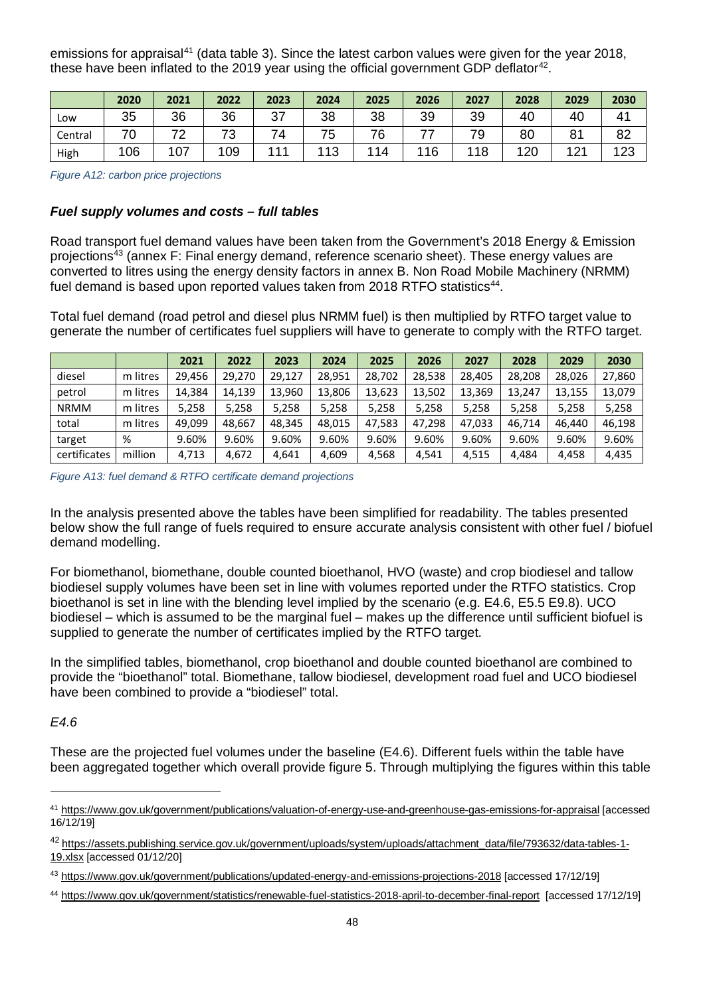emissions for appraisal<sup>[41](#page-47-0)</sup> (data table 3). Since the latest carbon values were given for the year 2018, these have been inflated to the 2019 year using the official government GDP deflator<sup>42</sup>.

|         | 2020 | 2021 | 2022     | 2023 | 2024       | 2025 | 2026 | 2027 | 2028 | 2029 | 2030         |
|---------|------|------|----------|------|------------|------|------|------|------|------|--------------|
| Low     | 35   | 36   | 36       | 37   | 38         | 38   | 39   | 39   | 40   | 40   | $4^{\prime}$ |
| Central | 70   | 72   | 70<br>ັບ | ⇁    | 75         | 76   |      | 79   | 80   | 81   | 82           |
| High    | 106  | 107  | 109      | 111  | 112<br>ن ا | 114  | 116  | 118  | 120  | 121  | 1つつ<br>ں ے . |

*Figure A12: carbon price projections* 

### *Fuel supply volumes and costs – full tables*

Road transport fuel demand values have been taken from the Government's 2018 Energy & Emission projections[43](#page-47-2) (annex F: Final energy demand, reference scenario sheet). These energy values are converted to litres using the energy density factors in annex B. Non Road Mobile Machinery (NRMM) fuel demand is based upon reported values taken from 2018 RTFO statistics<sup>44</sup>.

Total fuel demand (road petrol and diesel plus NRMM fuel) is then multiplied by RTFO target value to generate the number of certificates fuel suppliers will have to generate to comply with the RTFO target.

|              |          | 2021   | 2022   | 2023   | 2024   | 2025   | 2026   | 2027   | 2028   | 2029   | 2030   |
|--------------|----------|--------|--------|--------|--------|--------|--------|--------|--------|--------|--------|
| diesel       | m litres | 29.456 | 29.270 | 29.127 | 28.951 | 28.702 | 28.538 | 28.405 | 28.208 | 28.026 | 27,860 |
| petrol       | m litres | 14.384 | 14,139 | 13,960 | 13.806 | 13,623 | 13,502 | 13,369 | 13.247 | 13,155 | 13,079 |
| <b>NRMM</b>  | m litres | 5,258  | 5,258  | 5,258  | 5,258  | 5,258  | 5,258  | 5,258  | 5,258  | 5,258  | 5,258  |
| total        | m litres | 49.099 | 48.667 | 48.345 | 48.015 | 47,583 | 47.298 | 47.033 | 46.714 | 46.440 | 46,198 |
| target       | %        | 9.60%  | 9.60%  | 9.60%  | 9.60%  | 9.60%  | 9.60%  | 9.60%  | 9.60%  | 9.60%  | 9.60%  |
| certificates | million  | 4,713  | 4,672  | 4.641  | 4,609  | 4,568  | 4.541  | 4.515  | 4.484  | 4.458  | 4,435  |

*Figure A13: fuel demand & RTFO certificate demand projections*

In the analysis presented above the tables have been simplified for readability. The tables presented below show the full range of fuels required to ensure accurate analysis consistent with other fuel / biofuel demand modelling.

For biomethanol, biomethane, double counted bioethanol, HVO (waste) and crop biodiesel and tallow biodiesel supply volumes have been set in line with volumes reported under the RTFO statistics. Crop bioethanol is set in line with the blending level implied by the scenario (e.g. E4.6, E5.5 E9.8). UCO biodiesel – which is assumed to be the marginal fuel – makes up the difference until sufficient biofuel is supplied to generate the number of certificates implied by the RTFO target.

In the simplified tables, biomethanol, crop bioethanol and double counted bioethanol are combined to provide the "bioethanol" total. Biomethane, tallow biodiesel, development road fuel and UCO biodiesel have been combined to provide a "biodiesel" total.

### *E4.6*

-

These are the projected fuel volumes under the baseline (E4.6). Different fuels within the table have been aggregated together which overall provide figure 5. Through multiplying the figures within this table

<span id="page-47-0"></span><sup>41</sup> <https://www.gov.uk/government/publications/valuation-of-energy-use-and-greenhouse-gas-emissions-for-appraisal> [accessed 16/12/19]

<span id="page-47-1"></span><sup>42</sup> [https://assets.publishing.service.gov.uk/government/uploads/system/uploads/attachment\\_data/file/793632/data-tables-1-](https://assets.publishing.service.gov.uk/government/uploads/system/uploads/attachment_data/file/793632/data-tables-1-19.xlsx) [19.xlsx](https://assets.publishing.service.gov.uk/government/uploads/system/uploads/attachment_data/file/793632/data-tables-1-19.xlsx) [accessed 01/12/20]

<span id="page-47-2"></span><sup>43</sup> <https://www.gov.uk/government/publications/updated-energy-and-emissions-projections-2018> [accessed 17/12/19]

<span id="page-47-3"></span><sup>44</sup> <https://www.gov.uk/government/statistics/renewable-fuel-statistics-2018-april-to-december-final-report>[accessed 17/12/19]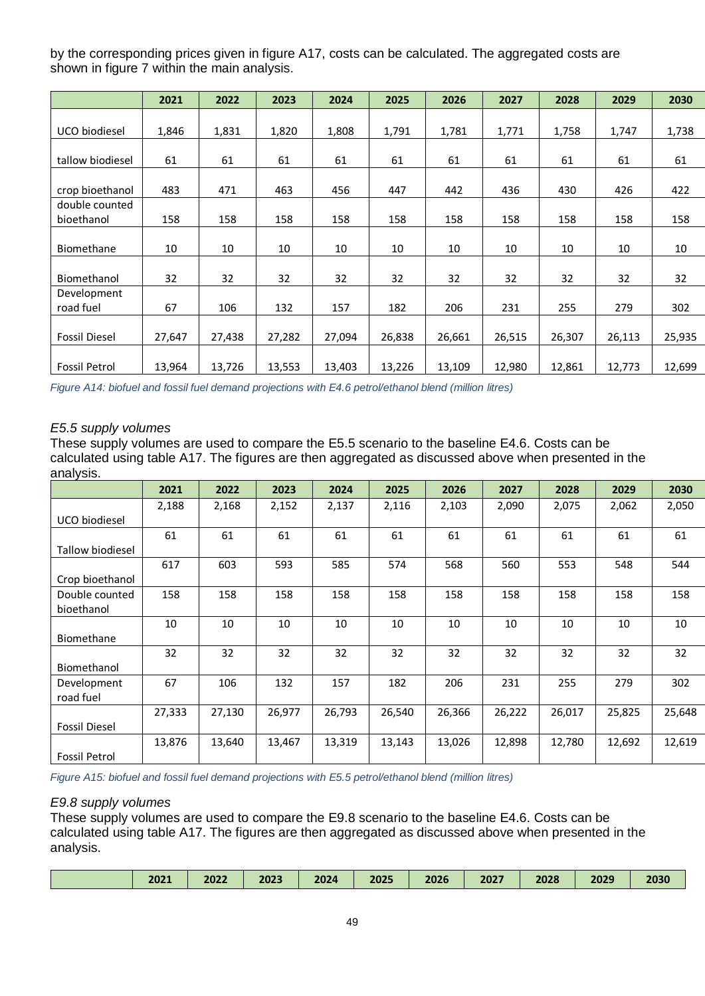by the corresponding prices given in figure A17, costs can be calculated. The aggregated costs are shown in figure 7 within the main analysis.

|                              | 2021   | 2022   | 2023   | 2024   | 2025   | 2026   | 2027   | 2028   | 2029   | 2030   |
|------------------------------|--------|--------|--------|--------|--------|--------|--------|--------|--------|--------|
|                              |        |        |        |        |        |        |        |        |        |        |
| UCO biodiesel                | 1,846  | 1,831  | 1,820  | 1,808  | 1,791  | 1,781  | 1,771  | 1,758  | 1,747  | 1,738  |
| tallow biodiesel             | 61     | 61     | 61     | 61     | 61     | 61     | 61     | 61     | 61     | 61     |
| crop bioethanol              | 483    | 471    | 463    | 456    | 447    | 442    | 436    | 430    | 426    | 422    |
| double counted<br>bioethanol | 158    | 158    | 158    | 158    | 158    | 158    | 158    | 158    | 158    | 158    |
| Biomethane                   | 10     | 10     | 10     | 10     | 10     | 10     | 10     | 10     | 10     | 10     |
| Biomethanol                  | 32     | 32     | 32     | 32     | 32     | 32     | 32     | 32     | 32     | 32     |
| Development<br>road fuel     | 67     | 106    | 132    | 157    | 182    | 206    | 231    | 255    | 279    | 302    |
| <b>Fossil Diesel</b>         | 27,647 | 27,438 | 27,282 | 27,094 | 26,838 | 26,661 | 26,515 | 26,307 | 26,113 | 25,935 |
| <b>Fossil Petrol</b>         | 13,964 | 13,726 | 13,553 | 13,403 | 13,226 | 13,109 | 12,980 | 12,861 | 12,773 | 12,699 |

*Figure A14: biofuel and fossil fuel demand projections with E4.6 petrol/ethanol blend (million litres)*

### *E5.5 supply volumes*

These supply volumes are used to compare the E5.5 scenario to the baseline E4.6. Costs can be calculated using table A17. The figures are then aggregated as discussed above when presented in the analysis.

|                         | 2021   | 2022   | 2023   | 2024   | 2025   | 2026   | 2027   | 2028   | 2029   | 2030   |
|-------------------------|--------|--------|--------|--------|--------|--------|--------|--------|--------|--------|
|                         | 2,188  | 2,168  | 2,152  | 2,137  | 2,116  | 2,103  | 2,090  | 2,075  | 2,062  | 2,050  |
| UCO biodiesel           |        |        |        |        |        |        |        |        |        |        |
|                         | 61     | 61     | 61     | 61     | 61     | 61     | 61     | 61     | 61     | 61     |
| <b>Tallow biodiesel</b> |        |        |        |        |        |        |        |        |        |        |
|                         | 617    | 603    | 593    | 585    | 574    | 568    | 560    | 553    | 548    | 544    |
| Crop bioethanol         |        |        |        |        |        |        |        |        |        |        |
| Double counted          | 158    | 158    | 158    | 158    | 158    | 158    | 158    | 158    | 158    | 158    |
| bioethanol              |        |        |        |        |        |        |        |        |        |        |
|                         | 10     | 10     | 10     | 10     | 10     | 10     | 10     | 10     | 10     | 10     |
| Biomethane              |        |        |        |        |        |        |        |        |        |        |
|                         | 32     | 32     | 32     | 32     | 32     | 32     | 32     | 32     | 32     | 32     |
| Biomethanol             |        |        |        |        |        |        |        |        |        |        |
| Development             | 67     | 106    | 132    | 157    | 182    | 206    | 231    | 255    | 279    | 302    |
| road fuel               |        |        |        |        |        |        |        |        |        |        |
|                         | 27,333 | 27,130 | 26,977 | 26,793 | 26,540 | 26,366 | 26,222 | 26,017 | 25,825 | 25,648 |
| <b>Fossil Diesel</b>    |        |        |        |        |        |        |        |        |        |        |
|                         | 13,876 | 13,640 | 13,467 | 13,319 | 13,143 | 13,026 | 12,898 | 12,780 | 12,692 | 12,619 |
| <b>Fossil Petrol</b>    |        |        |        |        |        |        |        |        |        |        |

*Figure A15: biofuel and fossil fuel demand projections with E5.5 petrol/ethanol blend (million litres)*

#### *E9.8 supply volumes*

These supply volumes are used to compare the E9.8 scenario to the baseline E4.6. Costs can be calculated using table A17. The figures are then aggregated as discussed above when presented in the analysis.

| 2021 | 2022 | 2023 | 2024 | 2025 | 2026 | 2027 | 2028 | 2029 | 2030 |
|------|------|------|------|------|------|------|------|------|------|
|      |      |      |      |      |      |      |      |      |      |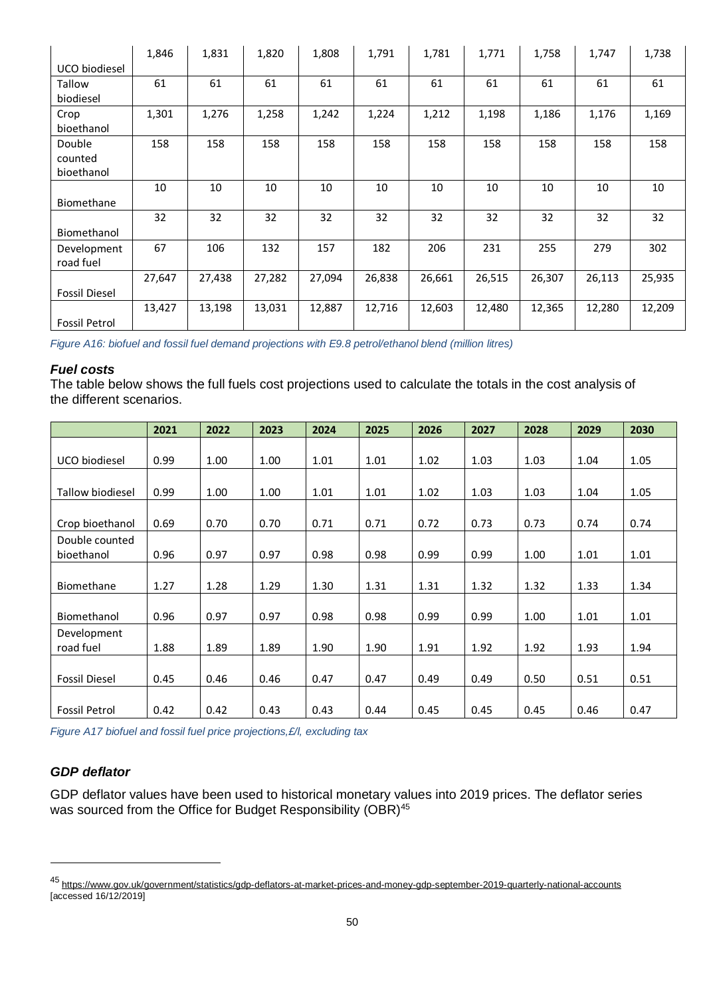|                      | 1,846  | 1,831  | 1,820  | 1,808  | 1,791  | 1,781  | 1,771  | 1,758  | 1,747  | 1,738  |
|----------------------|--------|--------|--------|--------|--------|--------|--------|--------|--------|--------|
| UCO biodiesel        |        |        |        |        |        |        |        |        |        |        |
| Tallow               | 61     | 61     | 61     | 61     | 61     | 61     | 61     | 61     | 61     | 61     |
| biodiesel            |        |        |        |        |        |        |        |        |        |        |
| Crop                 | 1,301  | 1,276  | 1,258  | 1,242  | 1,224  | 1,212  | 1,198  | 1,186  | 1,176  | 1,169  |
| bioethanol           |        |        |        |        |        |        |        |        |        |        |
| Double               | 158    | 158    | 158    | 158    | 158    | 158    | 158    | 158    | 158    | 158    |
| counted              |        |        |        |        |        |        |        |        |        |        |
| bioethanol           |        |        |        |        |        |        |        |        |        |        |
|                      | 10     | 10     | 10     | 10     | 10     | 10     | 10     | 10     | 10     | 10     |
| Biomethane           |        |        |        |        |        |        |        |        |        |        |
|                      | 32     | 32     | 32     | 32     | 32     | 32     | 32     | 32     | 32     | 32     |
| Biomethanol          |        |        |        |        |        |        |        |        |        |        |
| Development          | 67     | 106    | 132    | 157    | 182    | 206    | 231    | 255    | 279    | 302    |
| road fuel            |        |        |        |        |        |        |        |        |        |        |
|                      | 27,647 | 27,438 | 27,282 | 27,094 | 26,838 | 26,661 | 26,515 | 26,307 | 26,113 | 25,935 |
| <b>Fossil Diesel</b> |        |        |        |        |        |        |        |        |        |        |
|                      | 13,427 | 13,198 | 13,031 | 12,887 | 12,716 | 12,603 | 12,480 | 12,365 | 12,280 | 12,209 |
| <b>Fossil Petrol</b> |        |        |        |        |        |        |        |        |        |        |

*Figure A16: biofuel and fossil fuel demand projections with E9.8 petrol/ethanol blend (million litres)*

#### *Fuel costs*

The table below shows the full fuels cost projections used to calculate the totals in the cost analysis of the different scenarios.

|                         | 2021 | 2022 | 2023 | 2024 | 2025 | 2026 | 2027 | 2028 | 2029 | 2030 |
|-------------------------|------|------|------|------|------|------|------|------|------|------|
|                         |      |      |      |      |      |      |      |      |      |      |
| UCO biodiesel           | 0.99 | 1.00 | 1.00 | 1.01 | 1.01 | 1.02 | 1.03 | 1.03 | 1.04 | 1.05 |
|                         |      |      |      |      |      |      |      |      |      |      |
| <b>Tallow biodiesel</b> | 0.99 | 1.00 | 1.00 | 1.01 | 1.01 | 1.02 | 1.03 | 1.03 | 1.04 | 1.05 |
|                         |      |      |      |      |      |      |      |      |      |      |
| Crop bioethanol         | 0.69 | 0.70 | 0.70 | 0.71 | 0.71 | 0.72 | 0.73 | 0.73 | 0.74 | 0.74 |
| Double counted          |      |      |      |      |      |      |      |      |      |      |
| bioethanol              | 0.96 | 0.97 | 0.97 | 0.98 | 0.98 | 0.99 | 0.99 | 1.00 | 1.01 | 1.01 |
|                         |      |      |      |      |      |      |      |      |      |      |
| Biomethane              | 1.27 | 1.28 | 1.29 | 1.30 | 1.31 | 1.31 | 1.32 | 1.32 | 1.33 | 1.34 |
|                         |      |      |      |      |      |      |      |      |      |      |
| Biomethanol             | 0.96 | 0.97 | 0.97 | 0.98 | 0.98 | 0.99 | 0.99 | 1.00 | 1.01 | 1.01 |
| Development             |      |      |      |      |      |      |      |      |      |      |
| road fuel               | 1.88 | 1.89 | 1.89 | 1.90 | 1.90 | 1.91 | 1.92 | 1.92 | 1.93 | 1.94 |
|                         |      |      |      |      |      |      |      |      |      |      |
| <b>Fossil Diesel</b>    | 0.45 | 0.46 | 0.46 | 0.47 | 0.47 | 0.49 | 0.49 | 0.50 | 0.51 | 0.51 |
|                         |      |      |      |      |      |      |      |      |      |      |
| <b>Fossil Petrol</b>    | 0.42 | 0.42 | 0.43 | 0.43 | 0.44 | 0.45 | 0.45 | 0.45 | 0.46 | 0.47 |

*Figure A17 biofuel and fossil fuel price projections,£/l, excluding tax*

# *GDP deflator*

 $\overline{a}$ 

GDP deflator values have been used to historical monetary values into 2019 prices. The deflator series was sourced from the Office for Budget Responsibility (OBR)<sup>[45](#page-49-0)</sup>

<span id="page-49-0"></span><sup>45</sup> <https://www.gov.uk/government/statistics/gdp-deflators-at-market-prices-and-money-gdp-september-2019-quarterly-national-accounts> [accessed 16/12/2019]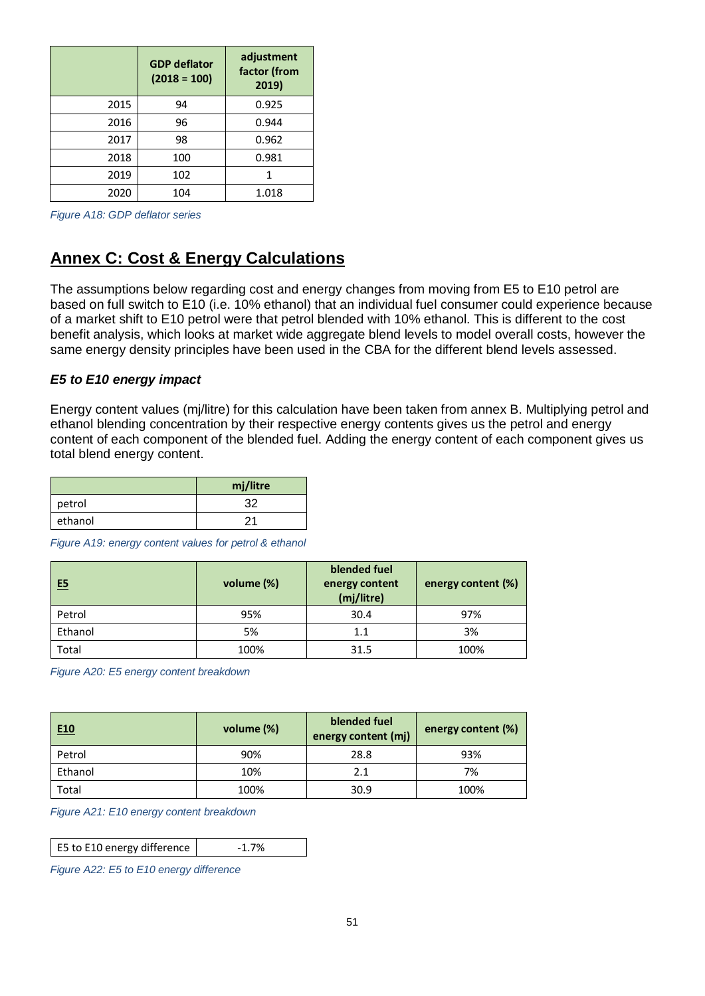|      | <b>GDP</b> deflator<br>$(2018 = 100)$ | adjustment<br>factor (from<br>2019) |
|------|---------------------------------------|-------------------------------------|
| 2015 | 94                                    | 0.925                               |
| 2016 | 96                                    | 0.944                               |
| 2017 | 98                                    | 0.962                               |
| 2018 | 100                                   | 0.981                               |
| 2019 | 102                                   | 1                                   |
| 2020 | 104                                   | 1.018                               |

*Figure A18: GDP deflator series*

# **Annex C: Cost & Energy Calculations**

The assumptions below regarding cost and energy changes from moving from E5 to E10 petrol are based on full switch to E10 (i.e. 10% ethanol) that an individual fuel consumer could experience because of a market shift to E10 petrol were that petrol blended with 10% ethanol. This is different to the cost benefit analysis, which looks at market wide aggregate blend levels to model overall costs, however the same energy density principles have been used in the CBA for the different blend levels assessed.

#### *E5 to E10 energy impact*

Energy content values (mj/litre) for this calculation have been taken from annex B. Multiplying petrol and ethanol blending concentration by their respective energy contents gives us the petrol and energy content of each component of the blended fuel. Adding the energy content of each component gives us total blend energy content.

|         | mj/litre |
|---------|----------|
| petrol  | 32       |
| ethanol | ົ        |

*Figure A19: energy content values for petrol & ethanol*

| E5      | volume (%) | blended fuel<br>energy content<br>(mj/litre) | energy content (%) |
|---------|------------|----------------------------------------------|--------------------|
| Petrol  | 95%        | 30.4                                         | 97%                |
| Ethanol | 5%         | 1.1                                          | 3%                 |
| Total   | 100%       | 31.5                                         | 100%               |

*Figure A20: E5 energy content breakdown* 

| E <sub>10</sub> | volume (%) | blended fuel<br>energy content (mj) | energy content (%) |
|-----------------|------------|-------------------------------------|--------------------|
| Petrol          | 90%        | 28.8                                | 93%                |
| Ethanol         | 10%        | 2.1                                 | 7%                 |
| Total           | 100%       | 30.9                                | 100%               |

*Figure A21: E10 energy content breakdown*

E5 to E10 energy difference  $\vert$  -1.7%

*Figure A22: E5 to E10 energy difference*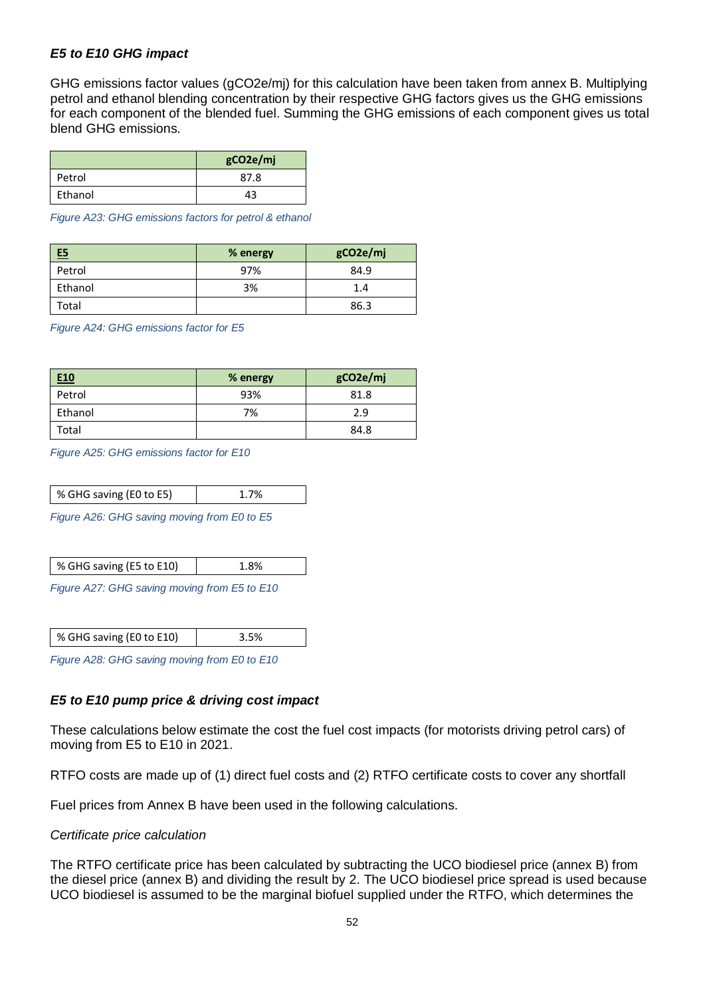### *E5 to E10 GHG impact*

GHG emissions factor values (gCO2e/mj) for this calculation have been taken from annex B. Multiplying petrol and ethanol blending concentration by their respective GHG factors gives us the GHG emissions for each component of the blended fuel. Summing the GHG emissions of each component gives us total blend GHG emissions.

|         | gCO2e/mj |
|---------|----------|
| Petrol  | 87.8     |
| Ethanol | 43       |

*Figure A23: GHG emissions factors for petrol & ethanol*

| E5      | % energy | gCO2e/mj |
|---------|----------|----------|
| Petrol  | 97%      | 84.9     |
| Ethanol | 3%       | 1.4      |
| Total   |          | 86.3     |

*Figure A24: GHG emissions factor for E5*

| E <sub>10</sub> | % energy | gCO2e/mj |
|-----------------|----------|----------|
| Petrol          | 93%      | 81.8     |
| Ethanol         | 7%       | 2.9      |
| Total           |          | 84.8     |

*Figure A25: GHG emissions factor for E10*

| % GHG saving (E0 to E5) |  |
|-------------------------|--|
|-------------------------|--|

*Figure A26: GHG saving moving from E0 to E5*

| % GHG saving (E5 to E10) |  |
|--------------------------|--|
|                          |  |

*Figure A27: GHG saving moving from E5 to E10*

| % GHG saving (E0 to E10) |  |
|--------------------------|--|
|                          |  |

*Figure A28: GHG saving moving from E0 to E10*

### *E5 to E10 pump price & driving cost impact*

These calculations below estimate the cost the fuel cost impacts (for motorists driving petrol cars) of moving from E5 to E10 in 2021.

RTFO costs are made up of (1) direct fuel costs and (2) RTFO certificate costs to cover any shortfall

Fuel prices from Annex B have been used in the following calculations.

#### *Certificate price calculation*

The RTFO certificate price has been calculated by subtracting the UCO biodiesel price (annex B) from the diesel price (annex B) and dividing the result by 2. The UCO biodiesel price spread is used because UCO biodiesel is assumed to be the marginal biofuel supplied under the RTFO, which determines the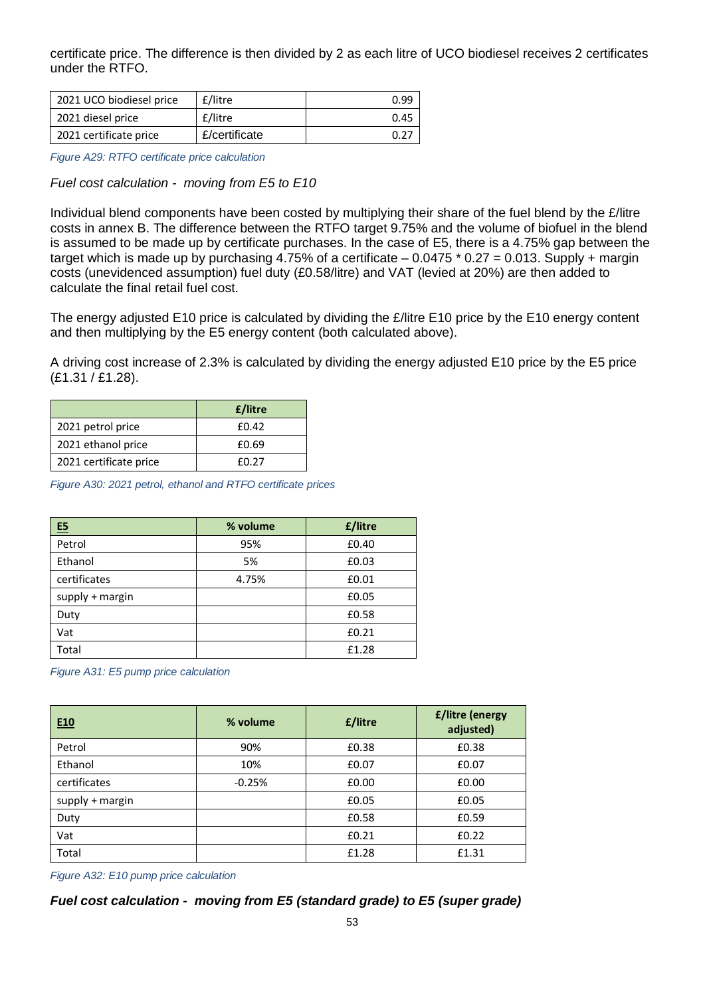certificate price. The difference is then divided by 2 as each litre of UCO biodiesel receives 2 certificates under the RTFO.

| 2021 UCO biodiesel price | £/litre       | 0.99 |
|--------------------------|---------------|------|
| 2021 diesel price        | £/litre       | 0.45 |
| 2021 certificate price   | £/certificate | 0.27 |

*Figure A29: RTFO certificate price calculation*

*Fuel cost calculation - moving from E5 to E10*

Individual blend components have been costed by multiplying their share of the fuel blend by the £/litre costs in annex B. The difference between the RTFO target 9.75% and the volume of biofuel in the blend is assumed to be made up by certificate purchases. In the case of E5, there is a 4.75% gap between the target which is made up by purchasing 4.75% of a certificate  $-0.0475 * 0.27 = 0.013$ . Supply + margin costs (unevidenced assumption) fuel duty (£0.58/litre) and VAT (levied at 20%) are then added to calculate the final retail fuel cost.

The energy adjusted E10 price is calculated by dividing the £/litre E10 price by the E10 energy content and then multiplying by the E5 energy content (both calculated above).

A driving cost increase of 2.3% is calculated by dividing the energy adjusted E10 price by the E5 price (£1.31 / £1.28).

|                        | £/litre |
|------------------------|---------|
| 2021 petrol price      | £0.42   |
| 2021 ethanol price     | £0.69   |
| 2021 certificate price | f0 27   |

*Figure A30: 2021 petrol, ethanol and RTFO certificate prices*

| E5              | % volume | £/litre |
|-----------------|----------|---------|
| Petrol          | 95%      | £0.40   |
| Ethanol         | 5%       | £0.03   |
| certificates    | 4.75%    | £0.01   |
| supply + margin |          | £0.05   |
| Duty            |          | £0.58   |
| Vat             |          | £0.21   |
| Total           |          | £1.28   |

*Figure A31: E5 pump price calculation*

| E <sub>10</sub>   | % volume | £/litre | <b>£/litre (energy</b><br>adjusted) |
|-------------------|----------|---------|-------------------------------------|
| Petrol            | 90%      | £0.38   | £0.38                               |
| Ethanol           | 10%      | £0.07   | £0.07                               |
| certificates      | $-0.25%$ | £0.00   | £0.00                               |
| $supply + margin$ |          | £0.05   | £0.05                               |
| Duty              |          | £0.58   | £0.59                               |
| Vat               |          | £0.21   | £0.22                               |
| Total             |          | £1.28   | £1.31                               |

*Figure A32: E10 pump price calculation*

*Fuel cost calculation - moving from E5 (standard grade) to E5 (super grade)*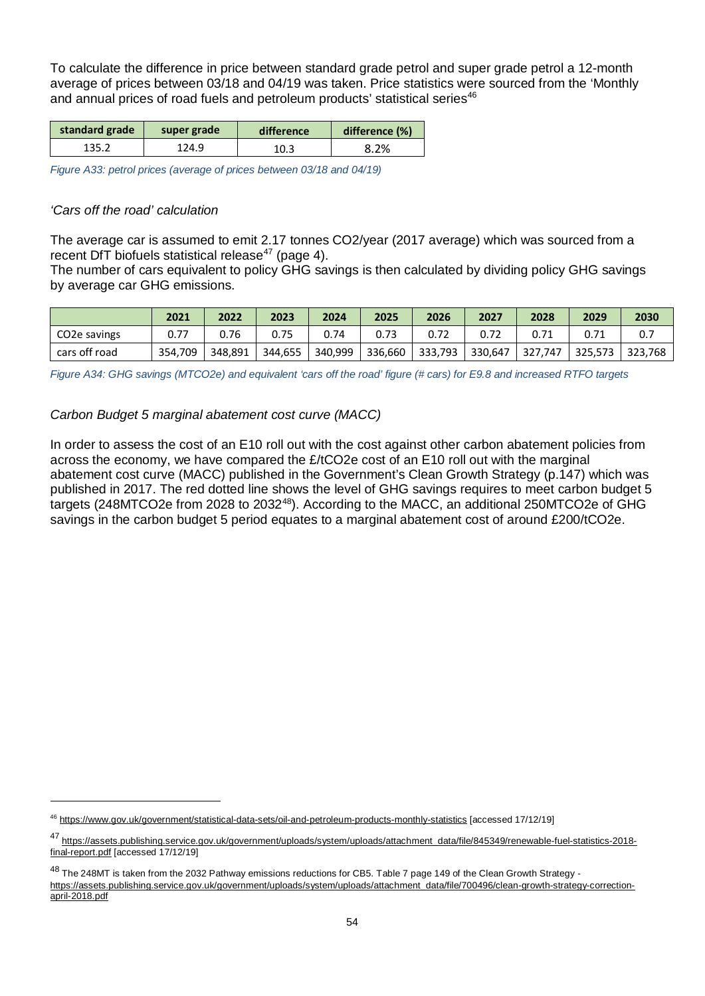To calculate the difference in price between standard grade petrol and super grade petrol a 12-month average of prices between 03/18 and 04/19 was taken. Price statistics were sourced from the 'Monthly and annual prices of road fuels and petroleum products' statistical series<sup>[46](#page-53-0)</sup>

| standard grade | super grade | difference |      |
|----------------|-------------|------------|------|
| 135.2          | 124.9       | 10.3       | 8.2% |

*Figure A33: petrol prices (average of prices between 03/18 and 04/19)*

### *'Cars off the road' calculation*

 $\ddot{\phantom{a}}$ 

The average car is assumed to emit 2.17 tonnes CO2/year (2017 average) which was sourced from a recent DfT biofuels statistical release<sup>[47](#page-53-1)</sup> (page 4).

The number of cars equivalent to policy GHG savings is then calculated by dividing policy GHG savings by average car GHG emissions.

|                           | 2021    | 2022    | 2023 | 2024            | 2025 | 2026                        | 2027 | 2028    | 2029              | 2030 |
|---------------------------|---------|---------|------|-----------------|------|-----------------------------|------|---------|-------------------|------|
| CO <sub>2</sub> e savings |         | 0.76    | 0.75 | 0.74            | 0.73 | 0.72                        |      | 0.71    |                   | 0.7  |
| cars off road             | 354.709 | 348,891 |      | 344,655 340,999 |      | 336,660   333,793   330,647 |      | 327,747 | 325,573   323,768 |      |

*Figure A34: GHG savings (MTCO2e) and equivalent 'cars off the road' figure (# cars) for E9.8 and increased RTFO targets* 

### *Carbon Budget 5 marginal abatement cost curve (MACC)*

In order to assess the cost of an E10 roll out with the cost against other carbon abatement policies from across the economy, we have compared the £/tCO2e cost of an E10 roll out with the marginal abatement cost curve (MACC) published in the Government's Clean Growth Strategy (p.147) which was published in 2017. The red dotted line shows the level of GHG savings requires to meet carbon budget 5 targets (2[48](#page-53-2)MTCO2e from 2028 to 2032<sup>48</sup>). According to the MACC, an additional 250MTCO2e of GHG savings in the carbon budget 5 period equates to a marginal abatement cost of around £200/tCO2e.

<span id="page-53-0"></span><sup>46</sup> <https://www.gov.uk/government/statistical-data-sets/oil-and-petroleum-products-monthly-statistics> [accessed 17/12/19]

<span id="page-53-1"></span><sup>47</sup> [https://assets.publishing.service.gov.uk/government/uploads/system/uploads/attachment\\_data/file/845349/renewable-fuel-statistics-2018](https://assets.publishing.service.gov.uk/government/uploads/system/uploads/attachment_data/file/845349/renewable-fuel-statistics-2018-final-report.pdf) [final-report.pdf](https://assets.publishing.service.gov.uk/government/uploads/system/uploads/attachment_data/file/845349/renewable-fuel-statistics-2018-final-report.pdf) [accessed 17/12/19]

<span id="page-53-2"></span><sup>48</sup> The 248MT is taken from the 2032 Pathway emissions reductions for CB5. Table 7 page 149 of the Clean Growth Strategy [https://assets.publishing.service.gov.uk/government/uploads/system/uploads/attachment\\_data/file/700496/clean-growth-strategy-correction](https://assets.publishing.service.gov.uk/government/uploads/system/uploads/attachment_data/file/700496/clean-growth-strategy-correction-april-2018.pdf)[april-2018.pdf](https://assets.publishing.service.gov.uk/government/uploads/system/uploads/attachment_data/file/700496/clean-growth-strategy-correction-april-2018.pdf)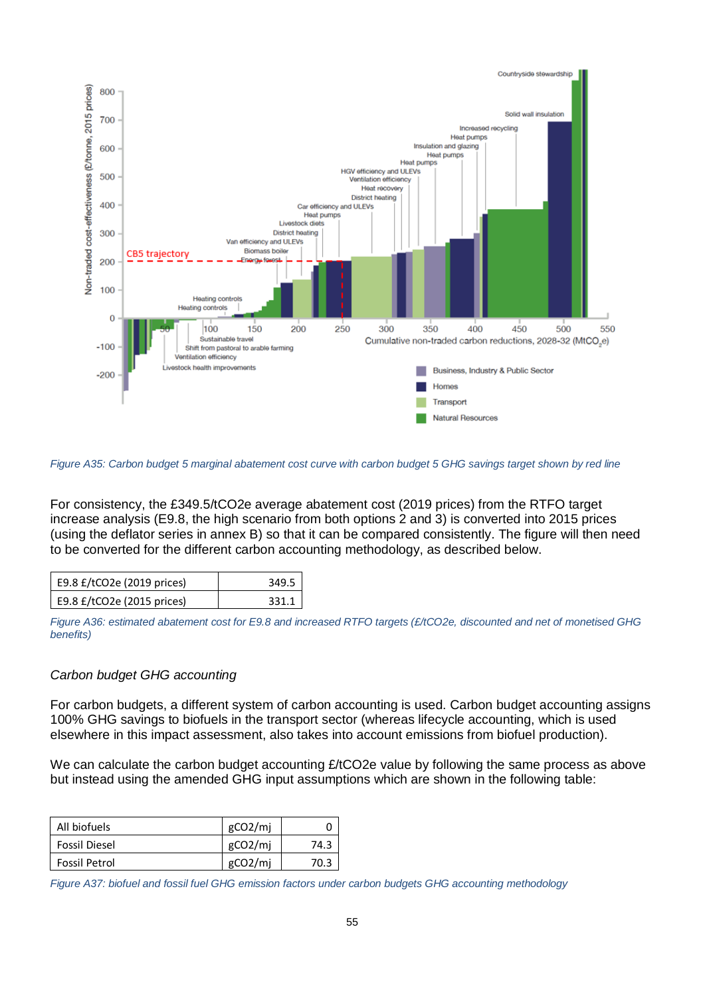

*Figure A35: Carbon budget 5 marginal abatement cost curve with carbon budget 5 GHG savings target shown by red line*

For consistency, the £349.5/tCO2e average abatement cost (2019 prices) from the RTFO target increase analysis (E9.8, the high scenario from both options 2 and 3) is converted into 2015 prices (using the deflator series in annex B) so that it can be compared consistently. The figure will then need to be converted for the different carbon accounting methodology, as described below.

| E9.8 £/tCO2e (2019 prices) | 349.5 |
|----------------------------|-------|
| E9.8 £/tCO2e (2015 prices) | 331.1 |

*Figure A36: estimated abatement cost for E9.8 and increased RTFO targets (£/tCO2e, discounted and net of monetised GHG benefits)*

### *Carbon budget GHG accounting*

For carbon budgets, a different system of carbon accounting is used. Carbon budget accounting assigns 100% GHG savings to biofuels in the transport sector (whereas lifecycle accounting, which is used elsewhere in this impact assessment, also takes into account emissions from biofuel production).

We can calculate the carbon budget accounting £/tCO2e value by following the same process as above but instead using the amended GHG input assumptions which are shown in the following table:

| All biofuels         | gCO <sub>2</sub> /mi |      |
|----------------------|----------------------|------|
| <b>Fossil Diesel</b> | gCO2/mj              | 74.3 |
| <b>Fossil Petrol</b> | gCO <sub>2</sub> /mi | 70.3 |

*Figure A37: biofuel and fossil fuel GHG emission factors under carbon budgets GHG accounting methodology*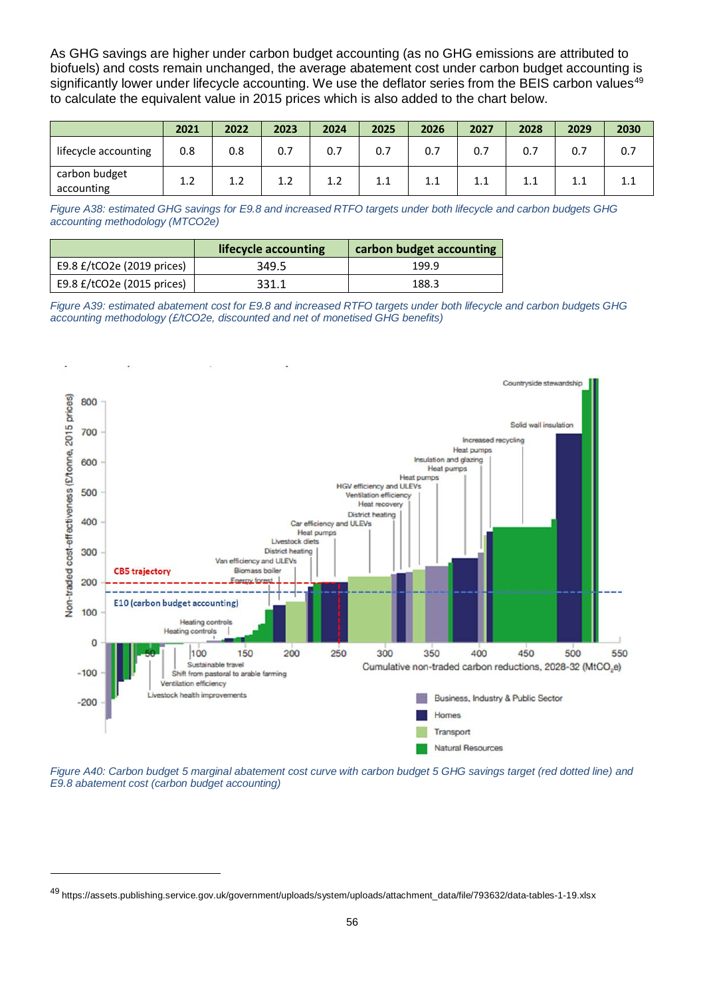As GHG savings are higher under carbon budget accounting (as no GHG emissions are attributed to biofuels) and costs remain unchanged, the average abatement cost under carbon budget accounting is significantly lower under lifecycle accounting. We use the deflator series from the BEIS carbon values<sup>[49](#page-55-0)</sup> to calculate the equivalent value in 2015 prices which is also added to the chart below.

|                             | 2021 | 2022 | 2023 | 2024 | 2025 | 2026 | 2027 | 2028 | 2029 | 2030 |
|-----------------------------|------|------|------|------|------|------|------|------|------|------|
| lifecycle accounting        | 0.8  | 0.8  | 0.7  | 0.7  | 0.7  | 0.7  | 0.7  | 0.7  | 0.7  | 0.7  |
| carbon budget<br>accounting | 1.2  | ⊥.∠  |      | 1.2  | 1.1  | 1.1  | 1.1  | 1.1  | 1.1  |      |

*Figure A38: estimated GHG savings for E9.8 and increased RTFO targets under both lifecycle and carbon budgets GHG accounting methodology (MTCO2e)*

|                               | lifecycle accounting | carbon budget accounting |
|-------------------------------|----------------------|--------------------------|
| E9.8 $E/$ tCO2e (2019 prices) | 349.5                | 199.9                    |
| E9.8 $E/$ tCO2e (2015 prices) | 331.1                | 188.3                    |

*Figure A39: estimated abatement cost for E9.8 and increased RTFO targets under both lifecycle and carbon budgets GHG accounting methodology (£/tCO2e, discounted and net of monetised GHG benefits)*



*Figure A40: Carbon budget 5 marginal abatement cost curve with carbon budget 5 GHG savings target (red dotted line) and E9.8 abatement cost (carbon budget accounting)*

<span id="page-55-0"></span><sup>49</sup> https://assets.publishing.service.gov.uk/government/uploads/system/uploads/attachment\_data/file/793632/data-tables-1-19.xlsx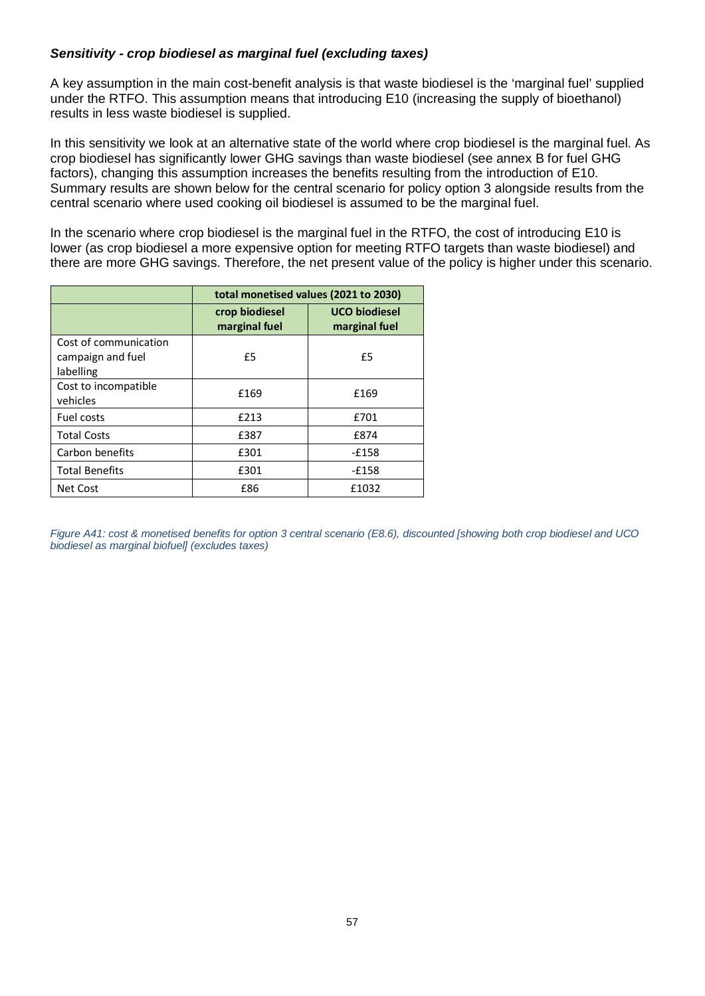## *Sensitivity - crop biodiesel as marginal fuel (excluding taxes)*

A key assumption in the main cost-benefit analysis is that waste biodiesel is the 'marginal fuel' supplied under the RTFO. This assumption means that introducing E10 (increasing the supply of bioethanol) results in less waste biodiesel is supplied.

In this sensitivity we look at an alternative state of the world where crop biodiesel is the marginal fuel. As crop biodiesel has significantly lower GHG savings than waste biodiesel (see annex B for fuel GHG factors), changing this assumption increases the benefits resulting from the introduction of E10. Summary results are shown below for the central scenario for policy option 3 alongside results from the central scenario where used cooking oil biodiesel is assumed to be the marginal fuel.

In the scenario where crop biodiesel is the marginal fuel in the RTFO, the cost of introducing E10 is lower (as crop biodiesel a more expensive option for meeting RTFO targets than waste biodiesel) and there are more GHG savings. Therefore, the net present value of the policy is higher under this scenario.

|                                                         |                                 | total monetised values (2021 to 2030) |
|---------------------------------------------------------|---------------------------------|---------------------------------------|
|                                                         | crop biodiesel<br>marginal fuel | <b>UCO biodiesel</b><br>marginal fuel |
| Cost of communication<br>campaign and fuel<br>labelling | £5                              | £5                                    |
| Cost to incompatible<br>vehicles                        | £169                            | £169                                  |
| Fuel costs                                              | £213                            | £701                                  |
| <b>Total Costs</b>                                      | £387                            | £874                                  |
| Carbon benefits                                         | £301                            | -£158                                 |
| <b>Total Benefits</b>                                   | £301                            | -£158                                 |
| Net Cost                                                | £86                             | £1032                                 |

*Figure A41: cost & monetised benefits for option 3 central scenario (E8.6), discounted [showing both crop biodiesel and UCO biodiesel as marginal biofuel] (excludes taxes)*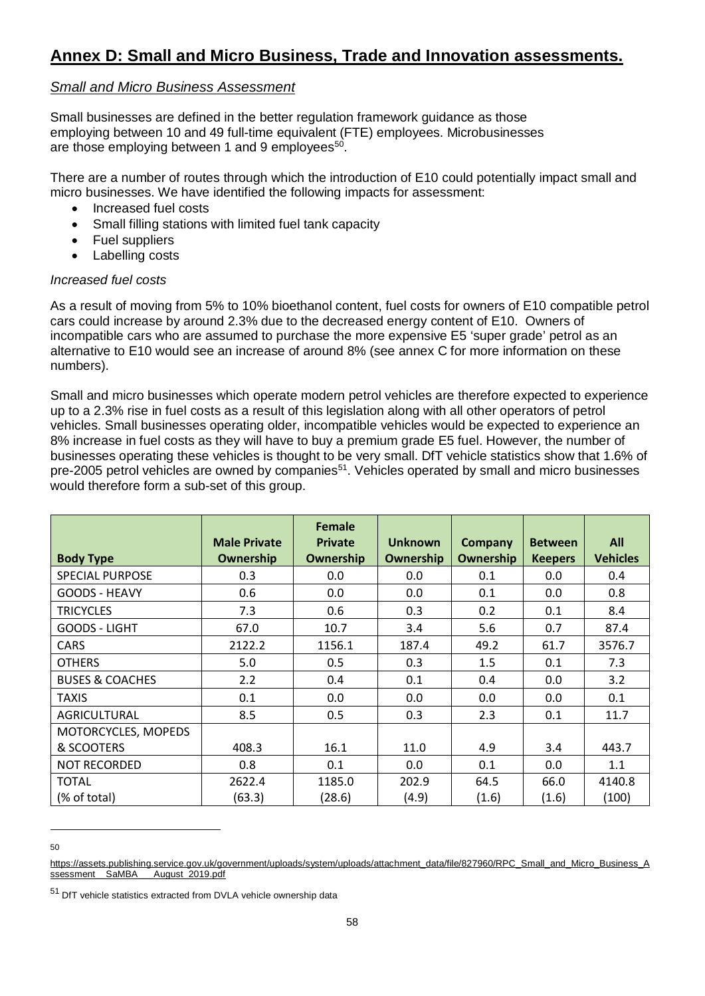# *Small and Micro Business Assessment*

Small businesses are defined in the better regulation framework guidance as those employing between 10 and 49 full-time equivalent (FTE) employees. Microbusinesses are those employing between 1 and 9 employees<sup>[50](#page-57-0)</sup>.

There are a number of routes through which the introduction of E10 could potentially impact small and micro businesses. We have identified the following impacts for assessment:

- Increased fuel costs
- Small filling stations with limited fuel tank capacity
- Fuel suppliers
- Labelling costs

### *Increased fuel costs*

As a result of moving from 5% to 10% bioethanol content, fuel costs for owners of E10 compatible petrol cars could increase by around 2.3% due to the decreased energy content of E10. Owners of incompatible cars who are assumed to purchase the more expensive E5 'super grade' petrol as an alternative to E10 would see an increase of around 8% (see annex C for more information on these numbers).

Small and micro businesses which operate modern petrol vehicles are therefore expected to experience up to a 2.3% rise in fuel costs as a result of this legislation along with all other operators of petrol vehicles. Small businesses operating older, incompatible vehicles would be expected to experience an 8% increase in fuel costs as they will have to buy a premium grade E5 fuel. However, the number of businesses operating these vehicles is thought to be very small. DfT vehicle statistics show that 1.6% of pre-2005 petrol vehicles are owned by companies<sup>[51](#page-57-1)</sup>. Vehicles operated by small and micro businesses would therefore form a sub-set of this group.

| <b>Body Type</b>           | <b>Male Private</b><br>Ownership | <b>Female</b><br><b>Private</b><br>Ownership | <b>Unknown</b><br>Ownership | Company<br><b>Ownership</b> | <b>Between</b><br><b>Keepers</b> | All<br><b>Vehicles</b> |
|----------------------------|----------------------------------|----------------------------------------------|-----------------------------|-----------------------------|----------------------------------|------------------------|
| <b>SPECIAL PURPOSE</b>     | 0.3                              | 0.0                                          | 0.0                         | 0.1                         | 0.0                              | 0.4                    |
| <b>GOODS - HEAVY</b>       | 0.6                              | 0.0                                          | 0.0                         | 0.1                         | 0.0                              | 0.8                    |
| <b>TRICYCLES</b>           | 7.3                              | 0.6                                          | 0.3                         | 0.2                         | 0.1                              | 8.4                    |
| GOODS - LIGHT              | 67.0                             | 10.7                                         | 3.4                         | 5.6                         | 0.7                              | 87.4                   |
| <b>CARS</b>                | 2122.2                           | 1156.1                                       | 187.4                       | 49.2                        | 61.7                             | 3576.7                 |
| <b>OTHERS</b>              | 5.0                              | 0.5                                          | 0.3                         | 1.5                         | 0.1                              | 7.3                    |
| <b>BUSES &amp; COACHES</b> | 2.2                              | 0.4                                          | 0.1                         | 0.4                         | 0.0                              | 3.2                    |
| <b>TAXIS</b>               | 0.1                              | 0.0                                          | 0.0                         | 0.0                         | 0.0                              | 0.1                    |
| AGRICULTURAL               | 8.5                              | 0.5                                          | 0.3                         | 2.3                         | 0.1                              | 11.7                   |
| MOTORCYCLES, MOPEDS        |                                  |                                              |                             |                             |                                  |                        |
| & SCOOTERS                 | 408.3                            | 16.1                                         | 11.0                        | 4.9                         | 3.4                              | 443.7                  |
| <b>NOT RECORDED</b>        | 0.8                              | 0.1                                          | 0.0                         | 0.1                         | 0.0                              | 1.1                    |
| <b>TOTAL</b>               | 2622.4                           | 1185.0                                       | 202.9                       | 64.5                        | 66.0                             | 4140.8                 |
| (% of total)               | (63.3)                           | (28.6)                                       | (4.9)                       | (1.6)                       | (1.6)                            | (100)                  |

- $50$ 

<span id="page-57-0"></span>[https://assets.publishing.service.gov.uk/government/uploads/system/uploads/attachment\\_data/file/827960/RPC\\_Small\\_and\\_Micro\\_Business\\_A](https://assets.publishing.service.gov.uk/government/uploads/system/uploads/attachment_data/file/827960/RPC_Small_and_Micro_Business_Assessment__SaMBA___August_2019.pdf) ssessment\_SaMBA\_\_August\_2019.pdf

<span id="page-57-1"></span><sup>51</sup> DfT vehicle statistics extracted from DVLA vehicle ownership data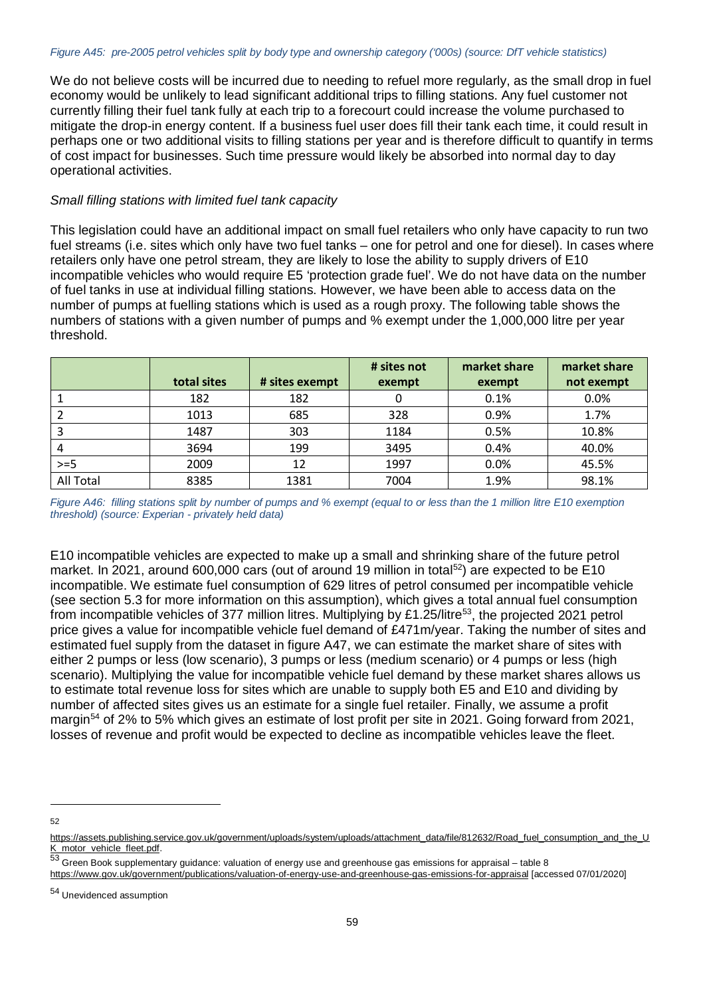We do not believe costs will be incurred due to needing to refuel more regularly, as the small drop in fuel economy would be unlikely to lead significant additional trips to filling stations. Any fuel customer not currently filling their fuel tank fully at each trip to a forecourt could increase the volume purchased to mitigate the drop-in energy content. If a business fuel user does fill their tank each time, it could result in perhaps one or two additional visits to filling stations per year and is therefore difficult to quantify in terms of cost impact for businesses. Such time pressure would likely be absorbed into normal day to day operational activities.

#### *Small filling stations with limited fuel tank capacity*

This legislation could have an additional impact on small fuel retailers who only have capacity to run two fuel streams (i.e. sites which only have two fuel tanks – one for petrol and one for diesel). In cases where retailers only have one petrol stream, they are likely to lose the ability to supply drivers of E10 incompatible vehicles who would require E5 'protection grade fuel'. We do not have data on the number of fuel tanks in use at individual filling stations. However, we have been able to access data on the number of pumps at fuelling stations which is used as a rough proxy. The following table shows the numbers of stations with a given number of pumps and % exempt under the 1,000,000 litre per year threshold.

|                  |             |                | # sites not | market share | market share |
|------------------|-------------|----------------|-------------|--------------|--------------|
|                  | total sites | # sites exempt | exempt      | exempt       | not exempt   |
|                  | 182         | 182            |             | 0.1%         | 0.0%         |
|                  | 1013        | 685            | 328         | 0.9%         | 1.7%         |
|                  | 1487        | 303            | 1184        | 0.5%         | 10.8%        |
|                  | 3694        | 199            | 3495        | 0.4%         | 40.0%        |
| $>=5$            | 2009        | 12             | 1997        | 0.0%         | 45.5%        |
| <b>All Total</b> | 8385        | 1381           | 7004        | 1.9%         | 98.1%        |

*Figure A46: filling stations split by number of pumps and % exempt (equal to or less than the 1 million litre E10 exemption threshold) (source: Experian - privately held data)*

E10 incompatible vehicles are expected to make up a small and shrinking share of the future petrol market. In 2021, around 600,000 cars (out of around 19 million in total<sup>[52](#page-58-0)</sup>) are expected to be E10 incompatible. We estimate fuel consumption of 629 litres of petrol consumed per incompatible vehicle (see section 5.3 for more information on this assumption), which gives a total annual fuel consumption from incompatible vehicles of 377 million litres. Multiplying by £1.25/litre<sup>[53](#page-58-1)</sup>, the projected 2021 petrol price gives a value for incompatible vehicle fuel demand of £471m/year. Taking the number of sites and estimated fuel supply from the dataset in figure A47, we can estimate the market share of sites with either 2 pumps or less (low scenario), 3 pumps or less (medium scenario) or 4 pumps or less (high scenario). Multiplying the value for incompatible vehicle fuel demand by these market shares allows us to estimate total revenue loss for sites which are unable to supply both E5 and E10 and dividing by number of affected sites gives us an estimate for a single fuel retailer. Finally, we assume a profit margin<sup>[54](#page-58-2)</sup> of 2% to 5% which gives an estimate of lost profit per site in 2021. Going forward from 2021, losses of revenue and profit would be expected to decline as incompatible vehicles leave the fleet.

<span id="page-58-0"></span>[https://assets.publishing.service.gov.uk/government/uploads/system/uploads/attachment\\_data/file/812632/Road\\_fuel\\_consumption\\_and\\_the\\_U](https://assets.publishing.service.gov.uk/government/uploads/system/uploads/attachment_data/file/812632/Road_fuel_consumption_and_the_UK_motor_vehicle_fleet.pdf) [K\\_motor\\_vehicle\\_fleet.pdf.](https://assets.publishing.service.gov.uk/government/uploads/system/uploads/attachment_data/file/812632/Road_fuel_consumption_and_the_UK_motor_vehicle_fleet.pdf)

<span id="page-58-1"></span><sup>53</sup> Green Book supplementary guidance: valuation of energy use and greenhouse gas emissions for appraisal – table 8

<https://www.gov.uk/government/publications/valuation-of-energy-use-and-greenhouse-gas-emissions-for-appraisal> [accessed 07/01/2020]

<span id="page-58-2"></span><sup>54</sup> Unevidenced assumption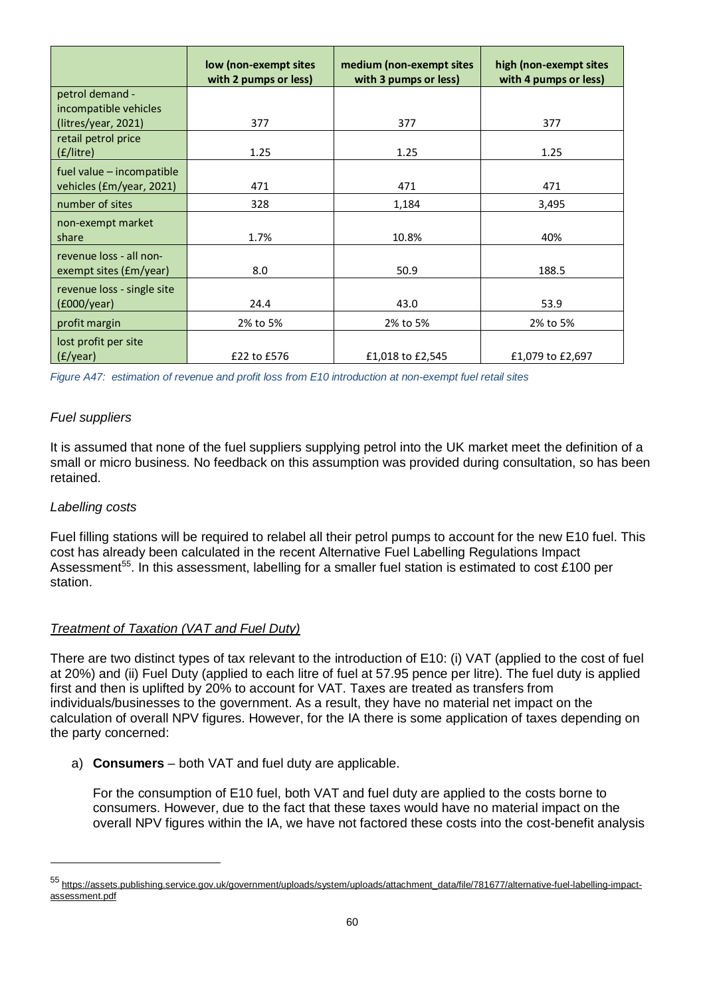|                                                       | low (non-exempt sites<br>with 2 pumps or less) | medium (non-exempt sites<br>with 3 pumps or less) | high (non-exempt sites<br>with 4 pumps or less) |
|-------------------------------------------------------|------------------------------------------------|---------------------------------------------------|-------------------------------------------------|
| petrol demand -<br>incompatible vehicles              |                                                |                                                   |                                                 |
| (litres/year, 2021)                                   | 377                                            | 377                                               | 377                                             |
| retail petrol price<br>$(f/l$ itre)                   | 1.25                                           | 1.25                                              | 1.25                                            |
| fuel value - incompatible<br>vehicles (£m/year, 2021) | 471                                            | 471                                               | 471                                             |
| number of sites                                       | 328                                            | 1,184                                             | 3,495                                           |
| non-exempt market<br>share                            | 1.7%                                           | 10.8%                                             | 40%                                             |
| revenue loss - all non-<br>exempt sites (£m/year)     | 8.0                                            | 50.9                                              | 188.5                                           |
| revenue loss - single site<br>$f000$ /year)           | 24.4                                           | 43.0                                              | 53.9                                            |
| profit margin                                         | 2% to 5%                                       | 2% to 5%                                          | 2% to 5%                                        |
| lost profit per site<br>(f/(year))                    | £22 to £576                                    | £1,018 to £2,545                                  | £1,079 to £2,697                                |

*Figure A47: estimation of revenue and profit loss from E10 introduction at non-exempt fuel retail sites*

### *Fuel suppliers*

It is assumed that none of the fuel suppliers supplying petrol into the UK market meet the definition of a small or micro business. No feedback on this assumption was provided during consultation, so has been retained.

### *Labelling costs*

 $\overline{a}$ 

Fuel filling stations will be required to relabel all their petrol pumps to account for the new E10 fuel. This cost has already been calculated in the recent Alternative Fuel Labelling Regulations Impact Assessment<sup>55</sup>. In this assessment, labelling for a smaller fuel station is estimated to cost £100 per station.

### *Treatment of Taxation (VAT and Fuel Duty)*

There are two distinct types of tax relevant to the introduction of E10: (i) VAT (applied to the cost of fuel at 20%) and (ii) Fuel Duty (applied to each litre of fuel at 57.95 pence per litre). The fuel duty is applied first and then is uplifted by 20% to account for VAT. Taxes are treated as transfers from individuals/businesses to the government. As a result, they have no material net impact on the calculation of overall NPV figures. However, for the IA there is some application of taxes depending on the party concerned:

a) **Consumers** – both VAT and fuel duty are applicable.

For the consumption of E10 fuel, both VAT and fuel duty are applied to the costs borne to consumers. However, due to the fact that these taxes would have no material impact on the overall NPV figures within the IA, we have not factored these costs into the cost-benefit analysis

<span id="page-59-0"></span><sup>55</sup> [https://assets.publishing.service.gov.uk/government/uploads/system/uploads/attachment\\_data/file/781677/alternative-fuel-labelling-impact](https://assets.publishing.service.gov.uk/government/uploads/system/uploads/attachment_data/file/781677/alternative-fuel-labelling-impact-assessment.pdf)[assessment.pdf](https://assets.publishing.service.gov.uk/government/uploads/system/uploads/attachment_data/file/781677/alternative-fuel-labelling-impact-assessment.pdf)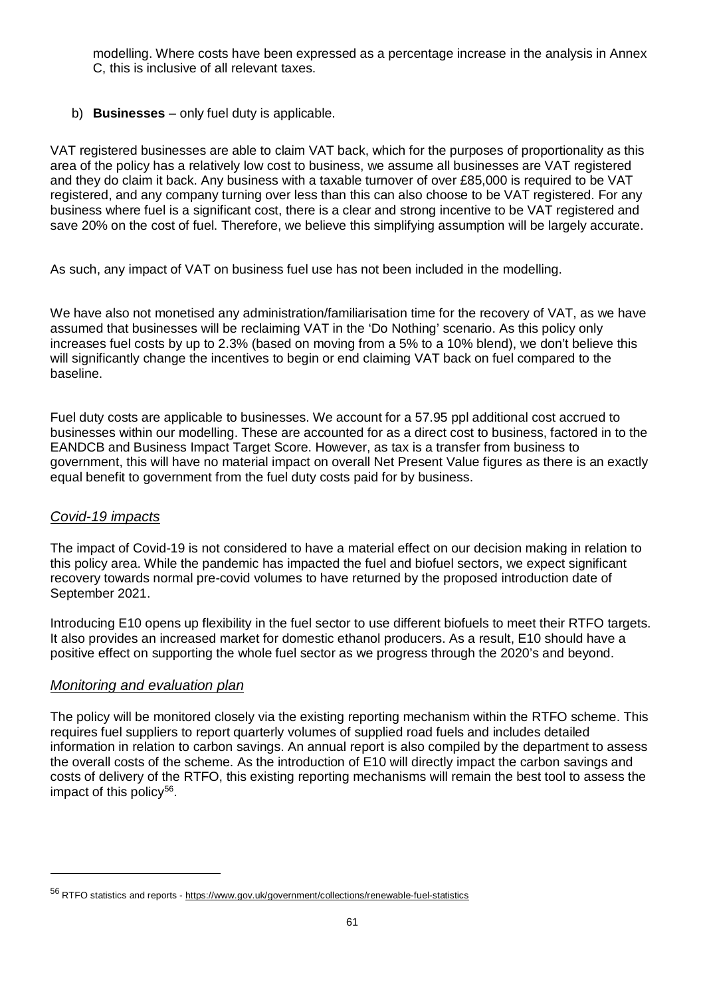modelling. Where costs have been expressed as a percentage increase in the analysis in Annex C, this is inclusive of all relevant taxes.

# b) **Businesses** – only fuel duty is applicable.

VAT registered businesses are able to claim VAT back, which for the purposes of proportionality as this area of the policy has a relatively low cost to business, we assume all businesses are VAT registered and they do claim it back. Any business with a taxable turnover of over £85,000 is required to be VAT registered, and any company turning over less than this can also choose to be VAT registered. For any business where fuel is a significant cost, there is a clear and strong incentive to be VAT registered and save 20% on the cost of fuel. Therefore, we believe this simplifying assumption will be largely accurate.

As such, any impact of VAT on business fuel use has not been included in the modelling.

We have also not monetised any administration/familiarisation time for the recovery of VAT, as we have assumed that businesses will be reclaiming VAT in the 'Do Nothing' scenario. As this policy only increases fuel costs by up to 2.3% (based on moving from a 5% to a 10% blend), we don't believe this will significantly change the incentives to begin or end claiming VAT back on fuel compared to the baseline.

Fuel duty costs are applicable to businesses. We account for a 57.95 ppl additional cost accrued to businesses within our modelling. These are accounted for as a direct cost to business, factored in to the EANDCB and Business Impact Target Score. However, as tax is a transfer from business to government, this will have no material impact on overall Net Present Value figures as there is an exactly equal benefit to government from the fuel duty costs paid for by business.

# *Covid-19 impacts*

 $\ddot{\phantom{a}}$ 

The impact of Covid-19 is not considered to have a material effect on our decision making in relation to this policy area. While the pandemic has impacted the fuel and biofuel sectors, we expect significant recovery towards normal pre-covid volumes to have returned by the proposed introduction date of September 2021.

Introducing E10 opens up flexibility in the fuel sector to use different biofuels to meet their RTFO targets. It also provides an increased market for domestic ethanol producers. As a result, E10 should have a positive effect on supporting the whole fuel sector as we progress through the 2020's and beyond.

# *Monitoring and evaluation plan*

The policy will be monitored closely via the existing reporting mechanism within the RTFO scheme. This requires fuel suppliers to report quarterly volumes of supplied road fuels and includes detailed information in relation to carbon savings. An annual report is also compiled by the department to assess the overall costs of the scheme. As the introduction of E10 will directly impact the carbon savings and costs of delivery of the RTFO, this existing reporting mechanisms will remain the best tool to assess the impact of this policy<sup>56</sup>.

<span id="page-60-0"></span><sup>56</sup> RTFO statistics and reports - <https://www.gov.uk/government/collections/renewable-fuel-statistics>